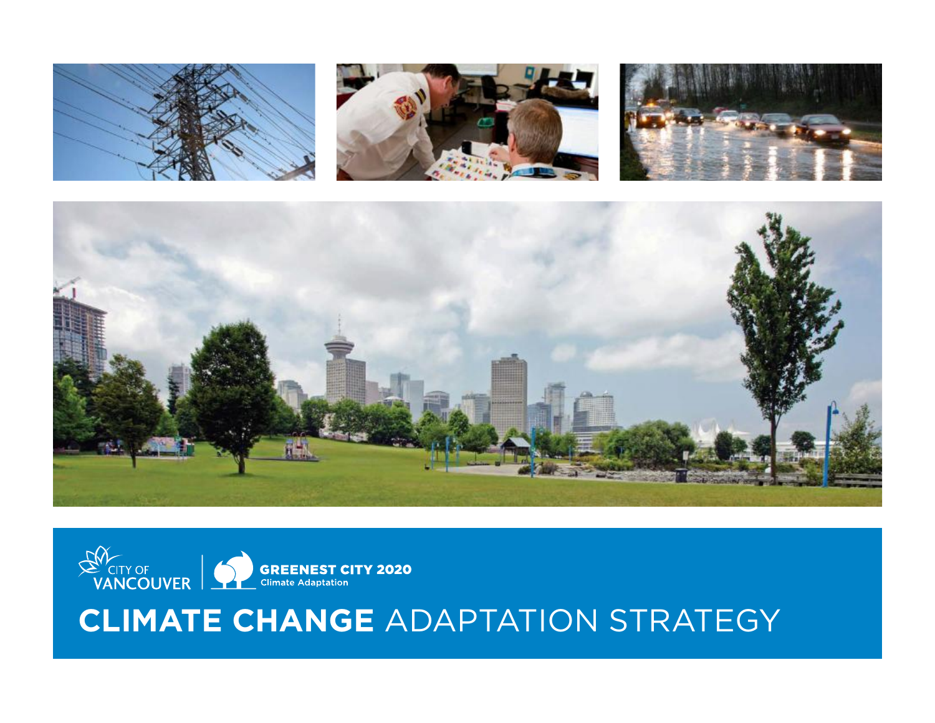









# **Climate Change** Adaptation Strategy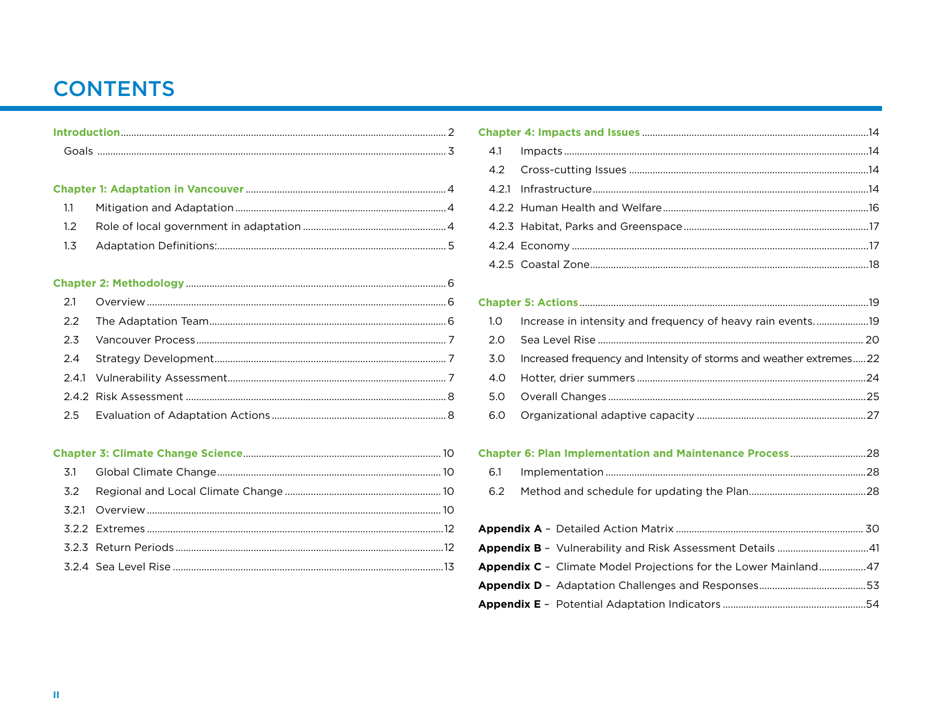### **CONTENTS**

| 1.1   |  |
|-------|--|
| 1.2   |  |
| 1.3   |  |
|       |  |
|       |  |
|       |  |
| 2.1   |  |
| 2.2   |  |
| 2.3   |  |
| 2.4   |  |
| 2.4.1 |  |
|       |  |

#### 

| $4 \quad$      |  |  |
|----------------|--|--|
| $\overline{4}$ |  |  |
| 5              |  |  |
|                |  |  |
|                |  |  |

### 

| 1.0 |                                                                        |  |
|-----|------------------------------------------------------------------------|--|
| 2.0 |                                                                        |  |
|     | 3.0 Increased frequency and Intensity of storms and weather extremes22 |  |
|     |                                                                        |  |
|     |                                                                        |  |
|     |                                                                        |  |

#### 

| <b>Appendix C</b> - Climate Model Projections for the Lower Mainland47 |  |
|------------------------------------------------------------------------|--|
|                                                                        |  |
|                                                                        |  |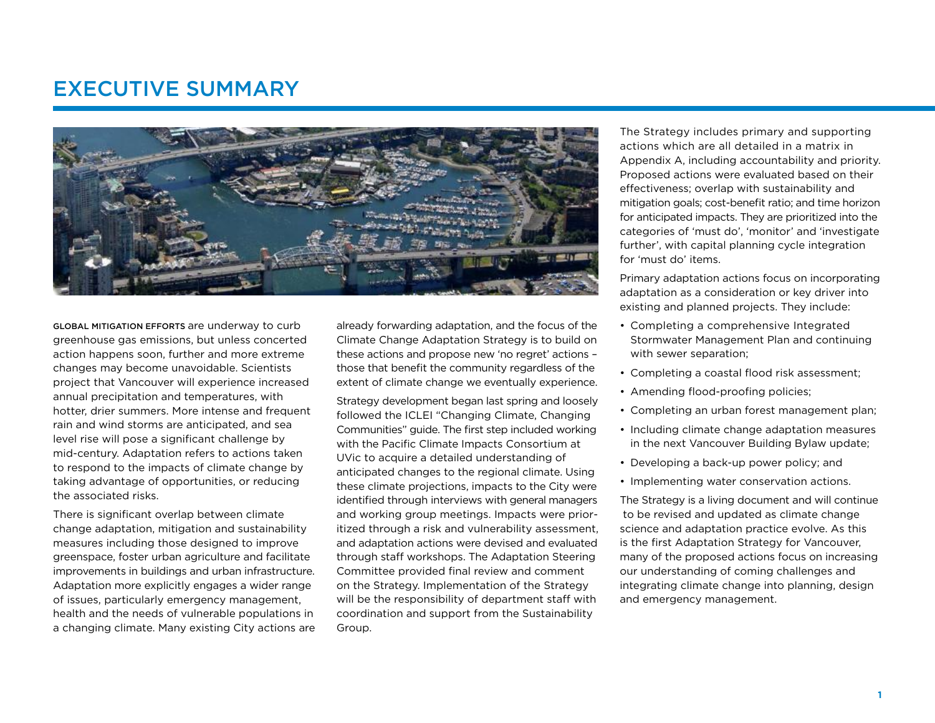### Executive Summary



Global mitigation efforts are underway to curb greenhouse gas emissions, but unless concerted action happens soon, further and more extreme changes may become unavoidable. Scientists project that Vancouver will experience increased annual precipitation and temperatures, with hotter, drier summers. More intense and frequent rain and wind storms are anticipated, and sea level rise will pose a significant challenge by mid-century. Adaptation refers to actions taken to respond to the impacts of climate change by taking advantage of opportunities, or reducing the associated risks.

There is significant overlap between climate change adaptation, mitigation and sustainability measures including those designed to improve greenspace, foster urban agriculture and facilitate improvements in buildings and urban infrastructure. Adaptation more explicitly engages a wider range of issues, particularly emergency management, health and the needs of vulnerable populations in a changing climate. Many existing City actions are already forwarding adaptation, and the focus of the Climate Change Adaptation Strategy is to build on these actions and propose new 'no regret' actions – those that benefit the community regardless of the extent of climate change we eventually experience.

Strategy development began last spring and loosely followed the ICLEI "Changing Climate, Changing Communities" guide. The first step included working with the Pacific Climate Impacts Consortium at UVic to acquire a detailed understanding of anticipated changes to the regional climate. Using these climate projections, impacts to the City were identified through interviews with general managers and working group meetings. Impacts were prioritized through a risk and vulnerability assessment, and adaptation actions were devised and evaluated through staff workshops. The Adaptation Steering Committee provided final review and comment on the Strategy. Implementation of the Strategy will be the responsibility of department staff with coordination and support from the Sustainability Group.

The Strategy includes primary and supporting actions which are all detailed in a matrix in Appendix A, including accountability and priority. Proposed actions were evaluated based on their effectiveness; overlap with sustainability and mitigation goals; cost-benefit ratio; and time horizon for anticipated impacts. They are prioritized into the categories of 'must do', 'monitor' and 'investigate further', with capital planning cycle integration for 'must do' items.

Primary adaptation actions focus on incorporating adaptation as a consideration or key driver into existing and planned projects. They include:

- Completing a comprehensive Integrated Stormwater Management Plan and continuing with sewer separation;
- Completing a coastal flood risk assessment;
- Amending flood-proofing policies;
- Completing an urban forest management plan;
- Including climate change adaptation measures in the next Vancouver Building Bylaw update;
- Developing a back-up power policy; and
- Implementing water conservation actions.

The Strategy is a living document and will continue to be revised and updated as climate change science and adaptation practice evolve. As this is the first Adaptation Strategy for Vancouver, many of the proposed actions focus on increasing our understanding of coming challenges and integrating climate change into planning, design and emergency management.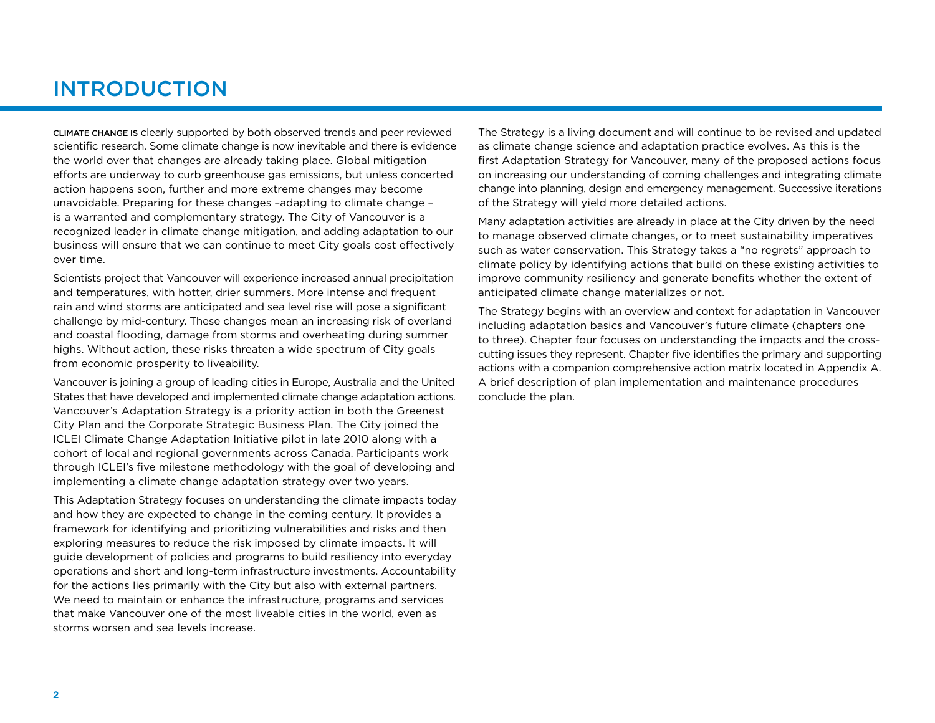## INTRODUCTION

Climate change is clearly supported by both observed trends and peer reviewed scientific research. Some climate change is now inevitable and there is evidence the world over that changes are already taking place. Global mitigation efforts are underway to curb greenhouse gas emissions, but unless concerted action happens soon, further and more extreme changes may become unavoidable. Preparing for these changes –adapting to climate change – is a warranted and complementary strategy. The City of Vancouver is a recognized leader in climate change mitigation, and adding adaptation to our business will ensure that we can continue to meet City goals cost effectively over time.

Scientists project that Vancouver will experience increased annual precipitation and temperatures, with hotter, drier summers. More intense and frequent rain and wind storms are anticipated and sea level rise will pose a significant challenge by mid-century. These changes mean an increasing risk of overland and coastal flooding, damage from storms and overheating during summer highs. Without action, these risks threaten a wide spectrum of City goals from economic prosperity to liveability.

Vancouver is joining a group of leading cities in Europe, Australia and the United States that have developed and implemented climate change adaptation actions. Vancouver's Adaptation Strategy is a priority action in both the Greenest City Plan and the Corporate Strategic Business Plan. The City joined the ICLEI Climate Change Adaptation Initiative pilot in late 2010 along with a cohort of local and regional governments across Canada. Participants work through ICLEI's five milestone methodology with the goal of developing and implementing a climate change adaptation strategy over two years.

This Adaptation Strategy focuses on understanding the climate impacts today and how they are expected to change in the coming century. It provides a framework for identifying and prioritizing vulnerabilities and risks and then exploring measures to reduce the risk imposed by climate impacts. It will guide development of policies and programs to build resiliency into everyday operations and short and long-term infrastructure investments. Accountability for the actions lies primarily with the City but also with external partners. We need to maintain or enhance the infrastructure, programs and services that make Vancouver one of the most liveable cities in the world, even as storms worsen and sea levels increase.

The Strategy is a living document and will continue to be revised and updated as climate change science and adaptation practice evolves. As this is the first Adaptation Strategy for Vancouver, many of the proposed actions focus on increasing our understanding of coming challenges and integrating climate change into planning, design and emergency management. Successive iterations of the Strategy will yield more detailed actions.

Many adaptation activities are already in place at the City driven by the need to manage observed climate changes, or to meet sustainability imperatives such as water conservation. This Strategy takes a "no regrets" approach to climate policy by identifying actions that build on these existing activities to improve community resiliency and generate benefits whether the extent of anticipated climate change materializes or not.

The Strategy begins with an overview and context for adaptation in Vancouver including adaptation basics and Vancouver's future climate (chapters one to three). Chapter four focuses on understanding the impacts and the crosscutting issues they represent. Chapter five identifies the primary and supporting actions with a companion comprehensive action matrix located in Appendix A. A brief description of plan implementation and maintenance procedures conclude the plan.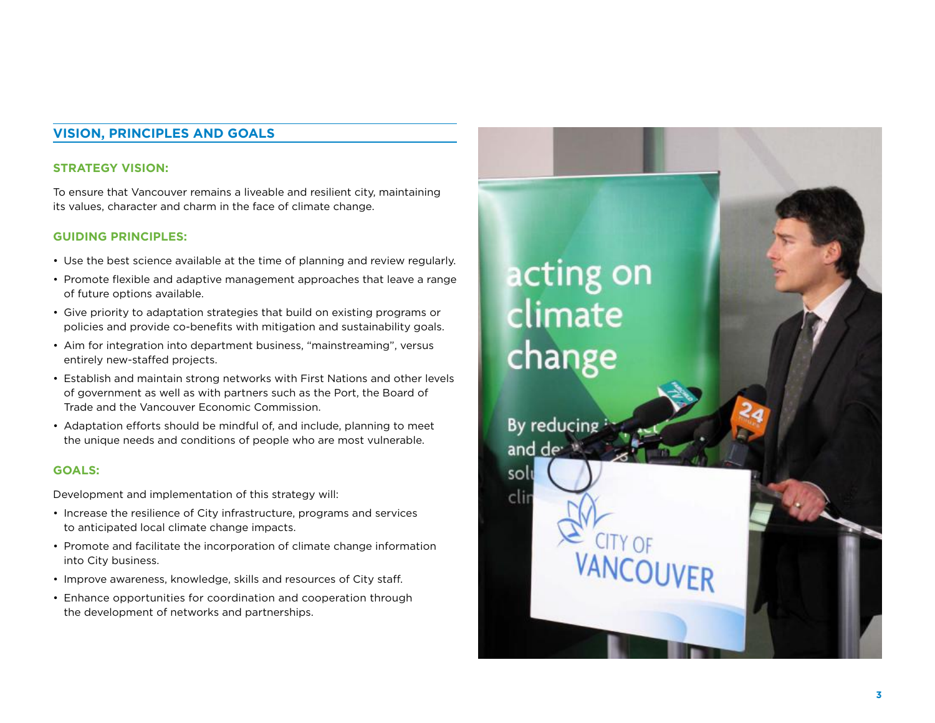#### **Vision, Principles and Goals**

#### **Strategy Vision:**

To ensure that Vancouver remains a liveable and resilient city, maintaining its values, character and charm in the face of climate change.

#### **Guiding Principles:**

- Use the best science available at the time of planning and review regularly.
- Promote flexible and adaptive management approaches that leave a range of future options available.
- Give priority to adaptation strategies that build on existing programs or policies and provide co-benefits with mitigation and sustainability goals.
- Aim for integration into department business, "mainstreaming", versus entirely new-staffed projects.
- Establish and maintain strong networks with First Nations and other levels of government as well as with partners such as the Port, the Board of Trade and the Vancouver Economic Commission.
- Adaptation efforts should be mindful of, and include, planning to meet the unique needs and conditions of people who are most vulnerable.

#### **Goals:**

Development and implementation of this strategy will:

- Increase the resilience of City infrastructure, programs and services to anticipated local climate change impacts.
- Promote and facilitate the incorporation of climate change information into City business.
- Improve awareness, knowledge, skills and resources of City staff.
- Enhance opportunities for coordination and cooperation through the development of networks and partnerships.

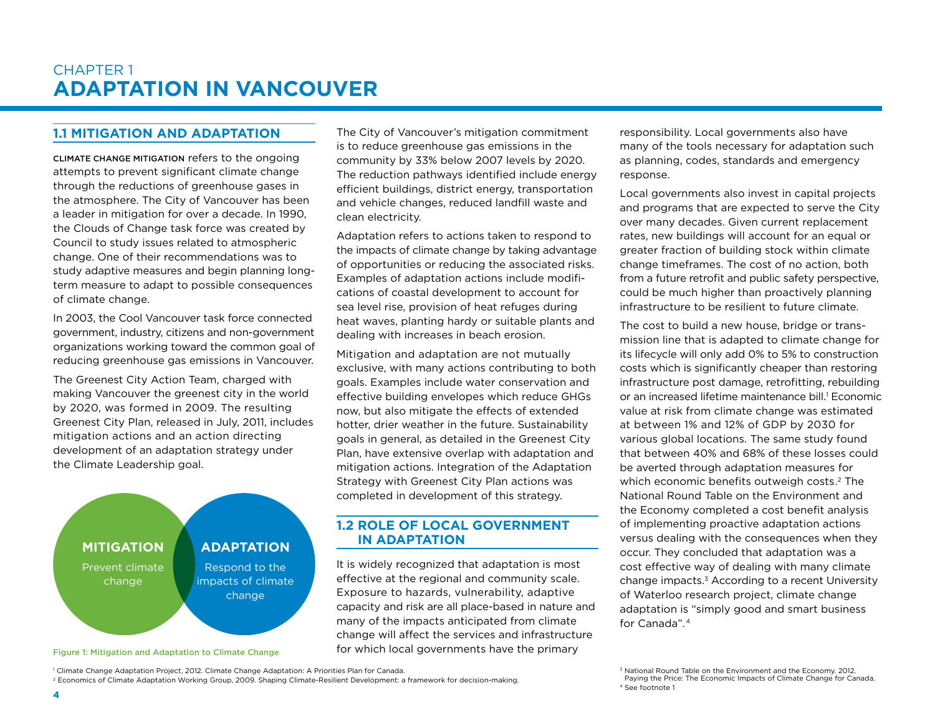#### **1.1 Mitigation and Adaptation**

Climate Change mitigation refers to the ongoing attempts to prevent significant climate change through the reductions of greenhouse gases in the atmosphere. The City of Vancouver has been a leader in mitigation for over a decade. In 1990, the Clouds of Change task force was created by Council to study issues related to atmospheric change. One of their recommendations was to study adaptive measures and begin planning longterm measure to adapt to possible consequences of climate change.

In 2003, the Cool Vancouver task force connected government, industry, citizens and non-government organizations working toward the common goal of reducing greenhouse gas emissions in Vancouver.

The Greenest City Action Team, charged with making Vancouver the greenest city in the world by 2020, was formed in 2009. The resulting Greenest City Plan, released in July, 2011, includes mitigation actions and an action directing development of an adaptation strategy under the Climate Leadership goal.



Figure 1: Mitigation and Adaptation to Climate Change

The City of Vancouver's mitigation commitment is to reduce greenhouse gas emissions in the community by 33% below 2007 levels by 2020. The reduction pathways identified include energy efficient buildings, district energy, transportation and vehicle changes, reduced landfill waste and clean electricity.

Adaptation refers to actions taken to respond to the impacts of climate change by taking advantage of opportunities or reducing the associated risks. Examples of adaptation actions include modifications of coastal development to account for sea level rise, provision of heat refuges during heat waves, planting hardy or suitable plants and dealing with increases in beach erosion.

Mitigation and adaptation are not mutually exclusive, with many actions contributing to both goals. Examples include water conservation and effective building envelopes which reduce GHGs now, but also mitigate the effects of extended hotter, drier weather in the future. Sustainability goals in general, as detailed in the Greenest City Plan, have extensive overlap with adaptation and mitigation actions. Integration of the Adaptation Strategy with Greenest City Plan actions was completed in development of this strategy.

#### **1.2 ROLE OF LOCAL GOVERNMENT in adaptation**

It is widely recognized that adaptation is most effective at the regional and community scale. Exposure to hazards, vulnerability, adaptive capacity and risk are all place-based in nature and many of the impacts anticipated from climate change will affect the services and infrastructure for which local governments have the primary

responsibility. Local governments also have many of the tools necessary for adaptation such as planning, codes, standards and emergency response.

Local governments also invest in capital projects and programs that are expected to serve the City over many decades. Given current replacement rates, new buildings will account for an equal or greater fraction of building stock within climate change timeframes. The cost of no action, both from a future retrofit and public safety perspective, could be much higher than proactively planning infrastructure to be resilient to future climate.

The cost to build a new house, bridge or transmission line that is adapted to climate change for its lifecycle will only add 0% to 5% to construction costs which is significantly cheaper than restoring infrastructure post damage, retrofitting, rebuilding or an increased lifetime maintenance bill.<sup>1</sup> Economic value at risk from climate change was estimated at between 1% and 12% of GDP by 2030 for various global locations. The same study found that between 40% and 68% of these losses could be averted through adaptation measures for which economic benefits outweigh costs.<sup>2</sup> The National Round Table on the Environment and the Economy completed a cost benefit analysis of implementing proactive adaptation actions versus dealing with the consequences when they occur. They concluded that adaptation was a cost effective way of dealing with many climate change impacts.3 According to a recent University of Waterloo research project, climate change adaptation is "simply good and smart business for Canada" 4

<sup>2</sup> Economics of Climate Adaptation Working Group, 2009. Shaping Climate-Resilient Development: a framework for decision-making.

<sup>&</sup>lt;sup>3</sup> National Round Table on the Environment and the Economy. 2012.<br>Paying the Price: The Economic Impacts of Climate Change for Canada. 4 See footnote 1

<sup>1</sup> Climate Change Adaptation Project, 2012. Climate Change Adaptation: A Priorities Plan for Canada.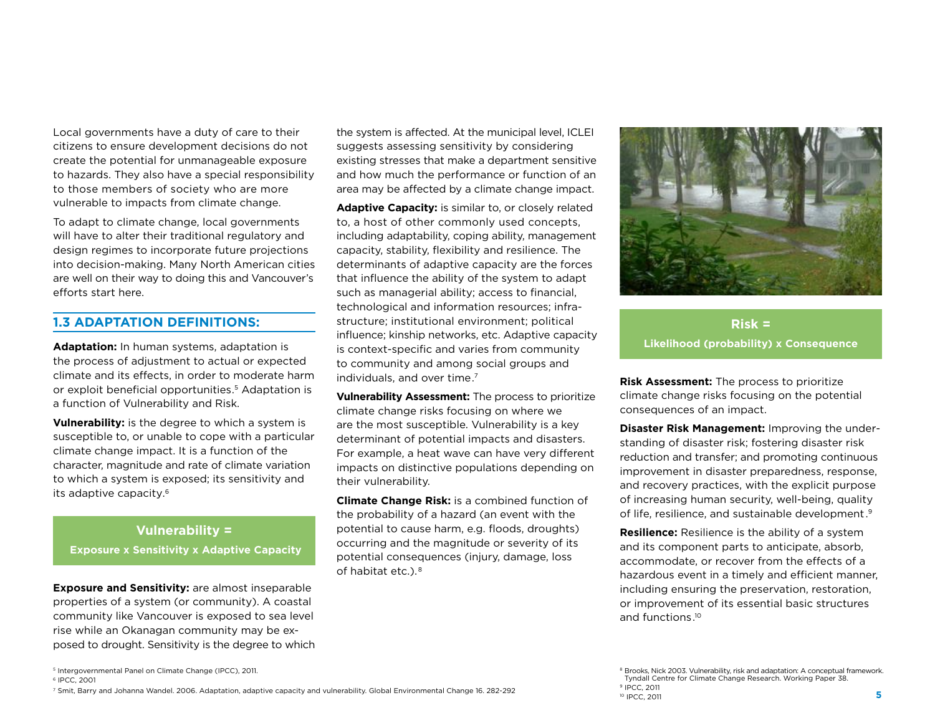Local governments have a duty of care to their citizens to ensure development decisions do not create the potential for unmanageable exposure to hazards. They also have a special responsibility to those members of society who are more vulnerable to impacts from climate change.

To adapt to climate change, local governments will have to alter their traditional regulatory and design regimes to incorporate future projections into decision-making. Many North American cities are well on their way to doing this and Vancouver's efforts start here.

#### **1.3 Adaptation Definitions:**

**Adaptation:** In human systems, adaptation is the process of adjustment to actual or expected climate and its effects, in order to moderate harm or exploit beneficial opportunities.5 Adaptation is a function of Vulnerability and Risk.

**Vulnerability:** is the degree to which a system is susceptible to, or unable to cope with a particular climate change impact. It is a function of the character, magnitude and rate of climate variation to which a system is exposed; its sensitivity and its adaptive capacity.6

#### **Vulnerability =**

**Exposure x Sensitivity x Adaptive Capacity**

**Exposure and Sensitivity:** are almost inseparable properties of a system (or community). A coastal community like Vancouver is exposed to sea level rise while an Okanagan community may be exposed to drought. Sensitivity is the degree to which

the system is affected. At the municipal level, ICLEI suggests assessing sensitivity by considering existing stresses that make a department sensitive and how much the performance or function of an area may be affected by a climate change impact.

**Adaptive Capacity:** is similar to, or closely related to, a host of other commonly used concepts, including adaptability, coping ability, management capacity, stability, flexibility and resilience. The determinants of adaptive capacity are the forces that influence the ability of the system to adapt such as managerial ability; access to financial, technological and information resources; infrastructure; institutional environment; political influence; kinship networks, etc. Adaptive capacity is context-specific and varies from community to community and among social groups and individuals, and over time.<sup>7</sup>

**Vulnerability Assessment:** The process to prioritize climate change risks focusing on where we are the most susceptible. Vulnerability is a key determinant of potential impacts and disasters. For example, a heat wave can have very different impacts on distinctive populations depending on their vulnerability.

**Climate Change Risk:** is a combined function of the probability of a hazard (an event with the potential to cause harm, e.g. floods, droughts) occurring and the magnitude or severity of its potential consequences (injury, damage, loss of habitat etc.). 8



**Risk = Likelihood (probability) x Consequence**

**Risk Assessment:** The process to prioritize climate change risks focusing on the potential consequences of an impact.

**Disaster Risk Management:** Improving the understanding of disaster risk; fostering disaster risk reduction and transfer; and promoting continuous improvement in disaster preparedness, response, and recovery practices, with the explicit purpose of increasing human security, well-being, quality of life, resilience, and sustainable development.9

**Resilience:** Resilience is the ability of a system and its component parts to anticipate, absorb, accommodate, or recover from the effects of a hazardous event in a timely and efficient manner, including ensuring the preservation, restoration, or improvement of its essential basic structures and functions.10

<sup>6</sup> IPCC, 2001

<sup>7</sup> Smit, Barry and Johanna Wandel. 2006. Adaptation, adaptive capacity and vulnerability. Global Environmental Change 16. 282-292

<sup>5</sup> Intergovernmental Panel on Climate Change (IPCC), 2011.

<sup>&</sup>lt;sup>8</sup> Brooks, Nick 2003. Vulnerability, risk and adaptation: A conceptual framework.<br>Tyndall Centre for Climate Change Research. Working Paper 38. <sup>9</sup> IPCC, 2011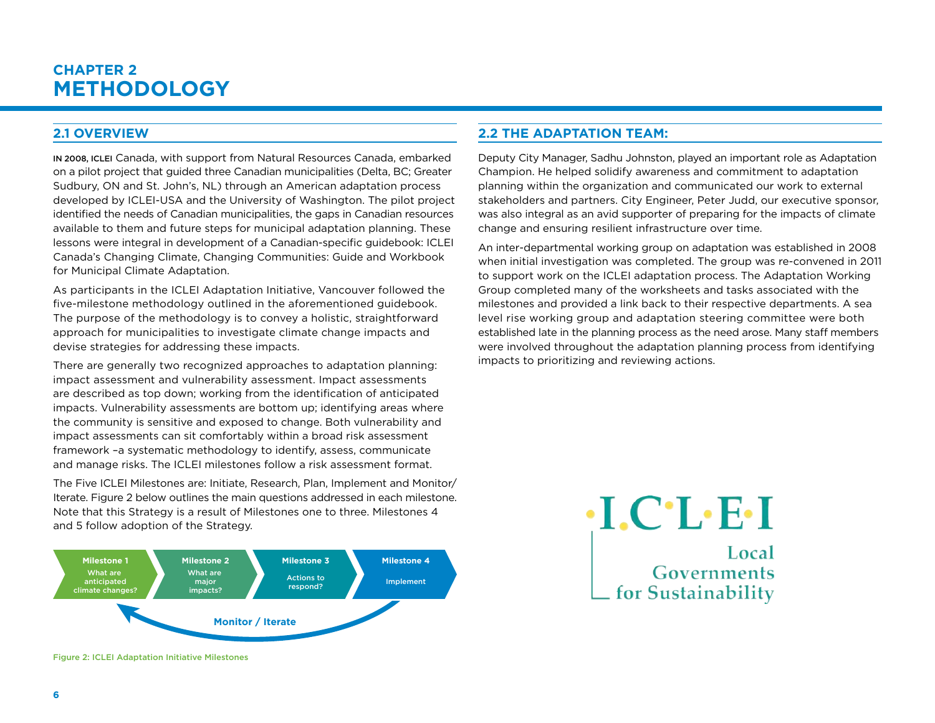### **Chapter 2 Methodology**

#### **2.1 Overview**

In 2008, ICLEI Canada, with support from Natural Resources Canada, embarked on a pilot project that guided three Canadian municipalities (Delta, BC; Greater Sudbury, ON and St. John's, NL) through an American adaptation process developed by ICLEI-USA and the University of Washington. The pilot project identified the needs of Canadian municipalities, the gaps in Canadian resources available to them and future steps for municipal adaptation planning. These lessons were integral in development of a Canadian-specific guidebook: ICLEI Canada's Changing Climate, Changing Communities: Guide and Workbook for Municipal Climate Adaptation.

As participants in the ICLEI Adaptation Initiative, Vancouver followed the five-milestone methodology outlined in the aforementioned guidebook. The purpose of the methodology is to convey a holistic, straightforward approach for municipalities to investigate climate change impacts and devise strategies for addressing these impacts.

There are generally two recognized approaches to adaptation planning: impact assessment and vulnerability assessment. Impact assessments are described as top down; working from the identification of anticipated impacts. Vulnerability assessments are bottom up; identifying areas where the community is sensitive and exposed to change. Both vulnerability and impact assessments can sit comfortably within a broad risk assessment framework –a systematic methodology to identify, assess, communicate and manage risks. The ICLEI milestones follow a risk assessment format.

The Five ICLEI Milestones are: Initiate, Research, Plan, Implement and Monitor/ Iterate. Figure 2 below outlines the main questions addressed in each milestone. Note that this Strategy is a result of Milestones one to three. Milestones 4 and 5 follow adoption of the Strategy.



Figure 2: ICLEI Adaptation Initiative Milestones

#### **2.2 The Adaptation Team:**

Deputy City Manager, Sadhu Johnston, played an important role as Adaptation Champion. He helped solidify awareness and commitment to adaptation planning within the organization and communicated our work to external stakeholders and partners. City Engineer, Peter Judd, our executive sponsor, was also integral as an avid supporter of preparing for the impacts of climate change and ensuring resilient infrastructure over time.

An inter-departmental working group on adaptation was established in 2008 when initial investigation was completed. The group was re-convened in 2011 to support work on the ICLEI adaptation process. The Adaptation Working Group completed many of the worksheets and tasks associated with the milestones and provided a link back to their respective departments. A sea level rise working group and adaptation steering committee were both established late in the planning process as the need arose. Many staff members were involved throughout the adaptation planning process from identifying impacts to prioritizing and reviewing actions.

> $\cdot$ I.C $\cdot$ L $\cdot$ E $\cdot$ I Local<br>Governments Local for Sustainability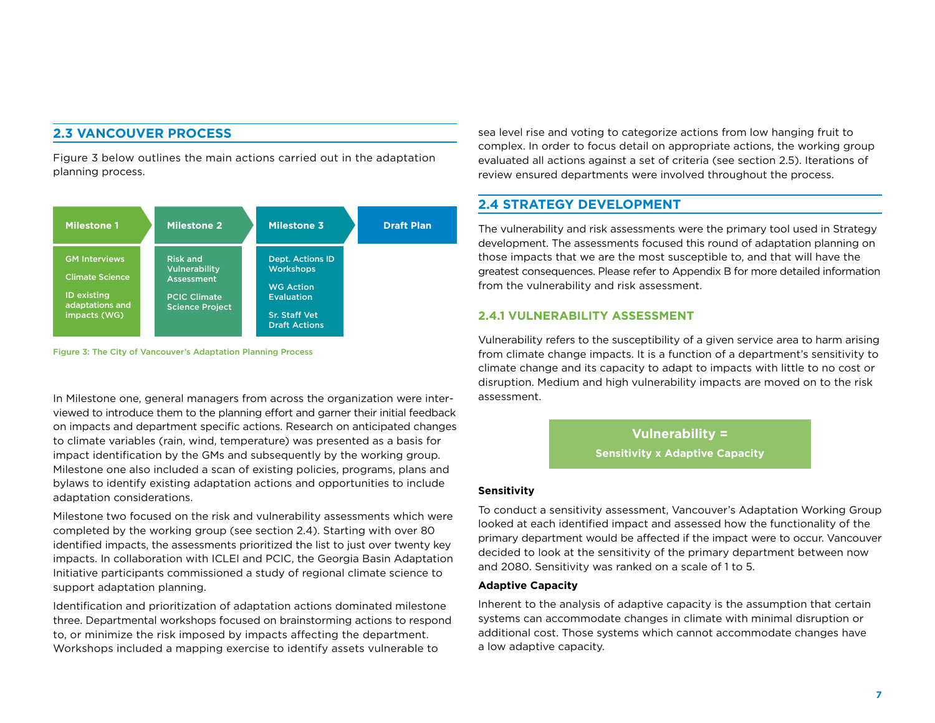#### **2.3 Vancouver Process**

Figure 3 below outlines the main actions carried out in the adaptation planning process.



Figure 3: The City of Vancouver's Adaptation Planning Process

In Milestone one, general managers from across the organization were interviewed to introduce them to the planning effort and garner their initial feedback on impacts and department specific actions. Research on anticipated changes to climate variables (rain, wind, temperature) was presented as a basis for impact identification by the GMs and subsequently by the working group. Milestone one also included a scan of existing policies, programs, plans and bylaws to identify existing adaptation actions and opportunities to include adaptation considerations.

Milestone two focused on the risk and vulnerability assessments which were completed by the working group (see section 2.4). Starting with over 80 identified impacts, the assessments prioritized the list to just over twenty key impacts. In collaboration with ICLEI and PCIC, the Georgia Basin Adaptation Initiative participants commissioned a study of regional climate science to support adaptation planning.

Identification and prioritization of adaptation actions dominated milestone three. Departmental workshops focused on brainstorming actions to respond to, or minimize the risk imposed by impacts affecting the department. Workshops included a mapping exercise to identify assets vulnerable to

sea level rise and voting to categorize actions from low hanging fruit to complex. In order to focus detail on appropriate actions, the working group evaluated all actions against a set of criteria (see section 2.5). Iterations of review ensured departments were involved throughout the process.

#### **2.4 Strategy Development**

The vulnerability and risk assessments were the primary tool used in Strategy development. The assessments focused this round of adaptation planning on those impacts that we are the most susceptible to, and that will have the greatest consequences. Please refer to Appendix B for more detailed information from the vulnerability and risk assessment.

#### **2.4.1 Vulnerability Assessment**

Vulnerability refers to the susceptibility of a given service area to harm arising from climate change impacts. It is a function of a department's sensitivity to climate change and its capacity to adapt to impacts with little to no cost or disruption. Medium and high vulnerability impacts are moved on to the risk assessment.

> **Vulnerability = Sensitivity x Adaptive Capacity**

#### **Sensitivity**

To conduct a sensitivity assessment, Vancouver's Adaptation Working Group looked at each identified impact and assessed how the functionality of the primary department would be affected if the impact were to occur. Vancouver decided to look at the sensitivity of the primary department between now and 2080. Sensitivity was ranked on a scale of 1 to 5.

#### **Adaptive Capacity**

Inherent to the analysis of adaptive capacity is the assumption that certain systems can accommodate changes in climate with minimal disruption or additional cost. Those systems which cannot accommodate changes have a low adaptive capacity.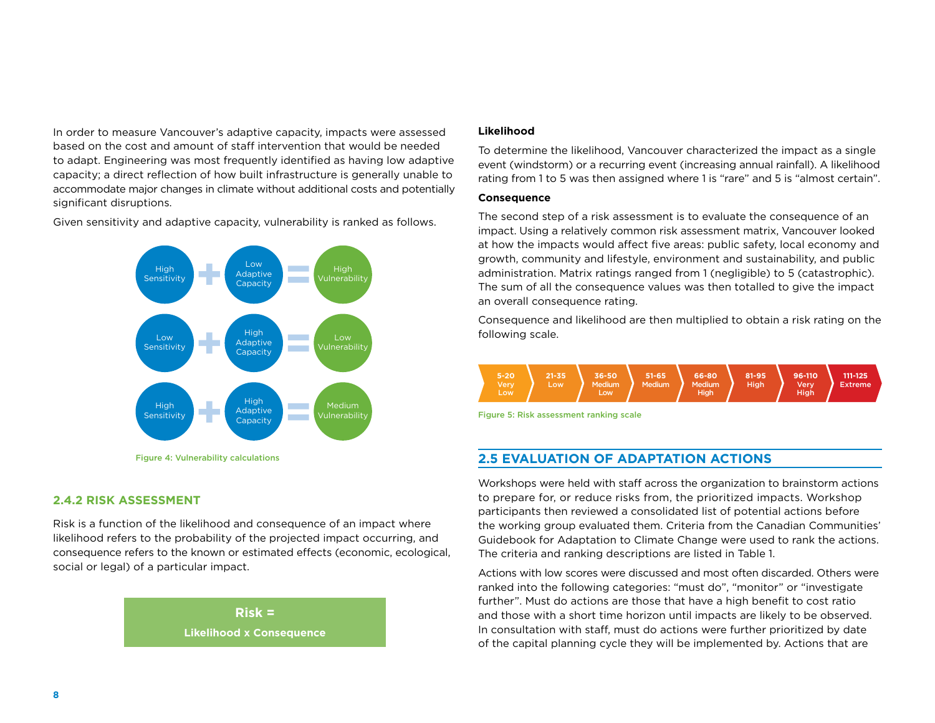In order to measure Vancouver's adaptive capacity, impacts were assessed based on the cost and amount of staff intervention that would be needed to adapt. Engineering was most frequently identified as having low adaptive capacity; a direct reflection of how built infrastructure is generally unable to accommodate major changes in climate without additional costs and potentially significant disruptions.

Given sensitivity and adaptive capacity, vulnerability is ranked as follows.



#### **2.4.2 Risk Assessment**

Risk is a function of the likelihood and consequence of an impact where likelihood refers to the probability of the projected impact occurring, and consequence refers to the known or estimated effects (economic, ecological, social or legal) of a particular impact.



#### **Likelihood**

To determine the likelihood, Vancouver characterized the impact as a single event (windstorm) or a recurring event (increasing annual rainfall). A likelihood rating from 1 to 5 was then assigned where 1 is "rare" and 5 is "almost certain".

#### **Consequence**

The second step of a risk assessment is to evaluate the consequence of an impact. Using a relatively common risk assessment matrix, Vancouver looked at how the impacts would affect five areas: public safety, local economy and growth, community and lifestyle, environment and sustainability, and public administration. Matrix ratings ranged from 1 (negligible) to 5 (catastrophic). The sum of all the consequence values was then totalled to give the impact an overall consequence rating.

Consequence and likelihood are then multiplied to obtain a risk rating on the following scale.



Figure 5: Risk assessment ranking scale

#### **2.5 Evaluation of Adaptation Actions**

Workshops were held with staff across the organization to brainstorm actions to prepare for, or reduce risks from, the prioritized impacts. Workshop participants then reviewed a consolidated list of potential actions before the working group evaluated them. Criteria from the Canadian Communities' Guidebook for Adaptation to Climate Change were used to rank the actions. The criteria and ranking descriptions are listed in Table 1.

Actions with low scores were discussed and most often discarded. Others were ranked into the following categories: "must do", "monitor" or "investigate further". Must do actions are those that have a high benefit to cost ratio and those with a short time horizon until impacts are likely to be observed. In consultation with staff, must do actions were further prioritized by date of the capital planning cycle they will be implemented by. Actions that are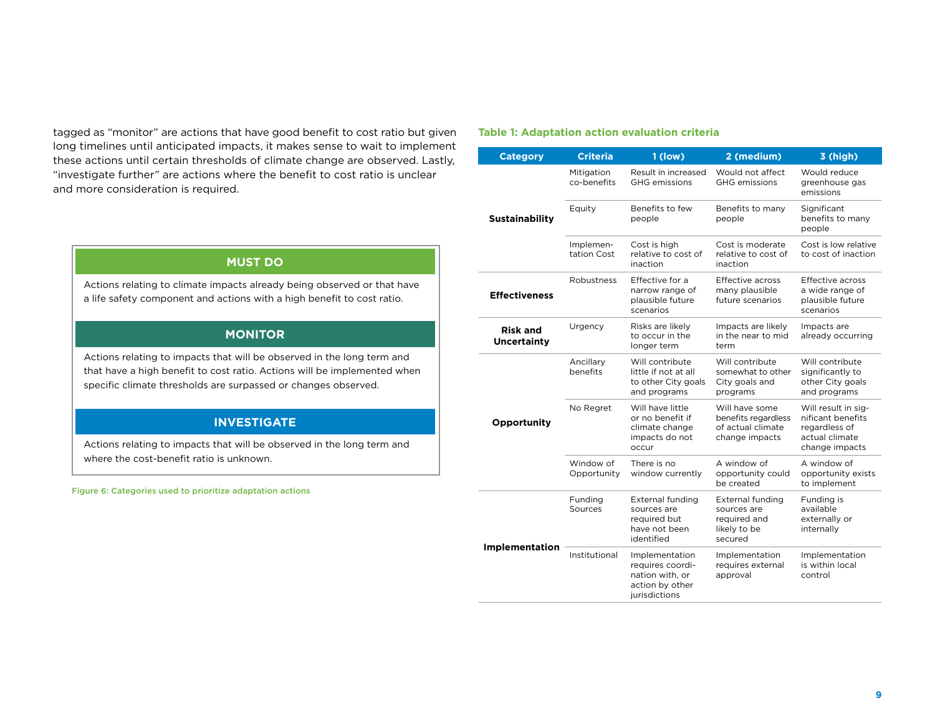tagged as "monitor" are actions that have good benefit to cost ratio but given long timelines until anticipated impacts, it makes sense to wait to implement these actions until certain thresholds of climate change are observed. Lastly, "investigate further" are actions where the benefit to cost ratio is unclear and more consideration is required.

#### **MUST DO**

Actions relating to climate impacts already being observed or that have a life safety component and actions with a high benefit to cost ratio.

#### **MONITOR**

Actions relating to impacts that will be observed in the long term and that have a high benefit to cost ratio. Actions will be implemented when specific climate thresholds are surpassed or changes observed.

#### **INVESTIGATE**

Actions relating to impacts that will be observed in the long term and where the cost-benefit ratio is unknown.

Figure 6: Categories used to prioritize adaptation actions

#### **Table 1: Adaptation action evaluation criteria**

| <b>Category</b>                       | <b>Criteria</b>           | 1 (low)                                                                                   | 2 (medium)                                                                   | 3 (high)                                                                                      |
|---------------------------------------|---------------------------|-------------------------------------------------------------------------------------------|------------------------------------------------------------------------------|-----------------------------------------------------------------------------------------------|
|                                       | Mitigation<br>co-benefits | Result in increased<br><b>GHG</b> emissions                                               | Would not affect<br><b>GHG</b> emissions                                     | Would reduce<br>greenhouse gas<br>emissions                                                   |
| <b>Sustainability</b>                 | Equity                    | Benefits to few<br>people                                                                 | Benefits to many<br>people                                                   | Significant<br>benefits to many<br>people                                                     |
|                                       | Implemen-<br>tation Cost  | Cost is high<br>relative to cost of<br>inaction                                           | Cost is moderate<br>relative to cost of<br>inaction                          | Cost is low relative<br>to cost of inaction                                                   |
| <b>Effectiveness</b>                  | Robustness                | Effective for a<br>narrow range of<br>plausible future<br>scenarios                       | Effective across<br>many plausible<br>future scenarios                       | Effective across<br>a wide range of<br>plausible future<br>scenarios                          |
| <b>Risk and</b><br><b>Uncertainty</b> | Urgency                   | Risks are likely<br>to occur in the<br>longer term                                        | Impacts are likely<br>in the near to mid<br>term                             | Impacts are<br>already occurring                                                              |
|                                       | Ancillary<br>benefits     | Will contribute<br>little if not at all<br>to other City goals<br>and programs            | Will contribute<br>somewhat to other<br>City goals and<br>programs           | Will contribute<br>significantly to<br>other City goals<br>and programs                       |
| Opportunity                           | No Regret                 | Will have little<br>or no benefit if<br>climate change<br>impacts do not<br>occur         | Will have some<br>benefits regardless<br>of actual climate<br>change impacts | Will result in sig-<br>nificant benefits<br>regardless of<br>actual climate<br>change impacts |
|                                       | Window of<br>Opportunity  | There is no<br>window currently                                                           | A window of<br>opportunity could<br>be created                               | A window of<br>opportunity exists<br>to implement                                             |
|                                       | Funding<br>Sources        | <b>External funding</b><br>sources are<br>required but<br>have not been<br>identified     | External funding<br>sources are<br>required and<br>likely to be<br>secured   | Funding is<br>available<br>externally or<br>internally                                        |
| <b>Implementation</b>                 | Institutional             | Implementation<br>requires coordi-<br>nation with, or<br>action by other<br>jurisdictions | Implementation<br>requires external<br>approval                              | Implementation<br>is within local<br>control                                                  |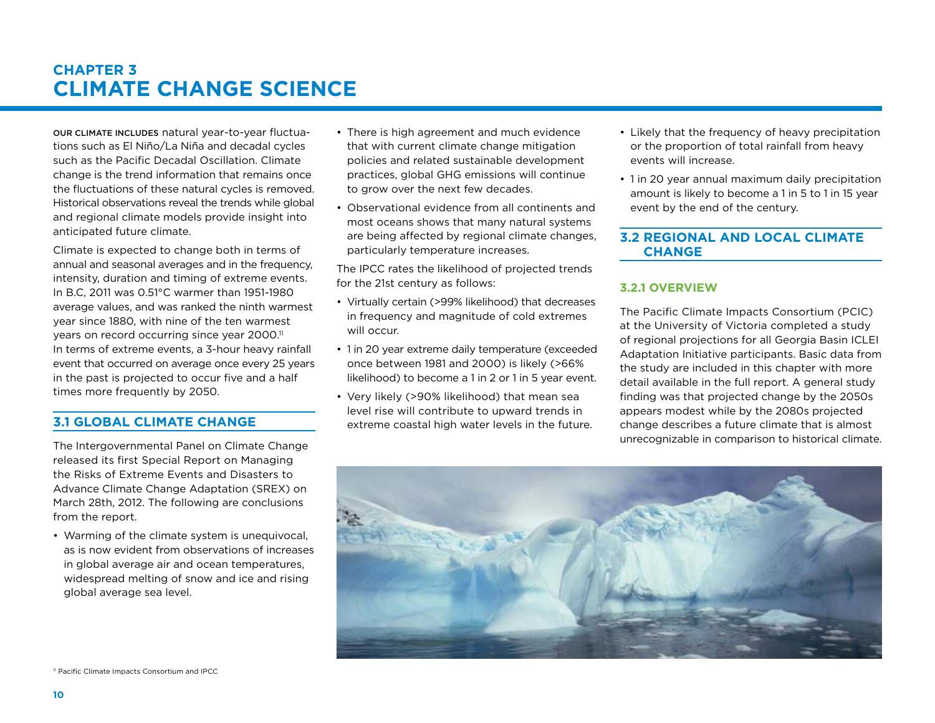### **Chapter 3 Climate Change Science**

Our climate includes natural year-to-year fluctuations such as El Niño/La Niña and decadal cycles such as the Pacific Decadal Oscillation. Climate change is the trend information that remains once the fluctuations of these natural cycles is removed. Historical observations reveal the trends while global and regional climate models provide insight into anticipated future climate.

Climate is expected to change both in terms of annual and seasonal averages and in the frequency, intensity, duration and timing of extreme events. In B.C, 2011 was 0.51°C warmer than 1951-1980 average values, and was ranked the ninth warmest year since 1880, with nine of the ten warmest years on record occurring since year 2000.<sup>11</sup> In terms of extreme events, a 3-hour heavy rainfall event that occurred on average once every 25 years in the past is projected to occur five and a half times more frequently by 2050.

#### **3.1 Global Climate Change**

The Intergovernmental Panel on Climate Change released its first Special Report on Managing the Risks of Extreme Events and Disasters to Advance Climate Change Adaptation (SREX) on March 28th, 2012. The following are conclusions from the report.

• Warming of the climate system is unequivocal, as is now evident from observations of increases in global average air and ocean temperatures, widespread melting of snow and ice and rising global average sea level.

- There is high agreement and much evidence that with current climate change mitigation policies and related sustainable development practices, global GHG emissions will continue to grow over the next few decades.
- Observational evidence from all continents and most oceans shows that many natural systems are being affected by regional climate changes, particularly temperature increases.

The IPCC rates the likelihood of projected trends for the 21st century as follows:

- Virtually certain (>99% likelihood) that decreases in frequency and magnitude of cold extremes will occur.
- 1 in 20 year extreme daily temperature (exceeded once between 1981 and 2000) is likely (>66% likelihood) to become a 1 in 2 or 1 in 5 year event.
- Very likely (>90% likelihood) that mean sea level rise will contribute to upward trends in extreme coastal high water levels in the future.
- Likely that the frequency of heavy precipitation or the proportion of total rainfall from heavy events will increase.
- 1 in 20 year annual maximum daily precipitation amount is likely to become a 1 in 5 to 1 in 15 year event by the end of the century.

#### **3.2 Regional and Local Climate Change**

#### **3.2.1 Overview**

The Pacific Climate Impacts Consortium (PCIC) at the University of Victoria completed a study of regional projections for all Georgia Basin ICLEI Adaptation Initiative participants. Basic data from the study are included in this chapter with more detail available in the full report. A general study finding was that projected change by the 2050s appears modest while by the 2080s projected change describes a future climate that is almost unrecognizable in comparison to historical climate.



<sup>11</sup> Pacific Climate Impacts Consortium and IPCC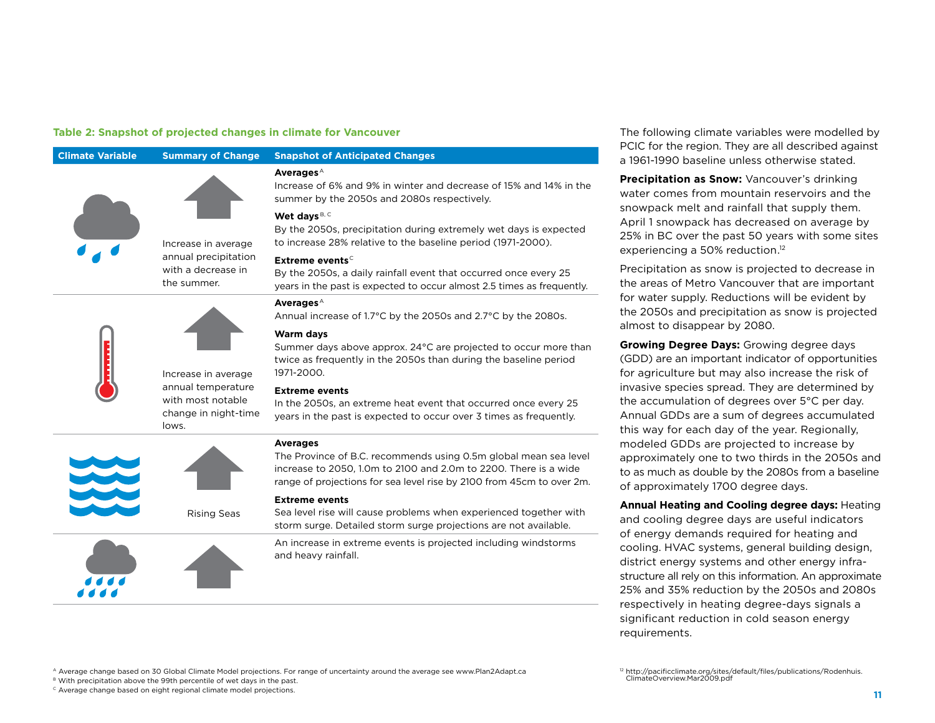#### **Table 2: Snapshot of projected changes in climate for Vancouver**

| <b>Climate Variable</b> | <b>Summary of Change</b>                                                 | <b>Snapshot of Anticipated Changes</b>                                                                                                                                                                                           |
|-------------------------|--------------------------------------------------------------------------|----------------------------------------------------------------------------------------------------------------------------------------------------------------------------------------------------------------------------------|
|                         |                                                                          | Averages $^{\text{A}}$<br>Increase of 6% and 9% in winter and decrease of 15% and 14% in the<br>summer by the 2050s and 2080s respectively.                                                                                      |
|                         | Increase in average                                                      | Wet days B, C<br>By the 2050s, precipitation during extremely wet days is expected<br>to increase 28% relative to the baseline period (1971-2000).                                                                               |
|                         | annual precipitation<br>with a decrease in<br>the summer.                | Extreme events <sup>c</sup><br>By the 2050s, a daily rainfall event that occurred once every 25<br>years in the past is expected to occur almost 2.5 times as frequently.                                                        |
|                         |                                                                          | <b>Averages</b> <sup>A</sup><br>Annual increase of 1.7°C by the 2050s and 2.7°C by the 2080s.                                                                                                                                    |
|                         | Increase in average                                                      | <b>Warm days</b><br>Summer days above approx. 24°C are projected to occur more than<br>twice as frequently in the 2050s than during the baseline period<br>1971-2000.                                                            |
|                         | annual temperature<br>with most notable<br>change in night-time<br>lows. | <b>Extreme events</b><br>In the 2050s, an extreme heat event that occurred once every 25<br>years in the past is expected to occur over 3 times as frequently.                                                                   |
|                         |                                                                          | <b>Averages</b><br>The Province of B.C. recommends using 0.5m global mean sea level<br>increase to 2050, 1.0m to 2100 and 2.0m to 2200. There is a wide<br>range of projections for sea level rise by 2100 from 45cm to over 2m. |
|                         | <b>Rising Seas</b>                                                       | <b>Extreme events</b><br>Sea level rise will cause problems when experienced together with<br>storm surge. Detailed storm surge projections are not available.                                                                   |
|                         |                                                                          | An increase in extreme events is projected including windstorms<br>and heavy rainfall.                                                                                                                                           |

The following climate variables were modelled by PCIC for the region. They are all described against a 1961-1990 baseline unless otherwise stated.

**Precipitation as Snow:** Vancouver's drinking water comes from mountain reservoirs and the snowpack melt and rainfall that supply them. April 1 snowpack has decreased on average by 25% in BC over the past 50 years with some sites experiencing a 50% reduction.<sup>12</sup>

Precipitation as snow is projected to decrease in the areas of Metro Vancouver that are important for water supply. Reductions will be evident by the 2050s and precipitation as snow is projected almost to disappear by 2080.

**Growing Degree Days:** Growing degree days (GDD) are an important indicator of opportunities for agriculture but may also increase the risk of invasive species spread. They are determined by the accumulation of degrees over 5°C per day. Annual GDDs are a sum of degrees accumulated this way for each day of the year. Regionally, modeled GDDs are projected to increase by approximately one to two thirds in the 2050s and to as much as double by the 2080s from a baseline of approximately 1700 degree days.

**Annual Heating and Cooling degree days:** Heating and cooling degree days are useful indicators of energy demands required for heating and cooling. HVAC systems, general building design, district energy systems and other energy infrastructure all rely on this information. An approximate 25% and 35% reduction by the 2050s and 2080s respectively in heating degree-days signals a significant reduction in cold season energy requirements.

```
A Average change based on 30 Global Climate Model projections. For range of uncertainty around the average see www.Plan2Adapt.ca
```
B With precipitation above the 99th percentile of wet days in the past.

 $\textdegree$  Average change based on eight regional climate model projections.

<sup>12</sup> http://pacificclimate.org/sites/default/files/publications/Rodenhuis.<br>ClimateOverview.Mar2009.pdf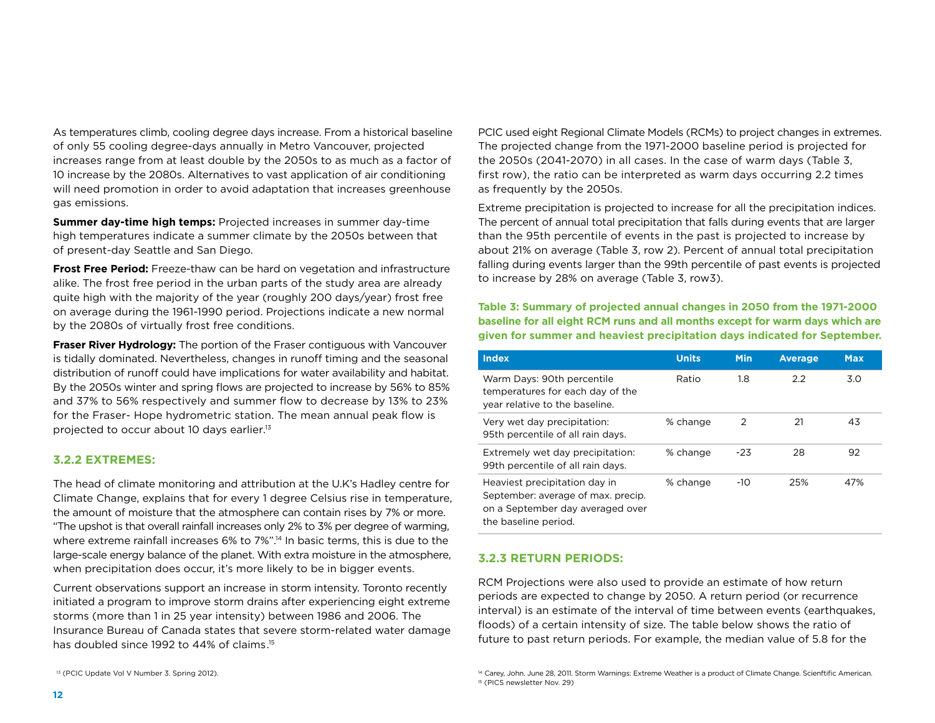As temperatures climb, cooling degree days increase. From a historical baseline of only 55 cooling degree-days annually in Metro Vancouver, projected increases range from at least double by the 2050s to as much as a factor of 10 increase by the 2080s. Alternatives to vast application of air conditioning will need promotion in order to avoid adaptation that increases greenhouse gas emissions.

**Summer day-time high temps:** Projected increases in summer day-time high temperatures indicate a summer climate by the 2050s between that of present-day Seattle and San Diego.

**Frost Free Period:** Freeze-thaw can be hard on vegetation and infrastructure alike. The frost free period in the urban parts of the study area are already quite high with the majority of the year (roughly 200 days/year) frost free on average during the 1961-1990 period. Projections indicate a new normal by the 2080s of virtually frost free conditions.

**Fraser River Hydrology:** The portion of the Fraser contiguous with Vancouver is tidally dominated. Nevertheless, changes in runoff timing and the seasonal distribution of runoff could have implications for water availability and habitat. By the 2050s winter and spring flows are projected to increase by 56% to 85% and 37% to 56% respectively and summer flow to decrease by 13% to 23% for the Fraser- Hope hydrometric station. The mean annual peak flow is projected to occur about 10 days earlier.13

#### **3.2.2 Extremes:**

The head of climate monitoring and attribution at the U.K's Hadley centre for Climate Change, explains that for every 1 degree Celsius rise in temperature, the amount of moisture that the atmosphere can contain rises by 7% or more. "The upshot is that overall rainfall increases only 2% to 3% per degree of warming, where extreme rainfall increases 6% to 7%".<sup>14</sup> In basic terms, this is due to the large-scale energy balance of the planet. With extra moisture in the atmosphere, when precipitation does occur, it's more likely to be in bigger events.

Current observations support an increase in storm intensity. Toronto recently initiated a program to improve storm drains after experiencing eight extreme storms (more than 1 in 25 year intensity) between 1986 and 2006. The Insurance Bureau of Canada states that severe storm-related water damage has doubled since 1992 to 44% of claims.15

PCIC used eight Regional Climate Models (RCMs) to project changes in extremes. The projected change from the 1971-2000 baseline period is projected for the 2050s (2041-2070) in all cases. In the case of warm days (Table 3, first row), the ratio can be interpreted as warm days occurring 2.2 times as frequently by the 2050s.

Extreme precipitation is projected to increase for all the precipitation indices. The percent of annual total precipitation that falls during events that are larger than the 95th percentile of events in the past is projected to increase by about 21% on average (Table 3, row 2). Percent of annual total precipitation falling during events larger than the 99th percentile of past events is projected to increase by 28% on average (Table 3, row3).

#### **Table 3: Summary of projected annual changes in 2050 from the 1971-2000 baseline for all eight RCM runs and all months except for warm days which are given for summer and heaviest precipitation days indicated for September.**

| <b>Index</b>                                                                                                                    | <b>Units</b> | <b>Min</b> | <b>Average</b> | <b>Max</b> |
|---------------------------------------------------------------------------------------------------------------------------------|--------------|------------|----------------|------------|
| Warm Days: 90th percentile<br>temperatures for each day of the<br>year relative to the baseline.                                | Ratio        | 1.8        | 2.2            | 3.0        |
| Very wet day precipitation:<br>95th percentile of all rain days.                                                                | % change     | 2          | 21             | 43         |
| Extremely wet day precipitation:<br>99th percentile of all rain days.                                                           | % change     | $-23$      | 28             | 92         |
| Heaviest precipitation day in<br>September: average of max. precip.<br>on a September day averaged over<br>the baseline period. | % change     | $-10$      | 25%            | 47%        |

#### **3.2.3 Return Periods:**

RCM Projections were also used to provide an estimate of how return periods are expected to change by 2050. A return period (or recurrence interval) is an estimate of the interval of time between events (earthquakes, floods) of a certain intensity of size. The table below shows the ratio of future to past return periods. For example, the median value of 5.8 for the

<sup>&</sup>lt;sup>13</sup> (PCIC Update Vol V Number 3. Spring 2012). 14 Carey, John. June 28, 2011. Storm Warnings: Extreme Weather is a product of Climate Change. Scienftific American. 15 (PICS newsletter Nov. 29)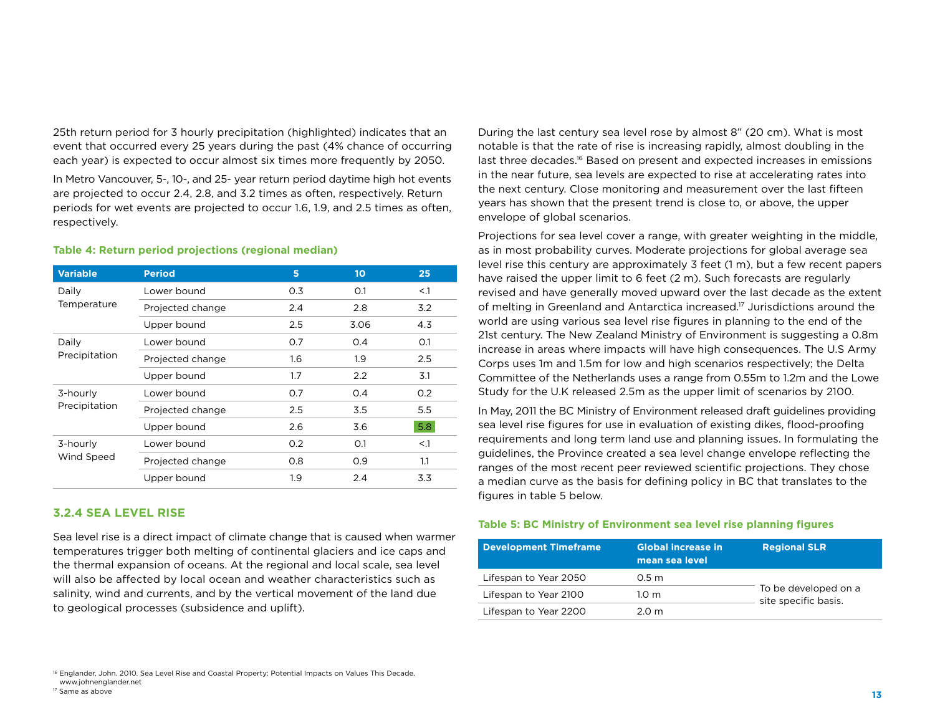25th return period for 3 hourly precipitation (highlighted) indicates that an event that occurred every 25 years during the past (4% chance of occurring each year) is expected to occur almost six times more frequently by 2050.

In Metro Vancouver, 5-, 10-, and 25- year return period daytime high hot events are projected to occur 2.4, 2.8, and 3.2 times as often, respectively. Return periods for wet events are projected to occur 1.6, 1.9, and 2.5 times as often, respectively.

#### **Table 4: Return period projections (regional median)**

| <b>Variable</b> | <b>Period</b>    | 5   | 10 <sub>o</sub> | 25     |
|-----------------|------------------|-----|-----------------|--------|
| Daily           | Lower bound      | 0.3 | O.1             | $<$ .1 |
| Temperature     | Projected change | 2.4 | 2.8             | 3.2    |
|                 | Upper bound      | 2.5 | 3.06            | 4.3    |
| Daily           | Lower bound      | 0.7 | 0.4             | O.1    |
| Precipitation   | Projected change | 1.6 | 1.9             | 2.5    |
|                 | Upper bound      | 1.7 | 2.2             | 3.1    |
| 3-hourly        | Lower bound      | 0.7 | 0.4             | 0.2    |
| Precipitation   | Projected change | 2.5 | 3.5             | 5.5    |
|                 | Upper bound      | 2.6 | 3.6             | 5.8    |
| 3-hourly        | Lower bound      | O.2 | O.1             | $<$ .1 |
| Wind Speed      | Projected change | 0.8 | O.9             | 1.1    |
|                 | Upper bound      | 1.9 | 2.4             | 3.3    |

#### **3.2.4 Sea Level Rise**

Sea level rise is a direct impact of climate change that is caused when warmer temperatures trigger both melting of continental glaciers and ice caps and the thermal expansion of oceans. At the regional and local scale, sea level will also be affected by local ocean and weather characteristics such as salinity, wind and currents, and by the vertical movement of the land due to geological processes (subsidence and uplift).

During the last century sea level rose by almost 8" (20 cm). What is most notable is that the rate of rise is increasing rapidly, almost doubling in the last three decades.<sup>16</sup> Based on present and expected increases in emissions in the near future, sea levels are expected to rise at accelerating rates into the next century. Close monitoring and measurement over the last fifteen years has shown that the present trend is close to, or above, the upper envelope of global scenarios.

Projections for sea level cover a range, with greater weighting in the middle, as in most probability curves. Moderate projections for global average sea level rise this century are approximately 3 feet (1 m), but a few recent papers have raised the upper limit to 6 feet (2 m). Such forecasts are regularly revised and have generally moved upward over the last decade as the extent of melting in Greenland and Antarctica increased.17 Jurisdictions around the world are using various sea level rise figures in planning to the end of the 21st century. The New Zealand Ministry of Environment is suggesting a 0.8m increase in areas where impacts will have high consequences. The U.S Army Corps uses 1m and 1.5m for low and high scenarios respectively; the Delta Committee of the Netherlands uses a range from 0.55m to 1.2m and the Lowe Study for the U.K released 2.5m as the upper limit of scenarios by 2100.

In May, 2011 the BC Ministry of Environment released draft guidelines providing sea level rise figures for use in evaluation of existing dikes, flood-proofing requirements and long term land use and planning issues. In formulating the guidelines, the Province created a sea level change envelope reflecting the ranges of the most recent peer reviewed scientific projections. They chose a median curve as the basis for defining policy in BC that translates to the figures in table 5 below.

#### **Table 5: BC Ministry of Environment sea level rise planning figures**

| <b>Development Timeframe</b> | <b>Global increase in</b><br>mean sea level | <b>Regional SLR</b>                          |
|------------------------------|---------------------------------------------|----------------------------------------------|
| Lifespan to Year 2050        | 0.5 <sub>m</sub>                            |                                              |
| Lifespan to Year 2100        | 1.0 <sub>m</sub>                            | To be developed on a<br>site specific basis. |
| Lifespan to Year 2200        | 2.0 m                                       |                                              |

<sup>16</sup> Englander, John. 2010. Sea Level Rise and Coastal Property: Potential Impacts on Values This Decade. www.johnenglander.net

<sup>17</sup> Same as above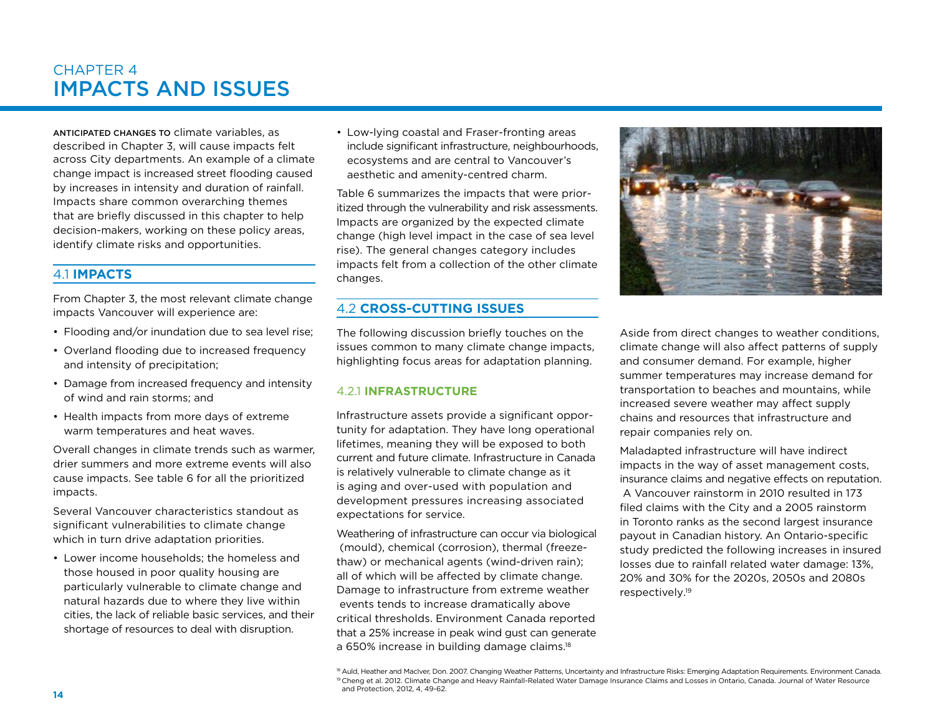### CHAPTER 4 Impacts and Issues

Anticipated changes to climate variables, as described in Chapter 3, will cause impacts felt across City departments. An example of a climate change impact is increased street flooding caused by increases in intensity and duration of rainfall. Impacts share common overarching themes that are briefly discussed in this chapter to help decision-makers, working on these policy areas, identify climate risks and opportunities.

#### 4.1 **Impacts**

From Chapter 3, the most relevant climate change impacts Vancouver will experience are:

- Flooding and/or inundation due to sea level rise;
- Overland flooding due to increased frequency and intensity of precipitation;
- Damage from increased frequency and intensity of wind and rain storms; and
- Health impacts from more days of extreme warm temperatures and heat waves.

Overall changes in climate trends such as warmer, drier summers and more extreme events will also cause impacts. See table 6 for all the prioritized impacts.

Several Vancouver characteristics standout as significant vulnerabilities to climate change which in turn drive adaptation priorities.

• Lower income households; the homeless and those housed in poor quality housing are particularly vulnerable to climate change and natural hazards due to where they live within cities, the lack of reliable basic services, and their shortage of resources to deal with disruption.

• Low-lying coastal and Fraser-fronting areas include significant infrastructure, neighbourhoods, ecosystems and are central to Vancouver's aesthetic and amenity-centred charm.

Table 6 summarizes the impacts that were prioritized through the vulnerability and risk assessments. Impacts are organized by the expected climate change (high level impact in the case of sea level rise). The general changes category includes impacts felt from a collection of the other climate changes.

#### 4.2 **Cross-cutting Issues**

The following discussion briefly touches on the issues common to many climate change impacts, highlighting focus areas for adaptation planning.

#### 4.2.1 **Infrastructure**

Infrastructure assets provide a significant opportunity for adaptation. They have long operational lifetimes, meaning they will be exposed to both current and future climate. Infrastructure in Canada is relatively vulnerable to climate change as it is aging and over-used with population and development pressures increasing associated expectations for service.

Weathering of infrastructure can occur via biological (mould), chemical (corrosion), thermal (freezethaw) or mechanical agents (wind-driven rain); all of which will be affected by climate change. Damage to infrastructure from extreme weather events tends to increase dramatically above critical thresholds. Environment Canada reported that a 25% increase in peak wind gust can generate a 650% increase in building damage claims.<sup>18</sup>



Aside from direct changes to weather conditions, climate change will also affect patterns of supply and consumer demand. For example, higher summer temperatures may increase demand for transportation to beaches and mountains, while increased severe weather may affect supply chains and resources that infrastructure and repair companies rely on.

Maladapted infrastructure will have indirect impacts in the way of asset management costs, insurance claims and negative effects on reputation. A Vancouver rainstorm in 2010 resulted in 173 filed claims with the City and a 2005 rainstorm in Toronto ranks as the second largest insurance payout in Canadian history. An Ontario-specific study predicted the following increases in insured losses due to rainfall related water damage: 13%, 20% and 30% for the 2020s, 2050s and 2080s respectively.19

<sup>18</sup> Auld, Heather and MacIver, Don. 2007. Changing Weather Patterns, Uncertainty and Infrastructure Risks: Emerging Adaptation Requirements. Environment Canada. <sup>19</sup> Cheng et al. 2012. Climate Change and Heavy Rainfall-Related Water Damage Insurance Claims and Losses in Ontario, Canada. Journal of Water Resource and Protection, 2012, 4, 49-62.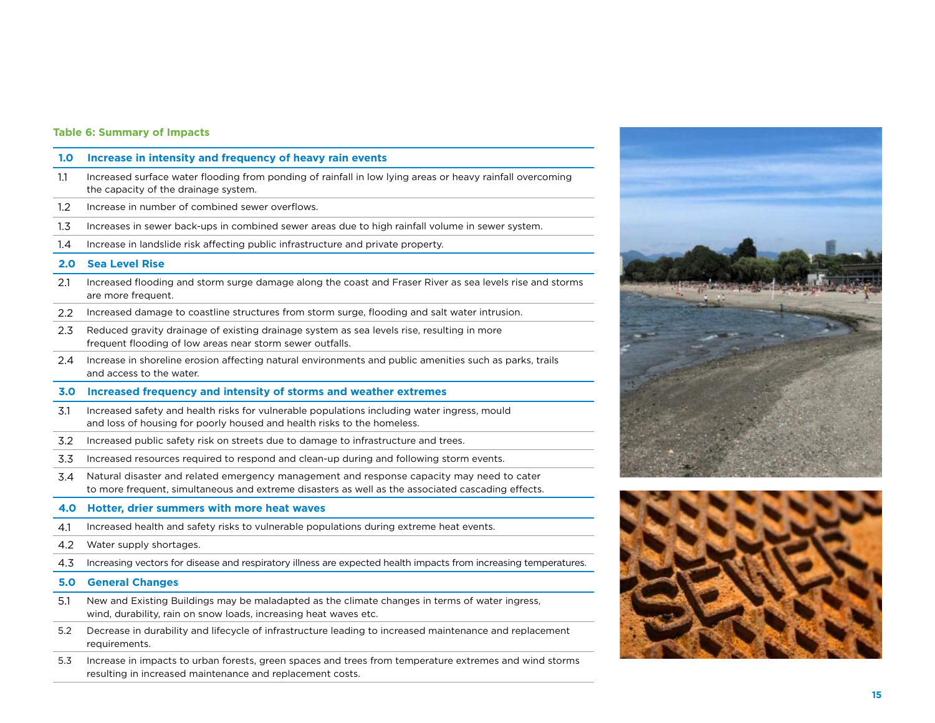| 1.0              | Increase in intensity and frequency of heavy rain events                                                                                                                                       |
|------------------|------------------------------------------------------------------------------------------------------------------------------------------------------------------------------------------------|
| 1.1              | Increased surface water flooding from ponding of rainfall in low lying areas or heavy rainfall overcoming<br>the capacity of the drainage system.                                              |
| $1.2\,$          | Increase in number of combined sewer overflows.                                                                                                                                                |
| $1.3\phantom{0}$ | Increases in sewer back-ups in combined sewer areas due to high rainfall volume in sewer system.                                                                                               |
| 1.4              | Increase in landslide risk affecting public infrastructure and private property.                                                                                                               |
| 2.0              | <b>Sea Level Rise</b>                                                                                                                                                                          |
| 2.1              | Increased flooding and storm surge damage along the coast and Fraser River as sea levels rise and storms<br>are more frequent.                                                                 |
| 2.2              | Increased damage to coastline structures from storm surge, flooding and salt water intrusion.                                                                                                  |
| 2.3              | Reduced gravity drainage of existing drainage system as sea levels rise, resulting in more<br>frequent flooding of low areas near storm sewer outfalls.                                        |
| 2.4              | Increase in shoreline erosion affecting natural environments and public amenities such as parks, trails<br>and access to the water.                                                            |
| 3.0              | Increased frequency and intensity of storms and weather extremes                                                                                                                               |
| 3.1              | Increased safety and health risks for vulnerable populations including water ingress, mould<br>and loss of housing for poorly housed and health risks to the homeless.                         |
| 3.2              | Increased public safety risk on streets due to damage to infrastructure and trees.                                                                                                             |
| 3.3              | Increased resources required to respond and clean-up during and following storm events.                                                                                                        |
| 3.4              | Natural disaster and related emergency management and response capacity may need to cater<br>to more frequent, simultaneous and extreme disasters as well as the associated cascading effects. |
| 4.0              | Hotter, drier summers with more heat waves                                                                                                                                                     |
| 4.1              | Increased health and safety risks to vulnerable populations during extreme heat events.                                                                                                        |
| 4.2              | Water supply shortages.                                                                                                                                                                        |
| 4.3              | Increasing vectors for disease and respiratory illness are expected health impacts from increasing temperatures.                                                                               |
| 5.0              | <b>General Changes</b>                                                                                                                                                                         |
| 5.1              | New and Existing Buildings may be maladapted as the climate changes in terms of water ingress,<br>wind, durability, rain on snow loads, increasing heat waves etc.                             |
| 5.2              | Decrease in durability and lifecycle of infrastructure leading to increased maintenance and replacement<br>requirements.                                                                       |
| 5.3              | Increase in impacts to urban forests, green spaces and trees from temperature extremes and wind storms<br>resulting in increased maintenance and replacement costs.                            |
|                  |                                                                                                                                                                                                |

**Table 6: Summary of Impacts**



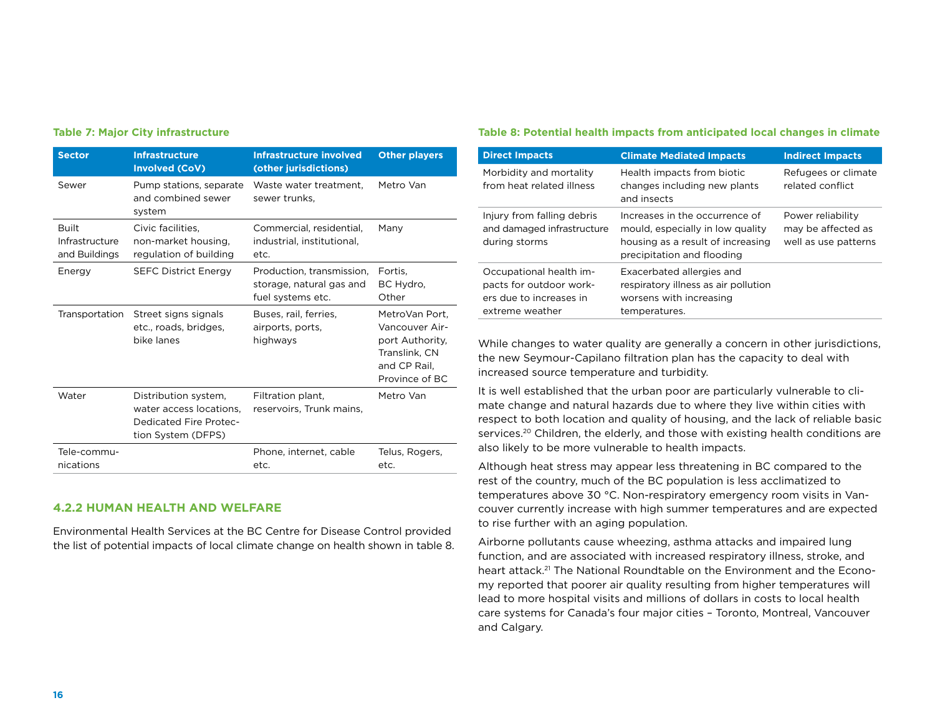| <b>Sector</b>                                   | <b>Infrastructure</b><br><b>Involved (CoV)</b>                                                  | <b>Infrastructure involved</b><br>(other jurisdictions)                    | <b>Other players</b>                                                                                   |
|-------------------------------------------------|-------------------------------------------------------------------------------------------------|----------------------------------------------------------------------------|--------------------------------------------------------------------------------------------------------|
| Sewer                                           | Pump stations, separate<br>and combined sewer<br>system                                         | Waste water treatment.<br>sewer trunks,                                    | Metro Van                                                                                              |
| <b>Built</b><br>Infrastructure<br>and Buildings | Civic facilities.<br>non-market housing,<br>regulation of building                              | Commercial, residential,<br>industrial, institutional,<br>etc.             | Many                                                                                                   |
| Energy                                          | <b>SEFC District Energy</b>                                                                     | Production, transmission,<br>storage, natural gas and<br>fuel systems etc. | Fortis.<br>BC Hydro,<br>Other                                                                          |
| Transportation                                  | Street signs signals<br>etc., roads, bridges,<br>bike lanes                                     | Buses, rail, ferries,<br>airports, ports,<br>highways                      | MetroVan Port.<br>Vancouver Air-<br>port Authority.<br>Translink, CN<br>and CP Rail.<br>Province of BC |
| Water                                           | Distribution system,<br>water access locations.<br>Dedicated Fire Protec-<br>tion System (DFPS) | Filtration plant,<br>reservoirs, Trunk mains,                              | Metro Van                                                                                              |
| Tele-commu-<br>nications                        |                                                                                                 | Phone, internet, cable<br>etc.                                             | Telus, Rogers,<br>etc.                                                                                 |

#### **4.2.2 Human Health and Welfare**

Environmental Health Services at the BC Centre for Disease Control provided the list of potential impacts of local climate change on health shown in table 8.

#### **Table 7: Major City infrastructure Table 8: Potential health impacts from anticipated local changes in climate**

| <b>Direct Impacts</b>                                                                            | <b>Climate Mediated Impacts</b>                                                                                                       | <b>Indirect Impacts</b>                                         |
|--------------------------------------------------------------------------------------------------|---------------------------------------------------------------------------------------------------------------------------------------|-----------------------------------------------------------------|
| Morbidity and mortality<br>from heat related illness                                             | Health impacts from biotic<br>changes including new plants<br>and insects                                                             | Refugees or climate<br>related conflict                         |
| Injury from falling debris<br>and damaged infrastructure<br>during storms                        | Increases in the occurrence of<br>mould, especially in low quality<br>housing as a result of increasing<br>precipitation and flooding | Power reliability<br>may be affected as<br>well as use patterns |
| Occupational health im-<br>pacts for outdoor work-<br>ers due to increases in<br>extreme weather | Exacerbated allergies and<br>respiratory illness as air pollution<br>worsens with increasing<br>temperatures.                         |                                                                 |

While changes to water quality are generally a concern in other jurisdictions, the new Seymour-Capilano filtration plan has the capacity to deal with increased source temperature and turbidity.

It is well established that the urban poor are particularly vulnerable to climate change and natural hazards due to where they live within cities with respect to both location and quality of housing, and the lack of reliable basic services.<sup>20</sup> Children, the elderly, and those with existing health conditions are also likely to be more vulnerable to health impacts.

Although heat stress may appear less threatening in BC compared to the rest of the country, much of the BC population is less acclimatized to temperatures above 30 °C. Non-respiratory emergency room visits in Vancouver currently increase with high summer temperatures and are expected to rise further with an aging population.

Airborne pollutants cause wheezing, asthma attacks and impaired lung function, and are associated with increased respiratory illness, stroke, and heart attack.<sup>21</sup> The National Roundtable on the Environment and the Economy reported that poorer air quality resulting from higher temperatures will lead to more hospital visits and millions of dollars in costs to local health care systems for Canada's four major cities – Toronto, Montreal, Vancouver and Calgary.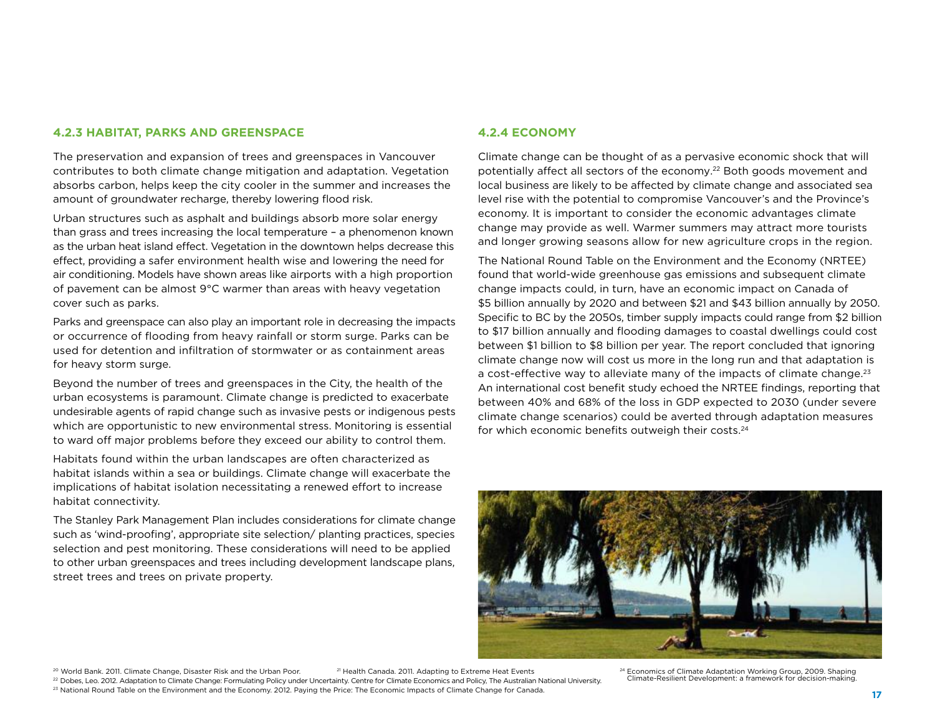#### **4.2.3 Habitat, Parks and Greenspace**

The preservation and expansion of trees and greenspaces in Vancouver contributes to both climate change mitigation and adaptation. Vegetation absorbs carbon, helps keep the city cooler in the summer and increases the amount of groundwater recharge, thereby lowering flood risk.

Urban structures such as asphalt and buildings absorb more solar energy than grass and trees increasing the local temperature – a phenomenon known as the urban heat island effect. Vegetation in the downtown helps decrease this effect, providing a safer environment health wise and lowering the need for air conditioning. Models have shown areas like airports with a high proportion of pavement can be almost 9°C warmer than areas with heavy vegetation cover such as parks.

Parks and greenspace can also play an important role in decreasing the impacts or occurrence of flooding from heavy rainfall or storm surge. Parks can be used for detention and infiltration of stormwater or as containment areas for heavy storm surge.

Beyond the number of trees and greenspaces in the City, the health of the urban ecosystems is paramount. Climate change is predicted to exacerbate undesirable agents of rapid change such as invasive pests or indigenous pests which are opportunistic to new environmental stress. Monitoring is essential to ward off major problems before they exceed our ability to control them.

Habitats found within the urban landscapes are often characterized as habitat islands within a sea or buildings. Climate change will exacerbate the implications of habitat isolation necessitating a renewed effort to increase habitat connectivity.

The Stanley Park Management Plan includes considerations for climate change such as 'wind-proofing', appropriate site selection/ planting practices, species selection and pest monitoring. These considerations will need to be applied to other urban greenspaces and trees including development landscape plans, street trees and trees on private property.

#### **4.2.4 Economy**

Climate change can be thought of as a pervasive economic shock that will potentially affect all sectors of the economy.22 Both goods movement and local business are likely to be affected by climate change and associated sea level rise with the potential to compromise Vancouver's and the Province's economy. It is important to consider the economic advantages climate change may provide as well. Warmer summers may attract more tourists and longer growing seasons allow for new agriculture crops in the region.

The National Round Table on the Environment and the Economy (NRTEE) found that world-wide greenhouse gas emissions and subsequent climate change impacts could, in turn, have an economic impact on Canada of \$5 billion annually by 2020 and between \$21 and \$43 billion annually by 2050. Specific to BC by the 2050s, timber supply impacts could range from \$2 billion to \$17 billion annually and flooding damages to coastal dwellings could cost between \$1 billion to \$8 billion per year. The report concluded that ignoring climate change now will cost us more in the long run and that adaptation is a cost-effective way to alleviate many of the impacts of climate change.<sup>23</sup> An international cost benefit study echoed the NRTEE findings, reporting that between 40% and 68% of the loss in GDP expected to 2030 (under severe climate change scenarios) could be averted through adaptation measures for which economic benefits outweigh their costs.<sup>24</sup>



<sup>20</sup> World Bank. 2011. Climate Change, Disaster Risk and the Urban Poor. <sup>21</sup> Health Canada. 2011. Adapting to Extreme Heat Events

<sup>22</sup> Dobes, Leo. 2012. Adaptation to Climate Change: Formulating Policy under Uncertainty. Centre for Climate Economics and Policy, The Australian National University.

<sup>24</sup> Economics of Climate Adaptation Working Group, 2009. Shaping Climate-Resilient Development: a framework for decision-making.

23 National Round Table on the Environment and the Economy. 2012. Paying the Price: The Economic Impacts of Climate Change for Canada.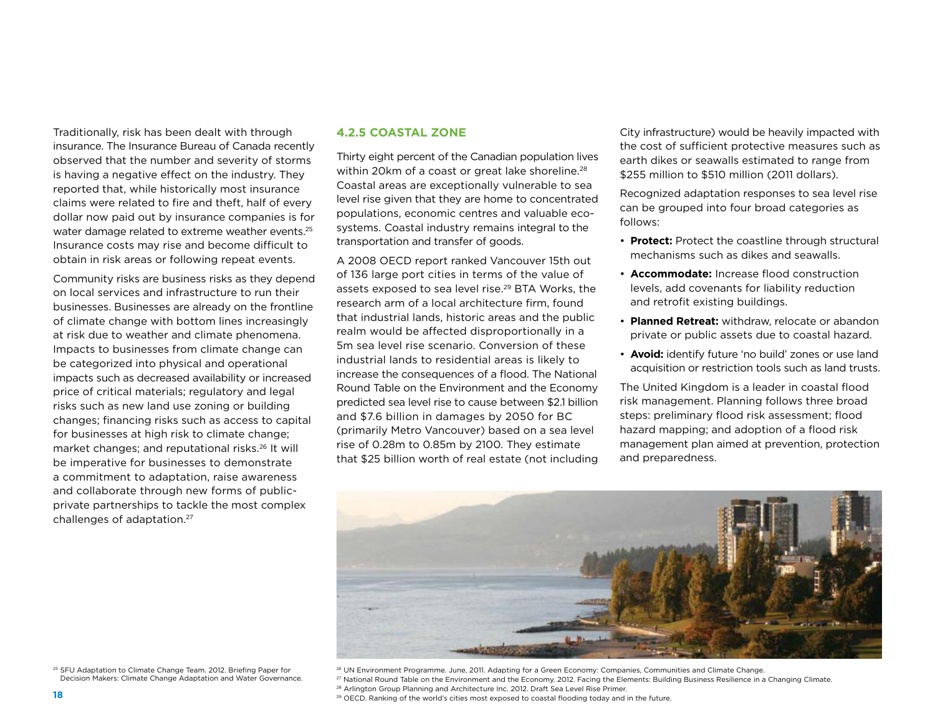Traditionally, risk has been dealt with through insurance. The Insurance Bureau of Canada recently observed that the number and severity of storms is having a negative effect on the industry. They reported that, while historically most insurance claims were related to fire and theft, half of every dollar now paid out by insurance companies is for water damage related to extreme weather events.<sup>25</sup> Insurance costs may rise and become difficult to obtain in risk areas or following repeat events.

Community risks are business risks as they depend on local services and infrastructure to run their businesses. Businesses are already on the frontline of climate change with bottom lines increasingly at risk due to weather and climate phenomena. Impacts to businesses from climate change can be categorized into physical and operational impacts such as decreased availability or increased price of critical materials; regulatory and legal risks such as new land use zoning or building changes; financing risks such as access to capital for businesses at high risk to climate change; market changes; and reputational risks.26 It will be imperative for businesses to demonstrate a commitment to adaptation, raise awareness and collaborate through new forms of publicprivate partnerships to tackle the most complex challenges of adaptation.27

#### **4.2.5 Coastal Zone**

Thirty eight percent of the Canadian population lives within 20km of a coast or great lake shoreline.<sup>28</sup> Coastal areas are exceptionally vulnerable to sea level rise given that they are home to concentrated populations, economic centres and valuable ecosystems. Coastal industry remains integral to the transportation and transfer of goods.

A 2008 OECD report ranked Vancouver 15th out of 136 large port cities in terms of the value of assets exposed to sea level rise.<sup>29</sup> BTA Works, the research arm of a local architecture firm, found that industrial lands, historic areas and the public realm would be affected disproportionally in a 5m sea level rise scenario. Conversion of these industrial lands to residential areas is likely to increase the consequences of a flood. The National Round Table on the Environment and the Economy predicted sea level rise to cause between \$2.1 billion and \$7.6 billion in damages by 2050 for BC (primarily Metro Vancouver) based on a sea level rise of 0.28m to 0.85m by 2100. They estimate that \$25 billion worth of real estate (not including City infrastructure) would be heavily impacted with the cost of sufficient protective measures such as earth dikes or seawalls estimated to range from \$255 million to \$510 million (2011 dollars).

Recognized adaptation responses to sea level rise can be grouped into four broad categories as follows:

- **Protect:** Protect the coastline through structural mechanisms such as dikes and seawalls.
- • **Accommodate:** Increase flood construction levels, add covenants for liability reduction and retrofit existing buildings.
- **Planned Retreat:** withdraw, relocate or abandon private or public assets due to coastal hazard.
- • **Avoid:** identify future 'no build' zones or use land acquisition or restriction tools such as land trusts.

The United Kingdom is a leader in coastal flood risk management. Planning follows three broad steps: preliminary flood risk assessment; flood hazard mapping; and adoption of a flood risk management plan aimed at prevention, protection and preparedness.



<sup>25</sup> SFU Adaptation to Climate Change Team. 2012. Briefing Paper for Decision Makers: Climate Change Adaptation and Water Governance. <sup>26</sup> UN Environment Programme. June, 2011. Adapting for a Green Economy: Companies, Communities and Climate Change. <sup>27</sup> National Round Table on the Environment and the Economy. 2012. Facing the Elements: Building Business Resilience in a Changing Climate. <sup>28</sup> Arlington Group Planning and Architecture Inc. 2012. Draft Sea Level Rise Primer. <sup>29</sup> OECD. Ranking of the world's cities most exposed to coastal flooding today and in the future.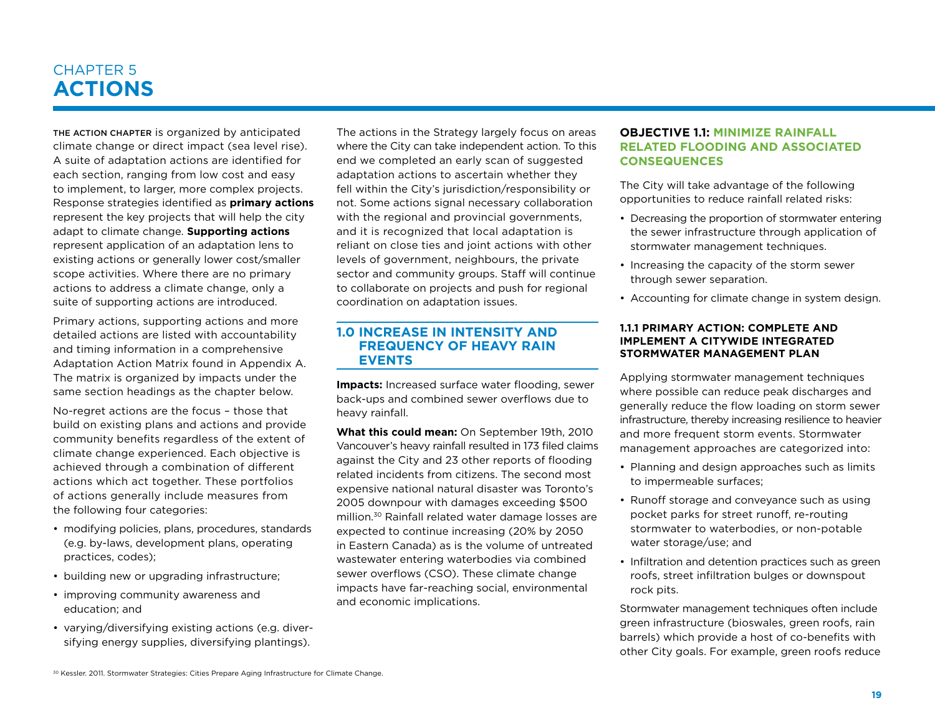### Chapter 5 **ACTIONS**

The action chapter is organized by anticipated climate change or direct impact (sea level rise). A suite of adaptation actions are identified for each section, ranging from low cost and easy to implement, to larger, more complex projects. Response strategies identified as **primary actions** represent the key projects that will help the city adapt to climate change. **Supporting actions** represent application of an adaptation lens to existing actions or generally lower cost/smaller scope activities. Where there are no primary actions to address a climate change, only a suite of supporting actions are introduced.

Primary actions, supporting actions and more detailed actions are listed with accountability and timing information in a comprehensive Adaptation Action Matrix found in Appendix A. The matrix is organized by impacts under the same section headings as the chapter below.

No-regret actions are the focus – those that build on existing plans and actions and provide community benefits regardless of the extent of climate change experienced. Each objective is achieved through a combination of different actions which act together. These portfolios of actions generally include measures from the following four categories:

- modifying policies, plans, procedures, standards (e.g. by-laws, development plans, operating practices, codes);
- building new or upgrading infrastructure;
- improving community awareness and education; and
- varying/diversifying existing actions (e.g. diversifying energy supplies, diversifying plantings).

The actions in the Strategy largely focus on areas where the City can take independent action. To this end we completed an early scan of suggested adaptation actions to ascertain whether they fell within the City's jurisdiction/responsibility or not. Some actions signal necessary collaboration with the regional and provincial governments, and it is recognized that local adaptation is reliant on close ties and joint actions with other levels of government, neighbours, the private sector and community groups. Staff will continue to collaborate on projects and push for regional coordination on adaptation issues.

#### **1.0 Increase in intensity and frequency of heavy rain events**

**Impacts:** Increased surface water flooding, sewer back-ups and combined sewer overflows due to heavy rainfall.

**What this could mean:** On September 19th, 2010 Vancouver's heavy rainfall resulted in 173 filed claims against the City and 23 other reports of flooding related incidents from citizens. The second most expensive national natural disaster was Toronto's 2005 downpour with damages exceeding \$500 million.30 Rainfall related water damage losses are expected to continue increasing (20% by 2050 in Eastern Canada) as is the volume of untreated wastewater entering waterbodies via combined sewer overflows (CSO). These climate change impacts have far-reaching social, environmental and economic implications.

#### **Objective 1.1: Minimize rainfall related flooding and associated consequences**

The City will take advantage of the following opportunities to reduce rainfall related risks:

- Decreasing the proportion of stormwater entering the sewer infrastructure through application of stormwater management techniques.
- Increasing the capacity of the storm sewer through sewer separation.
- Accounting for climate change in system design.

#### **1.1.1 PRIMARY ACTION: COMPLETE AND implement a citywide Integrated Stormwater Management Plan**

Applying stormwater management techniques where possible can reduce peak discharges and generally reduce the flow loading on storm sewer infrastructure, thereby increasing resilience to heavier and more frequent storm events. Stormwater management approaches are categorized into:

- Planning and design approaches such as limits to impermeable surfaces;
- Runoff storage and conveyance such as using pocket parks for street runoff, re-routing stormwater to waterbodies, or non-potable water storage/use; and
- Infiltration and detention practices such as green roofs, street infiltration bulges or downspout rock pits.

Stormwater management techniques often include green infrastructure (bioswales, green roofs, rain barrels) which provide a host of co-benefits with other City goals. For example, green roofs reduce

<sup>30</sup> Kessler. 2011. Stormwater Strategies: Cities Prepare Aging Infrastructure for Climate Change.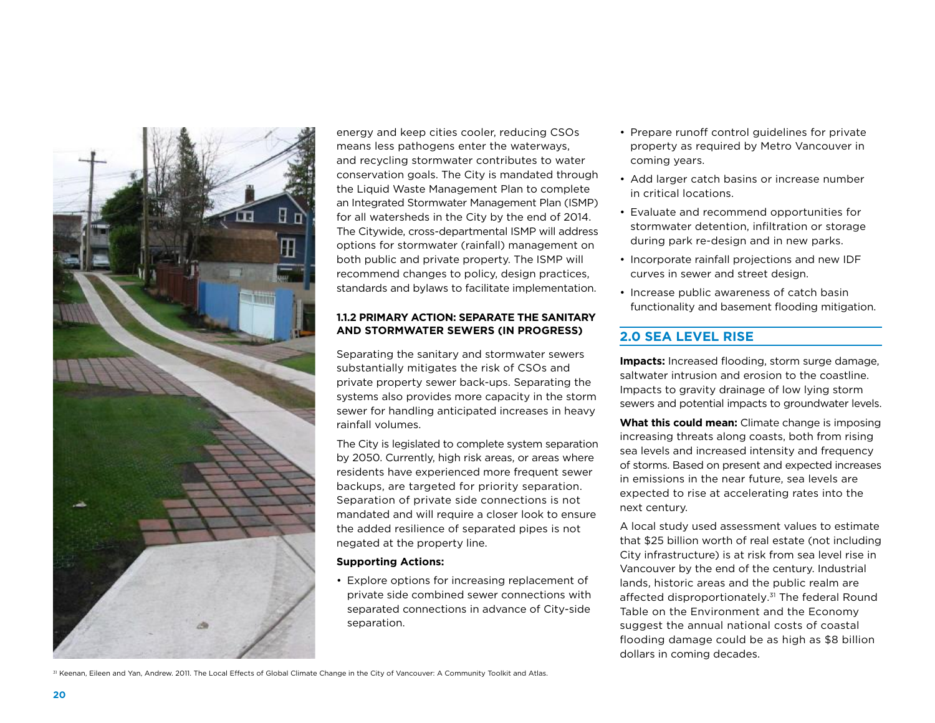

energy and keep cities cooler, reducing CSOs means less pathogens enter the waterways, and recycling stormwater contributes to water conservation goals. The City is mandated through the Liquid Waste Management Plan to complete an Integrated Stormwater Management Plan (ISMP) for all watersheds in the City by the end of 2014. The Citywide, cross-departmental ISMP will address options for stormwater (rainfall) management on both public and private property. The ISMP will recommend changes to policy, design practices, standards and bylaws to facilitate implementation.

#### **1.1.2 Primary Action: Separate the sanitary and stormwater sewers (In Progress)**

Separating the sanitary and stormwater sewers substantially mitigates the risk of CSOs and private property sewer back-ups. Separating the systems also provides more capacity in the storm sewer for handling anticipated increases in heavy rainfall volumes.

The City is legislated to complete system separation by 2050. Currently, high risk areas, or areas where residents have experienced more frequent sewer backups, are targeted for priority separation. Separation of private side connections is not mandated and will require a closer look to ensure the added resilience of separated pipes is not negated at the property line.

#### **Supporting Actions:**

• Explore options for increasing replacement of private side combined sewer connections with separated connections in advance of City-side separation.

- Prepare runoff control guidelines for private property as required by Metro Vancouver in coming years.
- Add larger catch basins or increase number in critical locations.
- Evaluate and recommend opportunities for stormwater detention, infiltration or storage during park re-design and in new parks.
- Incorporate rainfall projections and new IDF curves in sewer and street design.
- Increase public awareness of catch basin functionality and basement flooding mitigation.

#### **2.0 Sea Level Rise**

**Impacts:** Increased flooding, storm surge damage, saltwater intrusion and erosion to the coastline. Impacts to gravity drainage of low lying storm sewers and potential impacts to groundwater levels.

**What this could mean:** Climate change is imposing increasing threats along coasts, both from rising sea levels and increased intensity and frequency of storms. Based on present and expected increases in emissions in the near future, sea levels are expected to rise at accelerating rates into the next century.

A local study used assessment values to estimate that \$25 billion worth of real estate (not including City infrastructure) is at risk from sea level rise in Vancouver by the end of the century. Industrial lands, historic areas and the public realm are affected disproportionately.<sup>31</sup> The federal Round Table on the Environment and the Economy suggest the annual national costs of coastal flooding damage could be as high as \$8 billion dollars in coming decades.

31 Keenan, Eileen and Yan, Andrew. 2011. The Local Effects of Global Climate Change in the City of Vancouver: A Community Toolkit and Atlas.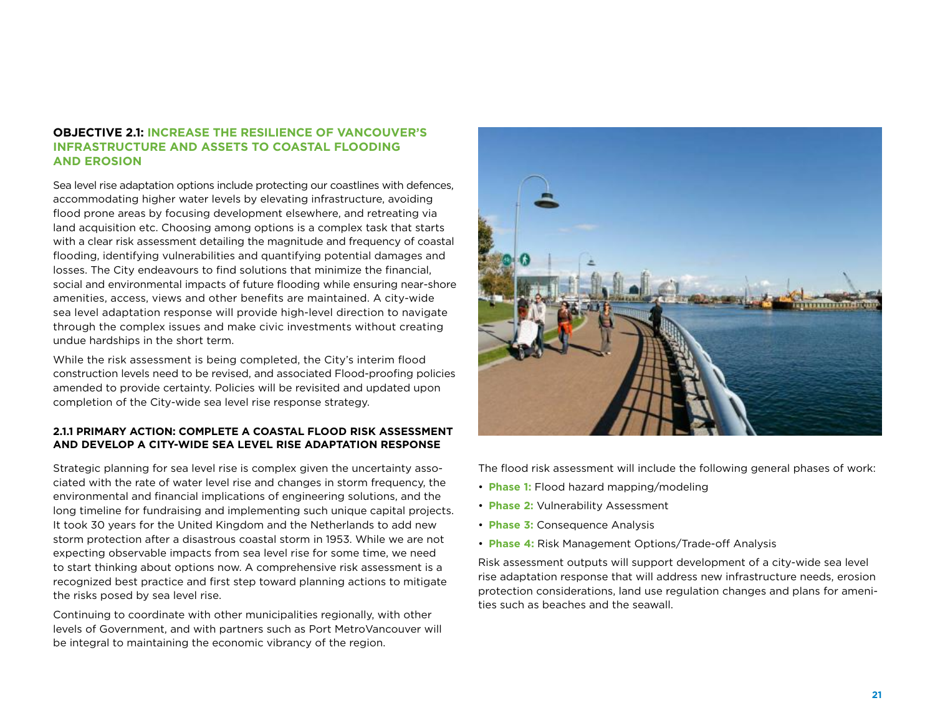#### **Objective 2.1: Increase the resilience of Vancouver's infrastructure and assets to coastal flooding and erosion**

Sea level rise adaptation options include protecting our coastlines with defences, accommodating higher water levels by elevating infrastructure, avoiding flood prone areas by focusing development elsewhere, and retreating via land acquisition etc. Choosing among options is a complex task that starts with a clear risk assessment detailing the magnitude and frequency of coastal flooding, identifying vulnerabilities and quantifying potential damages and losses. The City endeavours to find solutions that minimize the financial, social and environmental impacts of future flooding while ensuring near-shore amenities, access, views and other benefits are maintained. A city-wide sea level adaptation response will provide high-level direction to navigate through the complex issues and make civic investments without creating undue hardships in the short term.

While the risk assessment is being completed, the City's interim flood construction levels need to be revised, and associated Flood-proofing policies amended to provide certainty. Policies will be revisited and updated upon completion of the City-wide sea level rise response strategy.

#### **2.1.1 Primary Action: Complete a coastal flood risk assessment and develop a City-wide sea level rise adaptation response**

Strategic planning for sea level rise is complex given the uncertainty associated with the rate of water level rise and changes in storm frequency, the environmental and financial implications of engineering solutions, and the long timeline for fundraising and implementing such unique capital projects. It took 30 years for the United Kingdom and the Netherlands to add new storm protection after a disastrous coastal storm in 1953. While we are not expecting observable impacts from sea level rise for some time, we need to start thinking about options now. A comprehensive risk assessment is a recognized best practice and first step toward planning actions to mitigate the risks posed by sea level rise.

Continuing to coordinate with other municipalities regionally, with other levels of Government, and with partners such as Port MetroVancouver will be integral to maintaining the economic vibrancy of the region.



The flood risk assessment will include the following general phases of work:

- **Phase 1:** Flood hazard mapping/modeling
- **Phase 2:** Vulnerability Assessment
- **Phase 3:** Consequence Analysis
- **Phase 4:** Risk Management Options/Trade-off Analysis

Risk assessment outputs will support development of a city-wide sea level rise adaptation response that will address new infrastructure needs, erosion protection considerations, land use regulation changes and plans for amenities such as beaches and the seawall.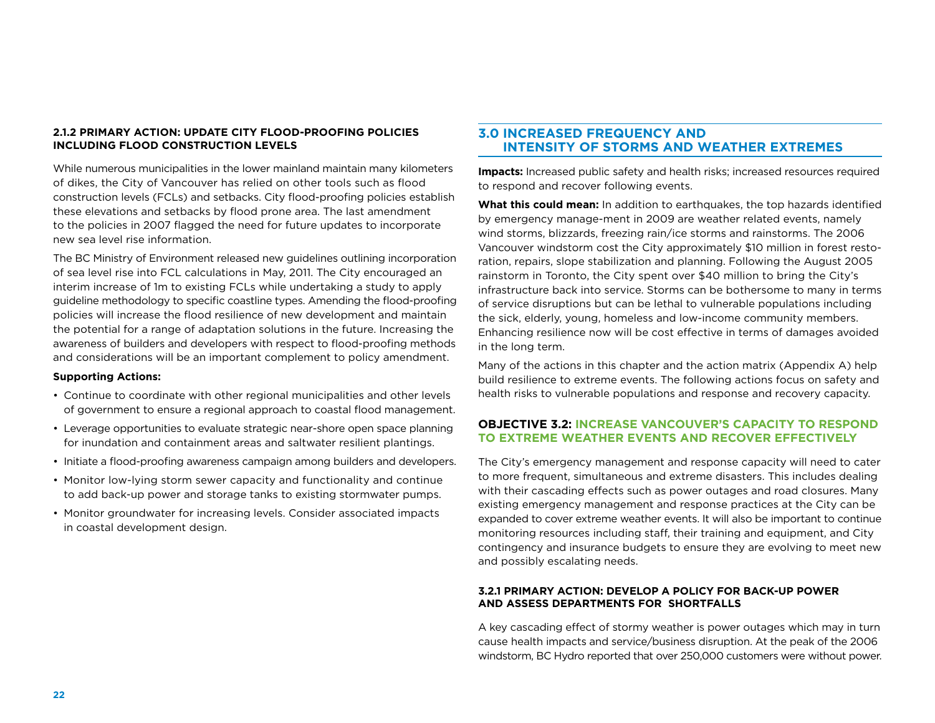#### **2.1.2 Primary Action: Update City Flood-proofing policies including Flood Construction Levels**

While numerous municipalities in the lower mainland maintain many kilometers of dikes, the City of Vancouver has relied on other tools such as flood construction levels (FCLs) and setbacks. City flood-proofing policies establish these elevations and setbacks by flood prone area. The last amendment to the policies in 2007 flagged the need for future updates to incorporate new sea level rise information.

The BC Ministry of Environment released new guidelines outlining incorporation of sea level rise into FCL calculations in May, 2011. The City encouraged an interim increase of 1m to existing FCLs while undertaking a study to apply guideline methodology to specific coastline types. Amending the flood-proofing policies will increase the flood resilience of new development and maintain the potential for a range of adaptation solutions in the future. Increasing the awareness of builders and developers with respect to flood-proofing methods and considerations will be an important complement to policy amendment.

#### **Supporting Actions:**

- Continue to coordinate with other regional municipalities and other levels of government to ensure a regional approach to coastal flood management.
- Leverage opportunities to evaluate strategic near-shore open space planning for inundation and containment areas and saltwater resilient plantings.
- Initiate a flood-proofing awareness campaign among builders and developers.
- Monitor low-lying storm sewer capacity and functionality and continue to add back-up power and storage tanks to existing stormwater pumps.
- Monitor groundwater for increasing levels. Consider associated impacts in coastal development design.

#### **3.0 Increased frequency and Intensity of storms and weather extremes**

**Impacts:** Increased public safety and health risks; increased resources required to respond and recover following events.

**What this could mean:** In addition to earthquakes, the top hazards identified by emergency manage-ment in 2009 are weather related events, namely wind storms, blizzards, freezing rain/ice storms and rainstorms. The 2006 Vancouver windstorm cost the City approximately \$10 million in forest restoration, repairs, slope stabilization and planning. Following the August 2005 rainstorm in Toronto, the City spent over \$40 million to bring the City's infrastructure back into service. Storms can be bothersome to many in terms of service disruptions but can be lethal to vulnerable populations including the sick, elderly, young, homeless and low-income community members. Enhancing resilience now will be cost effective in terms of damages avoided in the long term.

Many of the actions in this chapter and the action matrix (Appendix A) help build resilience to extreme events. The following actions focus on safety and health risks to vulnerable populations and response and recovery capacity.

#### **Objective 3.2: Increase Vancouver's capacity to respond to extreme weather events and recover effectively**

The City's emergency management and response capacity will need to cater to more frequent, simultaneous and extreme disasters. This includes dealing with their cascading effects such as power outages and road closures. Many existing emergency management and response practices at the City can be expanded to cover extreme weather events. It will also be important to continue monitoring resources including staff, their training and equipment, and City contingency and insurance budgets to ensure they are evolving to meet new and possibly escalating needs.

#### **3.2.1 Primary Ac tion: Develop a policy for back-up power and assess departments for shortfalls**

A key cascading effect of stormy weather is power outages which may in turn cause health impacts and service/business disruption. At the peak of the 2006 windstorm, BC Hydro reported that over 250,000 customers were without power.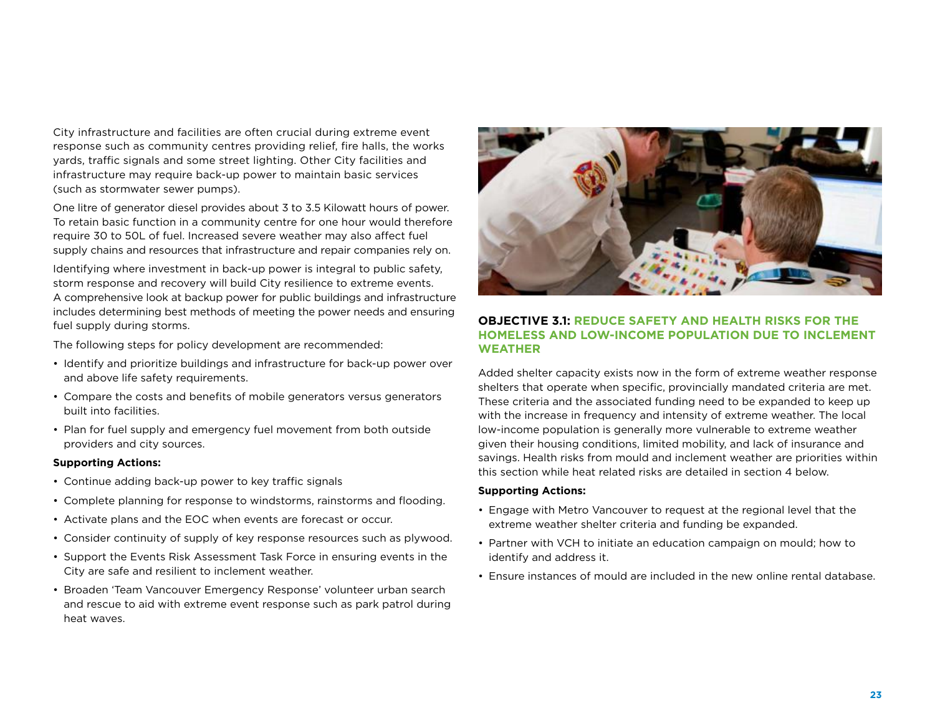City infrastructure and facilities are often crucial during extreme event response such as community centres providing relief, fire halls, the works yards, traffic signals and some street lighting. Other City facilities and infrastructure may require back-up power to maintain basic services (such as stormwater sewer pumps).

One litre of generator diesel provides about 3 to 3.5 Kilowatt hours of power. To retain basic function in a community centre for one hour would therefore require 30 to 50L of fuel. Increased severe weather may also affect fuel supply chains and resources that infrastructure and repair companies rely on.

Identifying where investment in back-up power is integral to public safety, storm response and recovery will build City resilience to extreme events. A comprehensive look at backup power for public buildings and infrastructure includes determining best methods of meeting the power needs and ensuring fuel supply during storms.

The following steps for policy development are recommended:

- Identify and prioritize buildings and infrastructure for back-up power over and above life safety requirements.
- Compare the costs and benefits of mobile generators versus generators built into facilities.
- Plan for fuel supply and emergency fuel movement from both outside providers and city sources.

#### **Supporting Actions:**

- Continue adding back-up power to key traffic signals
- Complete planning for response to windstorms, rainstorms and flooding.
- Activate plans and the EOC when events are forecast or occur.
- Consider continuity of supply of key response resources such as plywood.
- Support the Events Risk Assessment Task Force in ensuring events in the City are safe and resilient to inclement weather.
- Broaden 'Team Vancouver Emergency Response' volunteer urban search and rescue to aid with extreme event response such as park patrol during heat waves.



#### **Objective 3.1: Reduce safety and health risks for the homeless and low-income population due to inclement weather**

Added shelter capacity exists now in the form of extreme weather response shelters that operate when specific, provincially mandated criteria are met. These criteria and the associated funding need to be expanded to keep up with the increase in frequency and intensity of extreme weather. The local low-income population is generally more vulnerable to extreme weather given their housing conditions, limited mobility, and lack of insurance and savings. Health risks from mould and inclement weather are priorities within this section while heat related risks are detailed in section 4 below.

#### **Supporting Actions:**

- Engage with Metro Vancouver to request at the regional level that the extreme weather shelter criteria and funding be expanded.
- Partner with VCH to initiate an education campaign on mould; how to identify and address it.
- Ensure instances of mould are included in the new online rental database.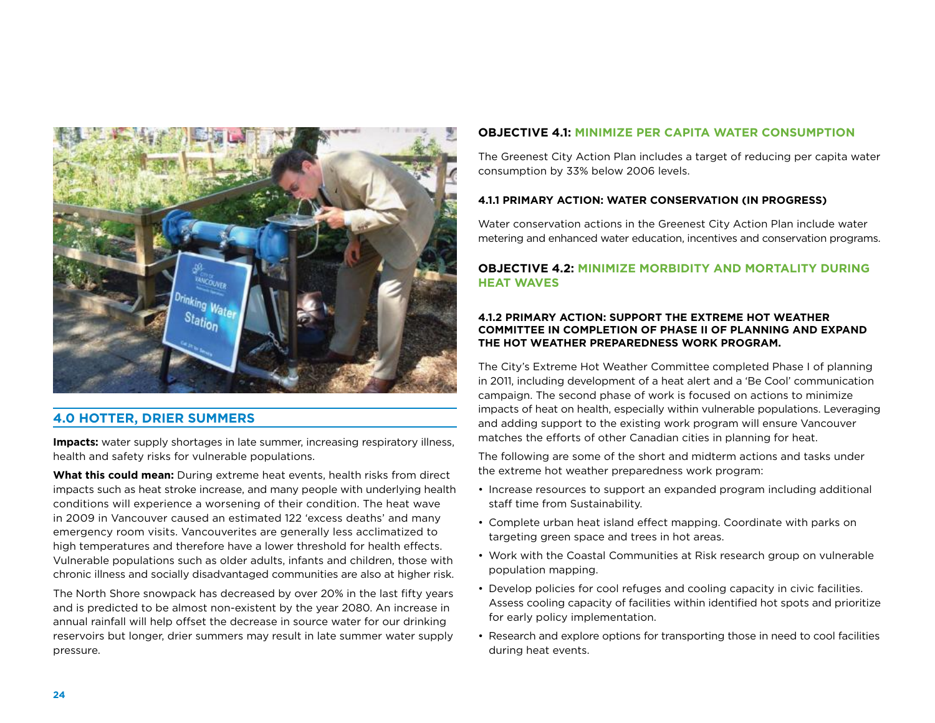

#### **4.0 Hotter, drier summers**

**Impacts:** water supply shortages in late summer, increasing respiratory illness, health and safety risks for vulnerable populations.

**What this could mean:** During extreme heat events, health risks from direct impacts such as heat stroke increase, and many people with underlying health conditions will experience a worsening of their condition. The heat wave in 2009 in Vancouver caused an estimated 122 'excess deaths' and many emergency room visits. Vancouverites are generally less acclimatized to high temperatures and therefore have a lower threshold for health effects. Vulnerable populations such as older adults, infants and children, those with chronic illness and socially disadvantaged communities are also at higher risk.

The North Shore snowpack has decreased by over 20% in the last fifty years and is predicted to be almost non-existent by the year 2080. An increase in annual rainfall will help offset the decrease in source water for our drinking reservoirs but longer, drier summers may result in late summer water supply pressure.

#### **Objective 4.1: Minimize per capita water consumption**

The Greenest City Action Plan includes a target of reducing per capita water consumption by 33% below 2006 levels.

#### **4.1.1 Primary Action: Water Conservation (In Progress)**

Water conservation actions in the Greenest City Action Plan include water metering and enhanced water education, incentives and conservation programs.

#### **Objective 4.2: Minimize morbidity and mortality during heat waves**

#### **4.1.2 Primary Action: Support the Extreme Hot Weather Committee in completion of Phase II of planning and expand the hot weather preparedness work program.**

The City's Extreme Hot Weather Committee completed Phase I of planning in 2011, including development of a heat alert and a 'Be Cool' communication campaign. The second phase of work is focused on actions to minimize impacts of heat on health, especially within vulnerable populations. Leveraging and adding support to the existing work program will ensure Vancouver matches the efforts of other Canadian cities in planning for heat.

The following are some of the short and midterm actions and tasks under the extreme hot weather preparedness work program:

- Increase resources to support an expanded program including additional staff time from Sustainability.
- Complete urban heat island effect mapping. Coordinate with parks on targeting green space and trees in hot areas.
- Work with the Coastal Communities at Risk research group on vulnerable population mapping.
- Develop policies for cool refuges and cooling capacity in civic facilities. Assess cooling capacity of facilities within identified hot spots and prioritize for early policy implementation.
- Research and explore options for transporting those in need to cool facilities during heat events.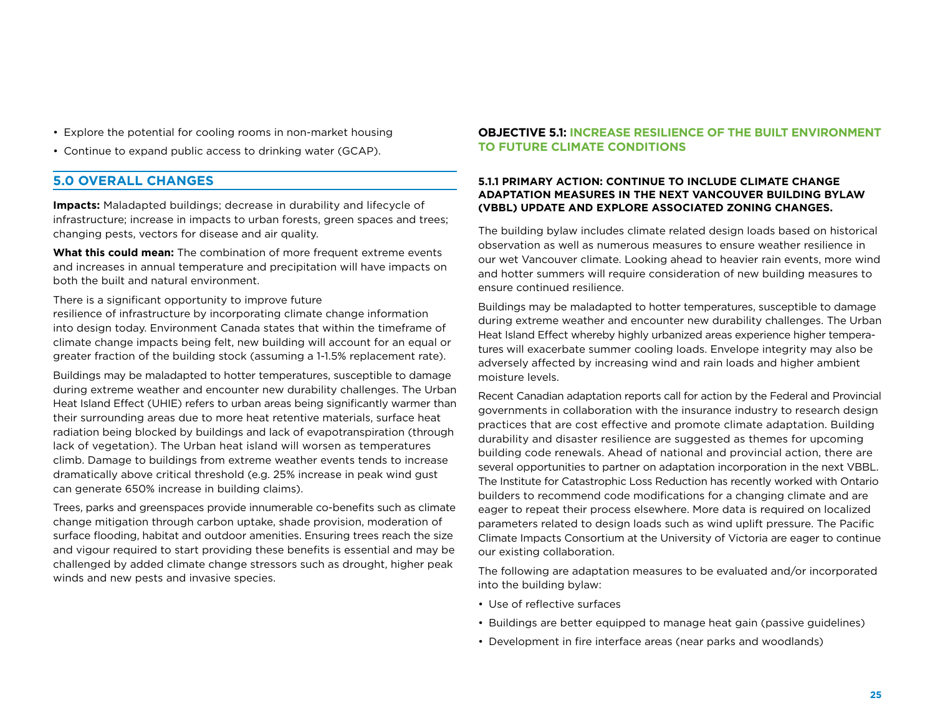- Explore the potential for cooling rooms in non-market housing
- Continue to expand public access to drinking water (GCAP).

#### **5.0 Overall Changes**

**Impacts:** Maladapted buildings; decrease in durability and lifecycle of infrastructure; increase in impacts to urban forests, green spaces and trees; changing pests, vectors for disease and air quality.

**What this could mean:** The combination of more frequent extreme events and increases in annual temperature and precipitation will have impacts on both the built and natural environment.

#### There is a significant opportunity to improve future

resilience of infrastructure by incorporating climate change information into design today. Environment Canada states that within the timeframe of climate change impacts being felt, new building will account for an equal or greater fraction of the building stock (assuming a 1-1.5% replacement rate).

Buildings may be maladapted to hotter temperatures, susceptible to damage during extreme weather and encounter new durability challenges. The Urban Heat Island Effect (UHIE) refers to urban areas being significantly warmer than their surrounding areas due to more heat retentive materials, surface heat radiation being blocked by buildings and lack of evapotranspiration (through lack of vegetation). The Urban heat island will worsen as temperatures climb. Damage to buildings from extreme weather events tends to increase dramatically above critical threshold (e.g. 25% increase in peak wind gust can generate 650% increase in building claims).

Trees, parks and greenspaces provide innumerable co-benefits such as climate change mitigation through carbon uptake, shade provision, moderation of surface flooding, habitat and outdoor amenities. Ensuring trees reach the size and vigour required to start providing these benefits is essential and may be challenged by added climate change stressors such as drought, higher peak winds and new pests and invasive species.

#### **Objective 5.1: Increase resilience of the built environment to future climate conditions**

#### **5.1.1 Primary Action: Continue to include climate change adaptation measures in the next Vancouver Building Bylaw (VBBL) update and explore associated zoning changes.**

The building bylaw includes climate related design loads based on historical observation as well as numerous measures to ensure weather resilience in our wet Vancouver climate. Looking ahead to heavier rain events, more wind and hotter summers will require consideration of new building measures to ensure continued resilience.

Buildings may be maladapted to hotter temperatures, susceptible to damage during extreme weather and encounter new durability challenges. The Urban Heat Island Effect whereby highly urbanized areas experience higher temperatures will exacerbate summer cooling loads. Envelope integrity may also be adversely affected by increasing wind and rain loads and higher ambient moisture levels.

Recent Canadian adaptation reports call for action by the Federal and Provincial governments in collaboration with the insurance industry to research design practices that are cost effective and promote climate adaptation. Building durability and disaster resilience are suggested as themes for upcoming building code renewals. Ahead of national and provincial action, there are several opportunities to partner on adaptation incorporation in the next VBBL. The Institute for Catastrophic Loss Reduction has recently worked with Ontario builders to recommend code modifications for a changing climate and are eager to repeat their process elsewhere. More data is required on localized parameters related to design loads such as wind uplift pressure. The Pacific Climate Impacts Consortium at the University of Victoria are eager to continue our existing collaboration.

The following are adaptation measures to be evaluated and/or incorporated into the building bylaw:

- Use of reflective surfaces
- Buildings are better equipped to manage heat gain (passive guidelines)
- Development in fire interface areas (near parks and woodlands)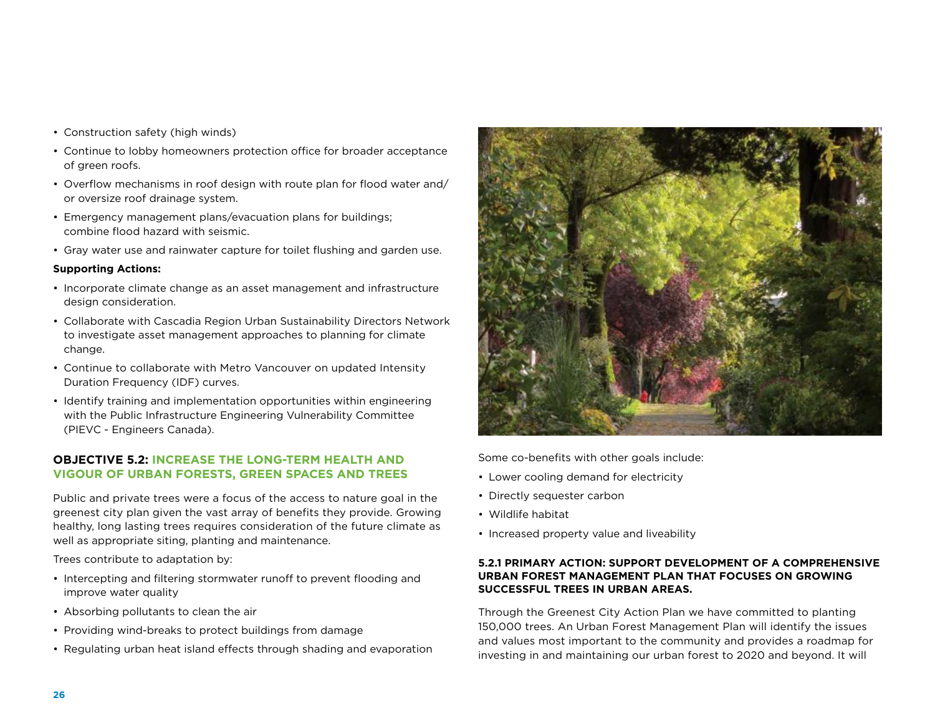- Construction safety (high winds)
- Continue to lobby homeowners protection office for broader acceptance of green roofs.
- Overflow mechanisms in roof design with route plan for flood water and/ or oversize roof drainage system.
- Emergency management plans/evacuation plans for buildings; combine flood hazard with seismic.
- Gray water use and rainwater capture for toilet flushing and garden use.

#### **Supporting Actions:**

- Incorporate climate change as an asset management and infrastructure design consideration.
- Collaborate with Cascadia Region Urban Sustainability Directors Network to investigate asset management approaches to planning for climate change.
- Continue to collaborate with Metro Vancouver on updated Intensity Duration Frequency (IDF) curves.
- Identify training and implementation opportunities within engineering with the Public Infrastructure Engineering Vulnerability Committee (PIEVC - Engineers Canada).

#### **Objective 5.2: Increase the long-term health and vigour of urban forests, green spaces and trees**

Public and private trees were a focus of the access to nature goal in the greenest city plan given the vast array of benefits they provide. Growing healthy, long lasting trees requires consideration of the future climate as well as appropriate siting, planting and maintenance.

Trees contribute to adaptation by:

- Intercepting and filtering stormwater runoff to prevent flooding and improve water quality
- Absorbing pollutants to clean the air
- Providing wind-breaks to protect buildings from damage
- Regulating urban heat island effects through shading and evaporation



Some co-benefits with other goals include:

- Lower cooling demand for electricity
- Directly sequester carbon
- Wildlife habitat
- Increased property value and liveability

#### **5.2.1 Primary Action: Support development of a comprehensive Urban Forest Management Plan that focuses on growing successful trees in urban areas.**

Through the Greenest City Action Plan we have committed to planting 150,000 trees. An Urban Forest Management Plan will identify the issues and values most important to the community and provides a roadmap for investing in and maintaining our urban forest to 2020 and beyond. It will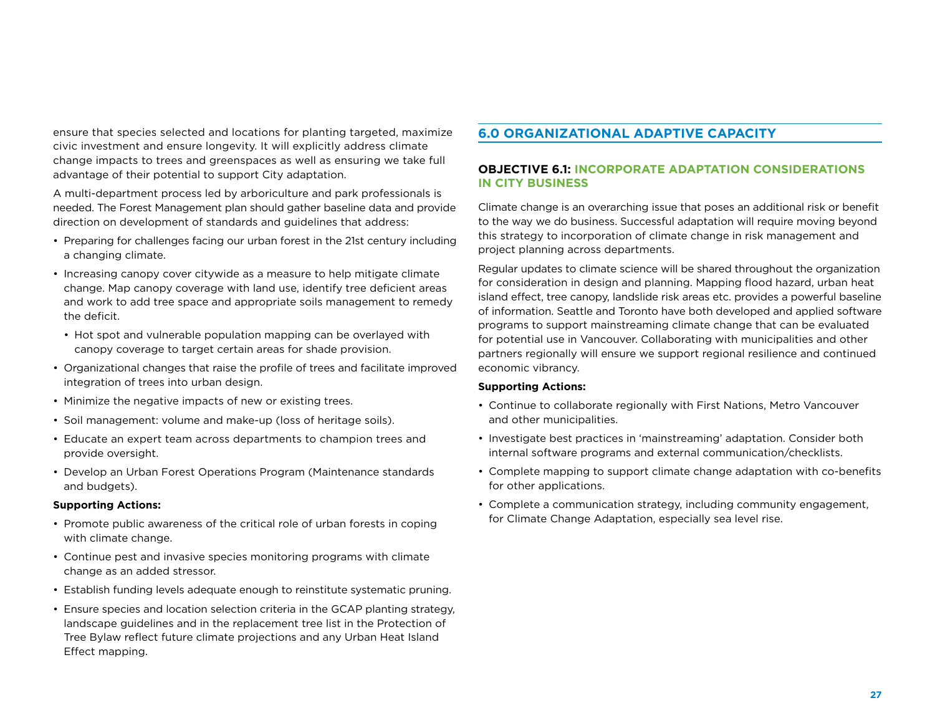ensure that species selected and locations for planting targeted, maximize civic investment and ensure longevity. It will explicitly address climate change impacts to trees and greenspaces as well as ensuring we take full advantage of their potential to support City adaptation.

A multi-department process led by arboriculture and park professionals is needed. The Forest Management plan should gather baseline data and provide direction on development of standards and guidelines that address:

- Preparing for challenges facing our urban forest in the 21st century including a changing climate.
- Increasing canopy cover citywide as a measure to help mitigate climate change. Map canopy coverage with land use, identify tree deficient areas and work to add tree space and appropriate soils management to remedy the deficit.
	- Hot spot and vulnerable population mapping can be overlayed with canopy coverage to target certain areas for shade provision.
- Organizational changes that raise the profile of trees and facilitate improved integration of trees into urban design.
- Minimize the negative impacts of new or existing trees.
- Soil management: volume and make-up (loss of heritage soils).
- Educate an expert team across departments to champion trees and provide oversight.
- Develop an Urban Forest Operations Program (Maintenance standards and budgets).

#### **Supporting Actions:**

- Promote public awareness of the critical role of urban forests in coping with climate change.
- Continue pest and invasive species monitoring programs with climate change as an added stressor.
- Establish funding levels adequate enough to reinstitute systematic pruning.
- Ensure species and location selection criteria in the GCAP planting strategy, landscape guidelines and in the replacement tree list in the Protection of Tree Bylaw reflect future climate projections and any Urban Heat Island Effect mapping.

#### **6.0 Organizational adaptive capacity**

#### **Objective 6.1: Incorporate adaptation considerations in City business**

Climate change is an overarching issue that poses an additional risk or benefit to the way we do business. Successful adaptation will require moving beyond this strategy to incorporation of climate change in risk management and project planning across departments.

Regular updates to climate science will be shared throughout the organization for consideration in design and planning. Mapping flood hazard, urban heat island effect, tree canopy, landslide risk areas etc. provides a powerful baseline of information. Seattle and Toronto have both developed and applied software programs to support mainstreaming climate change that can be evaluated for potential use in Vancouver. Collaborating with municipalities and other partners regionally will ensure we support regional resilience and continued economic vibrancy.

#### **Supporting Actions:**

- Continue to collaborate regionally with First Nations, Metro Vancouver and other municipalities.
- Investigate best practices in 'mainstreaming' adaptation. Consider both internal software programs and external communication/checklists.
- Complete mapping to support climate change adaptation with co-benefits for other applications.
- Complete a communication strategy, including community engagement, for Climate Change Adaptation, especially sea level rise.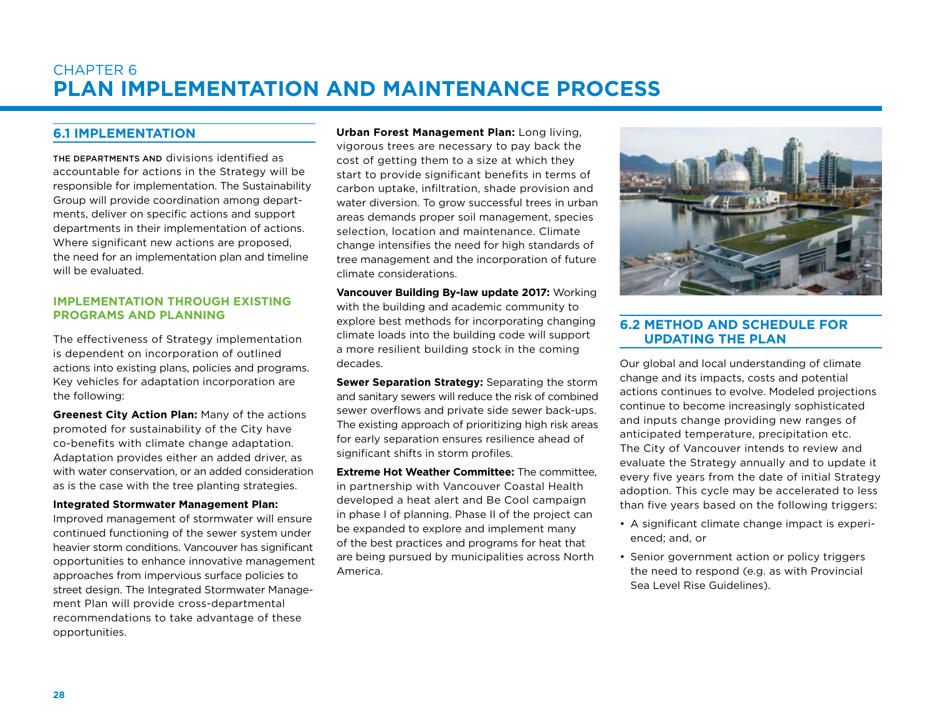### Chapter 6 **Plan Implementation and Maintenance Process**

#### **6.1 Implementation**

The departments and divisions identified as accountable for actions in the Strategy will be responsible for implementation. The Sustainability Group will provide coordination among departments, deliver on specific actions and support departments in their implementation of actions. Where significant new actions are proposed. the need for an implementation plan and timeline will be evaluated.

#### **Implementation through existing programs and planning**

The effectiveness of Strategy implementation is dependent on incorporation of outlined actions into existing plans, policies and programs. Key vehicles for adaptation incorporation are the following:

**Greenest City Action Plan:** Many of the actions promoted for sustainability of the City have co-benefits with climate change adaptation. Adaptation provides either an added driver, as with water conservation, or an added consideration as is the case with the tree planting strategies.

#### **Integrated Stormwater Management Plan:**

Improved management of stormwater will ensure continued functioning of the sewer system under heavier storm conditions. Vancouver has significant opportunities to enhance innovative management approaches from impervious surface policies to street design. The Integrated Stormwater Management Plan will provide cross-departmental recommendations to take advantage of these opportunities.

**Urban Forest Management Plan:** Long living, vigorous trees are necessary to pay back the cost of getting them to a size at which they start to provide significant benefits in terms of carbon uptake, infiltration, shade provision and water diversion. To grow successful trees in urban areas demands proper soil management, species selection, location and maintenance. Climate change intensifies the need for high standards of tree management and the incorporation of future climate considerations.

**Vancouver Building By-law update 2017:** Working with the building and academic community to explore best methods for incorporating changing climate loads into the building code will support a more resilient building stock in the coming decades.

**Sewer Separation Strategy:** Separating the storm and sanitary sewers will reduce the risk of combined sewer overflows and private side sewer back-ups. The existing approach of prioritizing high risk areas for early separation ensures resilience ahead of significant shifts in storm profiles.

**Extreme Hot Weather Committee:** The committee, in partnership with Vancouver Coastal Health developed a heat alert and Be Cool campaign in phase I of planning. Phase II of the project can be expanded to explore and implement many of the best practices and programs for heat that are being pursued by municipalities across North America.



#### **6.2 Method and schedule for updating the Plan**

Our global and local understanding of climate change and its impacts, costs and potential actions continues to evolve. Modeled projections continue to become increasingly sophisticated and inputs change providing new ranges of anticipated temperature, precipitation etc. The City of Vancouver intends to review and evaluate the Strategy annually and to update it every five years from the date of initial Strategy adoption. This cycle may be accelerated to less than five years based on the following triggers:

- A significant climate change impact is experienced; and, or
- Senior government action or policy triggers the need to respond (e.g. as with Provincial Sea Level Rise Guidelines).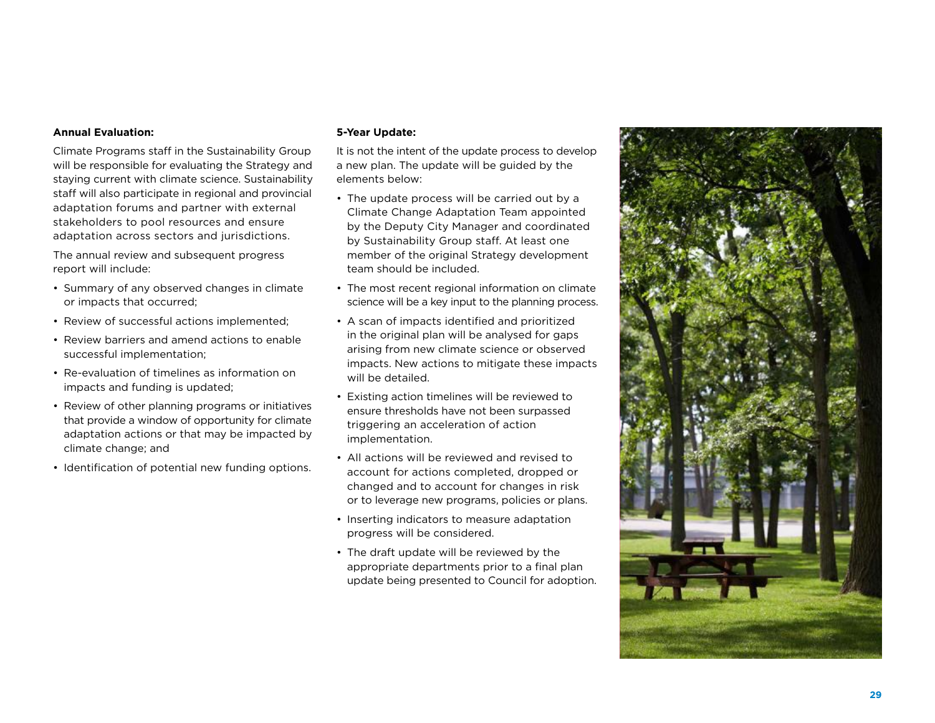#### **Annual Evaluation:**

Climate Programs staff in the Sustainability Group will be responsible for evaluating the Strategy and staying current with climate science. Sustainability staff will also participate in regional and provincial adaptation forums and partner with external stakeholders to pool resources and ensure adaptation across sectors and jurisdictions.

The annual review and subsequent progress report will include:

- Summary of any observed changes in climate or impacts that occurred;
- Review of successful actions implemented;
- Review barriers and amend actions to enable successful implementation;
- Re-evaluation of timelines as information on impacts and funding is updated;
- Review of other planning programs or initiatives that provide a window of opportunity for climate adaptation actions or that may be impacted by climate change; and
- Identification of potential new funding options.

#### **5-Year Update:**

It is not the intent of the update process to develop a new plan. The update will be guided by the elements below:

- The update process will be carried out by a Climate Change Adaptation Team appointed by the Deputy City Manager and coordinated by Sustainability Group staff. At least one member of the original Strategy development team should be included.
- The most recent regional information on climate science will be a key input to the planning process.
- A scan of impacts identified and prioritized in the original plan will be analysed for gaps arising from new climate science or observed impacts. New actions to mitigate these impacts will be detailed.
- Existing action timelines will be reviewed to ensure thresholds have not been surpassed triggering an acceleration of action implementation.
- All actions will be reviewed and revised to account for actions completed, dropped or changed and to account for changes in risk or to leverage new programs, policies or plans.
- Inserting indicators to measure adaptation progress will be considered.
- The draft update will be reviewed by the appropriate departments prior to a final plan update being presented to Council for adoption.

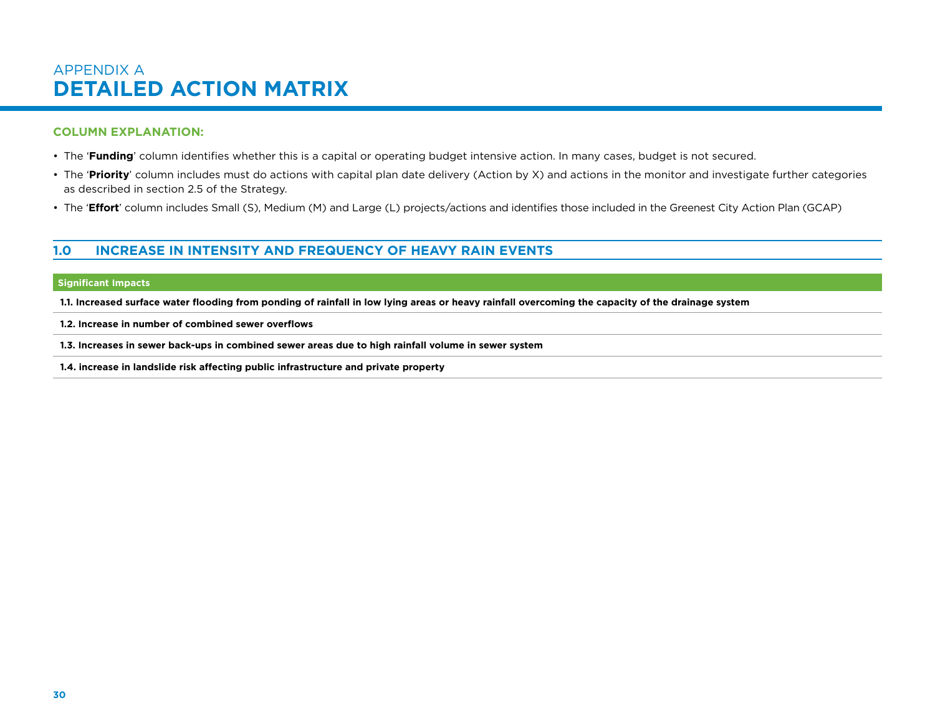### APPENDIX A **Detailed Action Matrix**

#### **Column Explanation:**

- The '**Funding**' column identifies whether this is a capital or operating budget intensive action. In many cases, budget is not secured.
- The '**Priority**' column includes must do actions with capital plan date delivery (Action by X) and actions in the monitor and investigate further categories as described in section 2.5 of the Strategy.
- The '**Effort**' column includes Small (S), Medium (M) and Large (L) projects/actions and identifies those included in the Greenest City Action Plan (GCAP)

#### **1.0 Increase in intensity and frequency of heavy rain events**

#### **Significant Impacts**

**1.1. Increased surface water flooding from ponding of rainfall in low lying areas or heavy rainfall overcoming the capacity of the drainage system**

**1.2. Increase in number of combined sewer overflows**

**1.3. Increases in sewer back-ups in combined sewer areas due to high rainfall volume in sewer system**

**1.4. increase in landslide risk affecting public infrastructure and private property**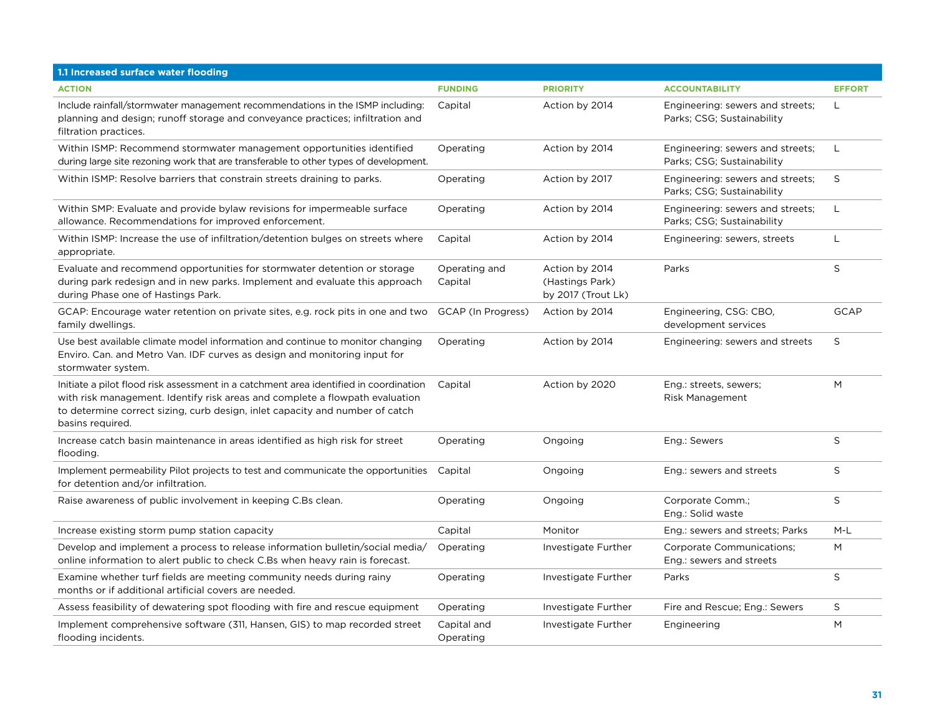| 1.1 Increased surface water flooding                                                                                                                                                                                                                                      |                          |                                                         |                                                                |               |
|---------------------------------------------------------------------------------------------------------------------------------------------------------------------------------------------------------------------------------------------------------------------------|--------------------------|---------------------------------------------------------|----------------------------------------------------------------|---------------|
| <b>ACTION</b>                                                                                                                                                                                                                                                             | <b>FUNDING</b>           | <b>PRIORITY</b>                                         | <b>ACCOUNTABILITY</b>                                          | <b>EFFORT</b> |
| Include rainfall/stormwater management recommendations in the ISMP including:<br>planning and design; runoff storage and conveyance practices; infiltration and<br>filtration practices.                                                                                  | Capital                  | Action by 2014                                          | Engineering: sewers and streets;<br>Parks; CSG; Sustainability | L             |
| Within ISMP: Recommend stormwater management opportunities identified<br>during large site rezoning work that are transferable to other types of development.                                                                                                             | Operating                | Action by 2014                                          | Engineering: sewers and streets;<br>Parks; CSG; Sustainability | L             |
| Within ISMP: Resolve barriers that constrain streets draining to parks.                                                                                                                                                                                                   | Operating                | Action by 2017                                          | Engineering: sewers and streets;<br>Parks; CSG; Sustainability | S             |
| Within SMP: Evaluate and provide bylaw revisions for impermeable surface<br>allowance. Recommendations for improved enforcement.                                                                                                                                          | Operating                | Action by 2014                                          | Engineering: sewers and streets;<br>Parks; CSG; Sustainability | L             |
| Within ISMP: Increase the use of infiltration/detention bulges on streets where<br>appropriate.                                                                                                                                                                           | Capital                  | Action by 2014                                          | Engineering: sewers, streets                                   | L             |
| Evaluate and recommend opportunities for stormwater detention or storage<br>during park redesign and in new parks. Implement and evaluate this approach<br>during Phase one of Hastings Park.                                                                             | Operating and<br>Capital | Action by 2014<br>(Hastings Park)<br>by 2017 (Trout Lk) | Parks                                                          | S             |
| GCAP: Encourage water retention on private sites, e.g. rock pits in one and two<br>family dwellings.                                                                                                                                                                      | GCAP (In Progress)       | Action by 2014                                          | Engineering, CSG: CBO,<br>development services                 | <b>GCAP</b>   |
| Use best available climate model information and continue to monitor changing<br>Enviro. Can. and Metro Van. IDF curves as design and monitoring input for<br>stormwater system.                                                                                          | Operating                | Action by 2014                                          | Engineering: sewers and streets                                | S             |
| Initiate a pilot flood risk assessment in a catchment area identified in coordination<br>with risk management. Identify risk areas and complete a flowpath evaluation<br>to determine correct sizing, curb design, inlet capacity and number of catch<br>basins required. | Capital                  | Action by 2020                                          | Eng.: streets, sewers;<br><b>Risk Management</b>               | M             |
| Increase catch basin maintenance in areas identified as high risk for street<br>flooding.                                                                                                                                                                                 | Operating                | Ongoing                                                 | Eng.: Sewers                                                   | S             |
| Implement permeability Pilot projects to test and communicate the opportunities<br>for detention and/or infiltration.                                                                                                                                                     | Capital                  | Ongoing                                                 | Eng.: sewers and streets                                       | S             |
| Raise awareness of public involvement in keeping C.Bs clean.                                                                                                                                                                                                              | Operating                | Ongoing                                                 | Corporate Comm.;<br>Eng.: Solid waste                          | $\sf S$       |
| Increase existing storm pump station capacity                                                                                                                                                                                                                             | Capital                  | Monitor                                                 | Eng.: sewers and streets; Parks                                | $M-L$         |
| Develop and implement a process to release information bulletin/social media/<br>online information to alert public to check C.Bs when heavy rain is forecast.                                                                                                            | Operating                | Investigate Further                                     | Corporate Communications;<br>Eng.: sewers and streets          | M             |
| Examine whether turf fields are meeting community needs during rainy<br>months or if additional artificial covers are needed.                                                                                                                                             | Operating                | Investigate Further                                     | Parks                                                          | $\mathsf S$   |
| Assess feasibility of dewatering spot flooding with fire and rescue equipment                                                                                                                                                                                             | Operating                | Investigate Further                                     | Fire and Rescue; Eng.: Sewers                                  | S             |
| Implement comprehensive software (311, Hansen, GIS) to map recorded street<br>flooding incidents.                                                                                                                                                                         | Capital and<br>Operating | Investigate Further                                     | Engineering                                                    | M             |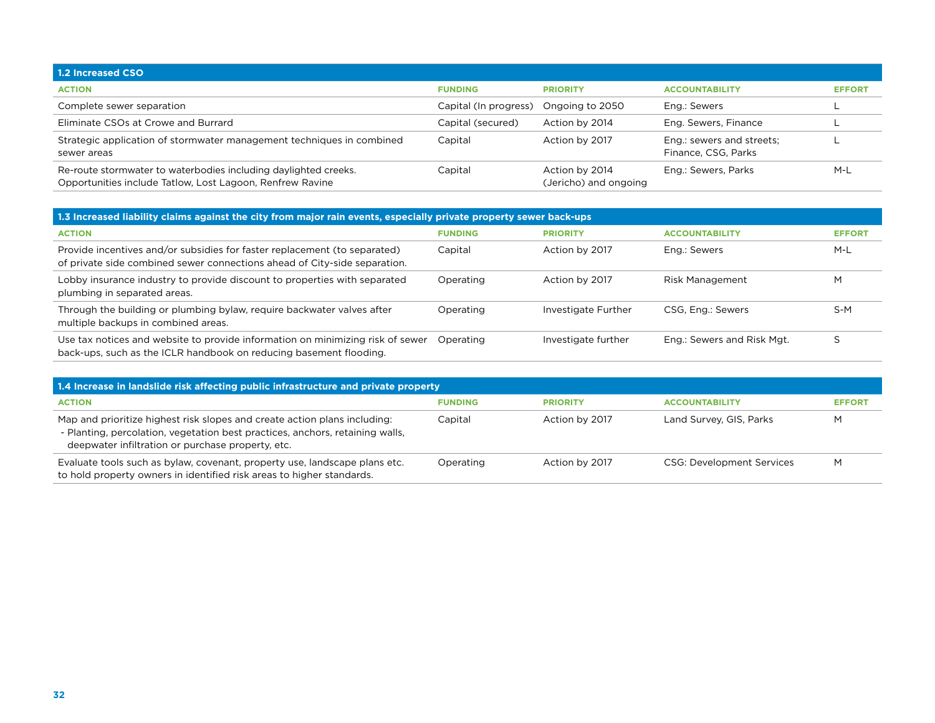| 1.2 Increased CSO                                                                                                            |                       |                                         |                                                  |               |
|------------------------------------------------------------------------------------------------------------------------------|-----------------------|-----------------------------------------|--------------------------------------------------|---------------|
| <b>ACTION</b>                                                                                                                | <b>FUNDING</b>        | <b>PRIORITY</b>                         | <b>ACCOUNTABILITY</b>                            | <b>EFFORT</b> |
| Complete sewer separation                                                                                                    | Capital (In progress) | Ongoing to 2050                         | Eng.: Sewers                                     |               |
| Eliminate CSOs at Crowe and Burrard                                                                                          | Capital (secured)     | Action by 2014                          | Eng. Sewers, Finance                             |               |
| Strategic application of stormwater management techniques in combined<br>sewer areas                                         | Capital               | Action by 2017                          | Eng.: sewers and streets;<br>Finance, CSG, Parks |               |
| Re-route stormwater to waterbodies including daylighted creeks.<br>Opportunities include Tatlow, Lost Lagoon, Renfrew Ravine | Capital               | Action by 2014<br>(Jericho) and ongoing | Eng.: Sewers, Parks                              | M-L           |

| 1.3 Increased liability claims against the city from major rain events, especially private property sewer back-ups                                     |                |                     |                            |               |  |
|--------------------------------------------------------------------------------------------------------------------------------------------------------|----------------|---------------------|----------------------------|---------------|--|
| <b>ACTION</b>                                                                                                                                          | <b>FUNDING</b> | <b>PRIORITY</b>     | <b>ACCOUNTABILITY</b>      | <b>EFFORT</b> |  |
| Provide incentives and/or subsidies for faster replacement (to separated)<br>of private side combined sewer connections ahead of City-side separation. | Capital        | Action by 2017      | Eng.: Sewers               | $M-L$         |  |
| Lobby insurance industry to provide discount to properties with separated<br>plumbing in separated areas.                                              | Operating      | Action by 2017      | <b>Risk Management</b>     | M             |  |
| Through the building or plumbing bylaw, require backwater valves after<br>multiple backups in combined areas.                                          | Operating      | Investigate Further | CSG, Eng.: Sewers          | $S-M$         |  |
| Use tax notices and website to provide information on minimizing risk of sewer<br>back-ups, such as the ICLR handbook on reducing basement flooding.   | Operating      | Investigate further | Eng.: Sewers and Risk Mgt. |               |  |

| 1.4 Increase in landslide risk affecting public infrastructure and private property                                                                                                                             |                |                 |                                  |               |
|-----------------------------------------------------------------------------------------------------------------------------------------------------------------------------------------------------------------|----------------|-----------------|----------------------------------|---------------|
| <b>ACTION</b>                                                                                                                                                                                                   | <b>FUNDING</b> | <b>PRIORITY</b> | <b>ACCOUNTABILITY</b>            | <b>EFFORT</b> |
| Map and prioritize highest risk slopes and create action plans including:<br>- Planting, percolation, vegetation best practices, anchors, retaining walls,<br>deepwater infiltration or purchase property, etc. | Capital        | Action by 2017  | Land Survey, GIS, Parks          | M             |
| Evaluate tools such as bylaw, covenant, property use, landscape plans etc.<br>to hold property owners in identified risk areas to higher standards.                                                             | Operating      | Action by 2017  | <b>CSG: Development Services</b> | M             |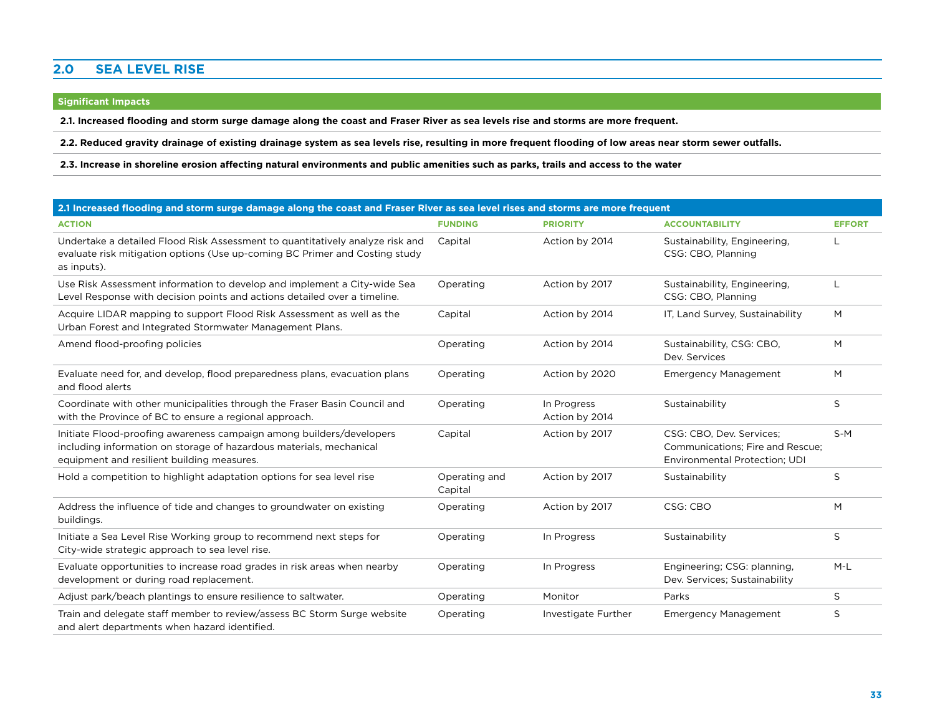#### **2.0 Sea Level Rise**

#### **Significant Impacts**

**2.1. Increased flooding and storm surge damage along the coast and Fraser River as sea levels rise and storms are more frequent.**

**2.2. Reduced gravity drainage of existing drainage system as sea levels rise, resulting in more frequent flooding of low areas near storm sewer outfalls.** 

**2.3. Increase in shoreline erosion affecting natural environments and public amenities such as parks, trails and access to the water**

|                                                                                                                                                                                           | 2.1 Increased flooding and storm surge damage along the coast and Fraser River as sea level rises and storms are more frequent |                               |                                                                                               |               |  |  |
|-------------------------------------------------------------------------------------------------------------------------------------------------------------------------------------------|--------------------------------------------------------------------------------------------------------------------------------|-------------------------------|-----------------------------------------------------------------------------------------------|---------------|--|--|
| <b>ACTION</b>                                                                                                                                                                             | <b>FUNDING</b>                                                                                                                 | <b>PRIORITY</b>               | <b>ACCOUNTABILITY</b>                                                                         | <b>EFFORT</b> |  |  |
| Undertake a detailed Flood Risk Assessment to quantitatively analyze risk and<br>evaluate risk mitigation options (Use up-coming BC Primer and Costing study<br>as inputs).               | Capital                                                                                                                        | Action by 2014                | Sustainability, Engineering,<br>CSG: CBO, Planning                                            |               |  |  |
| Use Risk Assessment information to develop and implement a City-wide Sea<br>Level Response with decision points and actions detailed over a timeline.                                     | Operating                                                                                                                      | Action by 2017                | Sustainability, Engineering,<br>CSG: CBO, Planning                                            | L             |  |  |
| Acquire LIDAR mapping to support Flood Risk Assessment as well as the<br>Urban Forest and Integrated Stormwater Management Plans.                                                         | Capital                                                                                                                        | Action by 2014                | IT, Land Survey, Sustainability                                                               | M             |  |  |
| Amend flood-proofing policies                                                                                                                                                             | Operating                                                                                                                      | Action by 2014                | Sustainability, CSG: CBO,<br>Dev. Services                                                    | M             |  |  |
| Evaluate need for, and develop, flood preparedness plans, evacuation plans<br>and flood alerts                                                                                            | Operating                                                                                                                      | Action by 2020                | <b>Emergency Management</b>                                                                   | M             |  |  |
| Coordinate with other municipalities through the Fraser Basin Council and<br>with the Province of BC to ensure a regional approach.                                                       | Operating                                                                                                                      | In Progress<br>Action by 2014 | Sustainability                                                                                | S             |  |  |
| Initiate Flood-proofing awareness campaign among builders/developers<br>including information on storage of hazardous materials, mechanical<br>equipment and resilient building measures. | Capital                                                                                                                        | Action by 2017                | CSG: CBO, Dev. Services;<br>Communications; Fire and Rescue;<br>Environmental Protection: UDI | $S-M$         |  |  |
| Hold a competition to highlight adaptation options for sea level rise                                                                                                                     | Operating and<br>Capital                                                                                                       | Action by 2017                | Sustainability                                                                                | S             |  |  |
| Address the influence of tide and changes to groundwater on existing<br>buildings.                                                                                                        | Operating                                                                                                                      | Action by 2017                | CSG: CBO                                                                                      | M             |  |  |
| Initiate a Sea Level Rise Working group to recommend next steps for<br>City-wide strategic approach to sea level rise.                                                                    | Operating                                                                                                                      | In Progress                   | Sustainability                                                                                | S             |  |  |
| Evaluate opportunities to increase road grades in risk areas when nearby<br>development or during road replacement.                                                                       | Operating                                                                                                                      | In Progress                   | Engineering; CSG: planning,<br>Dev. Services; Sustainability                                  | $M-L$         |  |  |
| Adjust park/beach plantings to ensure resilience to saltwater.                                                                                                                            | Operating                                                                                                                      | Monitor                       | Parks                                                                                         | S             |  |  |
| Train and delegate staff member to review/assess BC Storm Surge website<br>and alert departments when hazard identified.                                                                  | Operating                                                                                                                      | Investigate Further           | <b>Emergency Management</b>                                                                   | S             |  |  |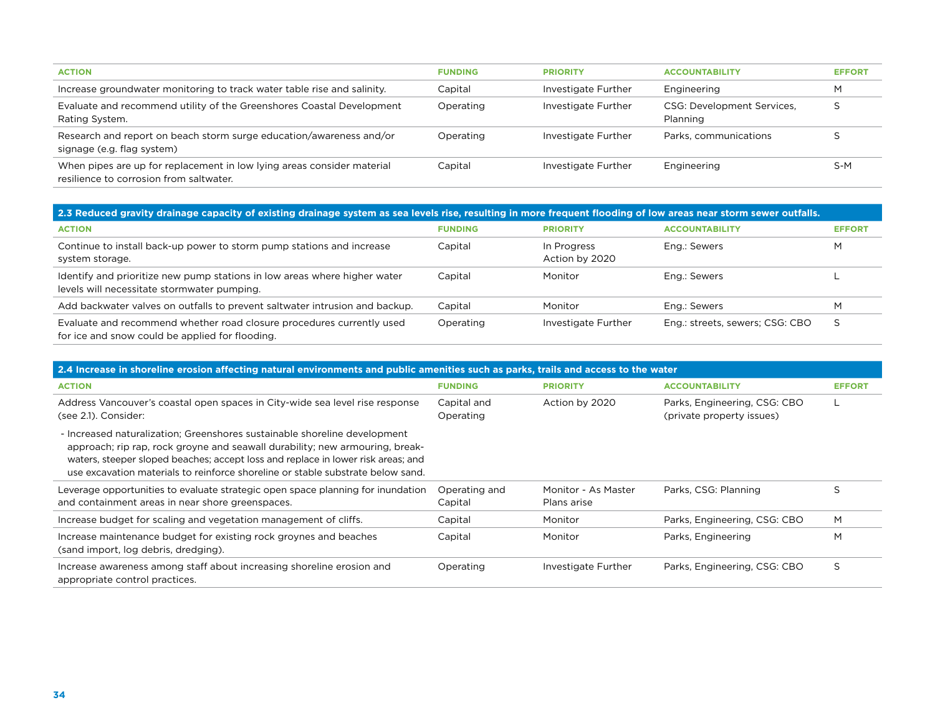| <b>ACTION</b>                                                                                                     | <b>FUNDING</b> | <b>PRIORITY</b>     | <b>ACCOUNTABILITY</b>                  | <b>EFFORT</b> |
|-------------------------------------------------------------------------------------------------------------------|----------------|---------------------|----------------------------------------|---------------|
| Increase groundwater monitoring to track water table rise and salinity.                                           | Capital        | Investigate Further | Engineering                            | M             |
| Evaluate and recommend utility of the Greenshores Coastal Development<br>Rating System.                           | Operating      | Investigate Further | CSG: Development Services,<br>Planning |               |
| Research and report on beach storm surge education/awareness and/or<br>signage (e.g. flag system)                 | Operating      | Investigate Further | Parks, communications                  |               |
| When pipes are up for replacement in low lying areas consider material<br>resilience to corrosion from saltwater. | Capital        | Investigate Further | Engineering                            | S-M           |

| 2.3 Reduced gravity drainage capacity of existing drainage system as sea levels rise, resulting in more frequent flooding of low areas near storm sewer outfalls. |                |                               |                                 |               |  |
|-------------------------------------------------------------------------------------------------------------------------------------------------------------------|----------------|-------------------------------|---------------------------------|---------------|--|
| <b>ACTION</b>                                                                                                                                                     | <b>FUNDING</b> | <b>PRIORITY</b>               | <b>ACCOUNTABILITY</b>           | <b>EFFORT</b> |  |
| Continue to install back-up power to storm pump stations and increase<br>system storage.                                                                          | Capital        | In Progress<br>Action by 2020 | Eng.: Sewers                    | M             |  |
| Identify and prioritize new pump stations in low areas where higher water<br>levels will necessitate stormwater pumping.                                          | Capital        | Monitor                       | Eng.: Sewers                    |               |  |
| Add backwater valves on outfalls to prevent saltwater intrusion and backup.                                                                                       | Capital        | Monitor                       | Eng.: Sewers                    | M             |  |
| Evaluate and recommend whether road closure procedures currently used<br>for ice and snow could be applied for flooding.                                          | Operating      | Investigate Further           | Eng.: streets, sewers; CSG: CBO |               |  |

| 2.4 Increase in shoreline erosion affecting natural environments and public amenities such as parks, trails and access to the water                                                                                                                                                                                              |                          |                                    |                                                           |               |  |  |
|----------------------------------------------------------------------------------------------------------------------------------------------------------------------------------------------------------------------------------------------------------------------------------------------------------------------------------|--------------------------|------------------------------------|-----------------------------------------------------------|---------------|--|--|
| <b>ACTION</b>                                                                                                                                                                                                                                                                                                                    | <b>FUNDING</b>           | <b>PRIORITY</b>                    | <b>ACCOUNTABILITY</b>                                     | <b>EFFORT</b> |  |  |
| Address Vancouver's coastal open spaces in City-wide sea level rise response<br>(see 2.1). Consider:                                                                                                                                                                                                                             | Capital and<br>Operating | Action by 2020                     | Parks, Engineering, CSG: CBO<br>(private property issues) |               |  |  |
| - Increased naturalization; Greenshores sustainable shoreline development<br>approach; rip rap, rock groyne and seawall durability; new armouring, break-<br>waters, steeper sloped beaches; accept loss and replace in lower risk areas; and<br>use excavation materials to reinforce shoreline or stable substrate below sand. |                          |                                    |                                                           |               |  |  |
| Leverage opportunities to evaluate strategic open space planning for inundation<br>and containment areas in near shore greenspaces.                                                                                                                                                                                              | Operating and<br>Capital | Monitor - As Master<br>Plans arise | Parks, CSG: Planning                                      | S             |  |  |
| Increase budget for scaling and vegetation management of cliffs.                                                                                                                                                                                                                                                                 | Capital                  | Monitor                            | Parks, Engineering, CSG: CBO                              | M             |  |  |
| Increase maintenance budget for existing rock groynes and beaches<br>(sand import, log debris, dredging).                                                                                                                                                                                                                        | Capital                  | Monitor                            | Parks, Engineering                                        | M             |  |  |
| Increase awareness among staff about increasing shoreline erosion and<br>appropriate control practices.                                                                                                                                                                                                                          | Operating                | Investigate Further                | Parks, Engineering, CSG: CBO                              | S             |  |  |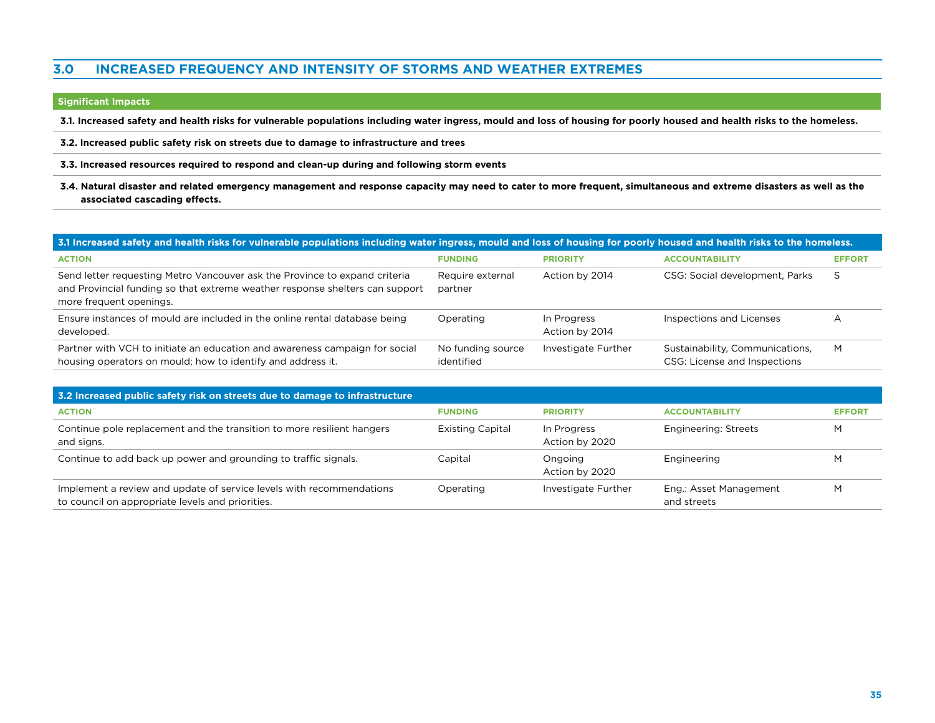#### **3.0 Increased frequency and intensity of storms and weather extremes**

#### **Significant Impacts**

**3.1. Increased safety and health risks for vulnerable populations including water ingress, mould and loss of housing for poorly housed and health risks to the homeless.**

**3.2. Increased public safety risk on streets due to damage to infrastructure and trees**

**3.3. Increased resources required to respond and clean-up during and following storm events**

**3.4. Natural disaster and related emergency management and response capacity may need to cater to more frequent, simultaneous and extreme disasters as well as the associated cascading effects.** 

| 3.1 Increased safety and health risks for vulnerable populations including water ingress, mould and loss of housing for poorly housed and health risks to the homeless.               |                                 |                               |                                                                 |               |  |  |
|---------------------------------------------------------------------------------------------------------------------------------------------------------------------------------------|---------------------------------|-------------------------------|-----------------------------------------------------------------|---------------|--|--|
| <b>ACTION</b>                                                                                                                                                                         | <b>FUNDING</b>                  | <b>PRIORITY</b>               | <b>ACCOUNTABILITY</b>                                           | <b>EFFORT</b> |  |  |
| Send letter requesting Metro Vancouver ask the Province to expand criteria<br>and Provincial funding so that extreme weather response shelters can support<br>more frequent openings. | Require external<br>partner     | Action by 2014                | CSG: Social development, Parks                                  | S             |  |  |
| Ensure instances of mould are included in the online rental database being<br>developed.                                                                                              | Operating                       | In Progress<br>Action by 2014 | Inspections and Licenses                                        | A             |  |  |
| Partner with VCH to initiate an education and awareness campaign for social<br>housing operators on mould; how to identify and address it.                                            | No funding source<br>identified | Investigate Further           | Sustainability, Communications,<br>CSG: License and Inspections | M             |  |  |

| 3.2 Increased public safety risk on streets due to damage to infrastructure                                              |                         |                               |                                       |               |
|--------------------------------------------------------------------------------------------------------------------------|-------------------------|-------------------------------|---------------------------------------|---------------|
| <b>ACTION</b>                                                                                                            | <b>FUNDING</b>          | <b>PRIORITY</b>               | <b>ACCOUNTABILITY</b>                 | <b>EFFORT</b> |
| Continue pole replacement and the transition to more resilient hangers<br>and signs.                                     | <b>Existing Capital</b> | In Progress<br>Action by 2020 | Engineering: Streets                  | M             |
| Continue to add back up power and grounding to traffic signals.                                                          | Capital                 | Ongoing<br>Action by 2020     | Engineering                           | M             |
| Implement a review and update of service levels with recommendations<br>to council on appropriate levels and priorities. | Operating               | Investigate Further           | Eng.: Asset Management<br>and streets | M             |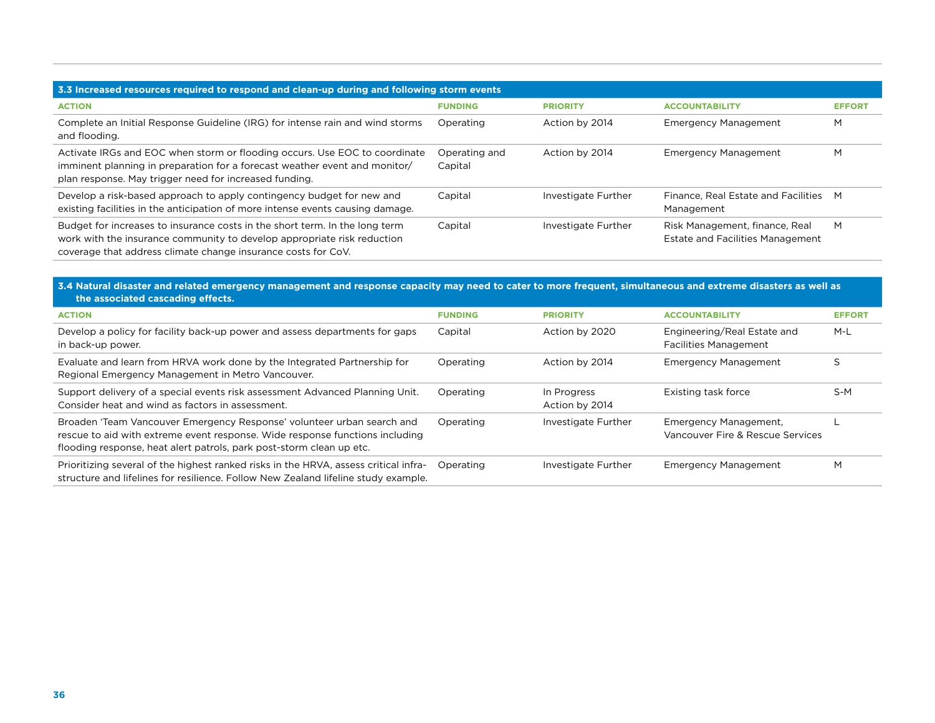| 3.3 Increased resources required to respond and clean-up during and following storm events                                                                                                                              |                          |                     |                                                                           |               |  |
|-------------------------------------------------------------------------------------------------------------------------------------------------------------------------------------------------------------------------|--------------------------|---------------------|---------------------------------------------------------------------------|---------------|--|
| <b>ACTION</b>                                                                                                                                                                                                           | <b>FUNDING</b>           | <b>PRIORITY</b>     | <b>ACCOUNTABILITY</b>                                                     | <b>EFFORT</b> |  |
| Complete an Initial Response Guideline (IRG) for intense rain and wind storms<br>and flooding.                                                                                                                          | Operating                | Action by 2014      | <b>Emergency Management</b>                                               | M             |  |
| Activate IRGs and EOC when storm or flooding occurs. Use EOC to coordinate<br>imminent planning in preparation for a forecast weather event and monitor/<br>plan response. May trigger need for increased funding.      | Operating and<br>Capital | Action by 2014      | <b>Emergency Management</b>                                               | M             |  |
| Develop a risk-based approach to apply contingency budget for new and<br>existing facilities in the anticipation of more intense events causing damage.                                                                 | Capital                  | Investigate Further | Finance, Real Estate and Facilities M<br>Management                       |               |  |
| Budget for increases to insurance costs in the short term. In the long term<br>work with the insurance community to develop appropriate risk reduction<br>coverage that address climate change insurance costs for CoV. | Capital                  | Investigate Further | Risk Management, finance, Real<br><b>Estate and Facilities Management</b> | M             |  |

#### **3.4 Natural disaster and related emergency management and response capacity may need to cater to more frequent, simultaneous and extreme disasters as well as the associated cascading effects.**

| <b>ACTION</b>                                                                                                                                                                                                                  | <b>FUNDING</b> | <b>PRIORITY</b>               | <b>ACCOUNTABILITY</b>                                       | <b>EFFORT</b> |
|--------------------------------------------------------------------------------------------------------------------------------------------------------------------------------------------------------------------------------|----------------|-------------------------------|-------------------------------------------------------------|---------------|
| Develop a policy for facility back-up power and assess departments for gaps<br>in back-up power.                                                                                                                               | Capital        | Action by 2020                | Engineering/Real Estate and<br><b>Facilities Management</b> | M-L           |
| Evaluate and learn from HRVA work done by the Integrated Partnership for<br>Regional Emergency Management in Metro Vancouver.                                                                                                  | Operating      | Action by 2014                | <b>Emergency Management</b>                                 | S             |
| Support delivery of a special events risk assessment Advanced Planning Unit.<br>Consider heat and wind as factors in assessment.                                                                                               | Operating      | In Progress<br>Action by 2014 | Existing task force                                         | $S-M$         |
| Broaden 'Team Vancouver Emergency Response' volunteer urban search and<br>rescue to aid with extreme event response. Wide response functions including<br>flooding response, heat alert patrols, park post-storm clean up etc. | Operating      | Investigate Further           | Emergency Management,<br>Vancouver Fire & Rescue Services   |               |
| Prioritizing several of the highest ranked risks in the HRVA, assess critical infra-<br>structure and lifelines for resilience. Follow New Zealand lifeline study example.                                                     | Operating      | Investigate Further           | <b>Emergency Management</b>                                 | M             |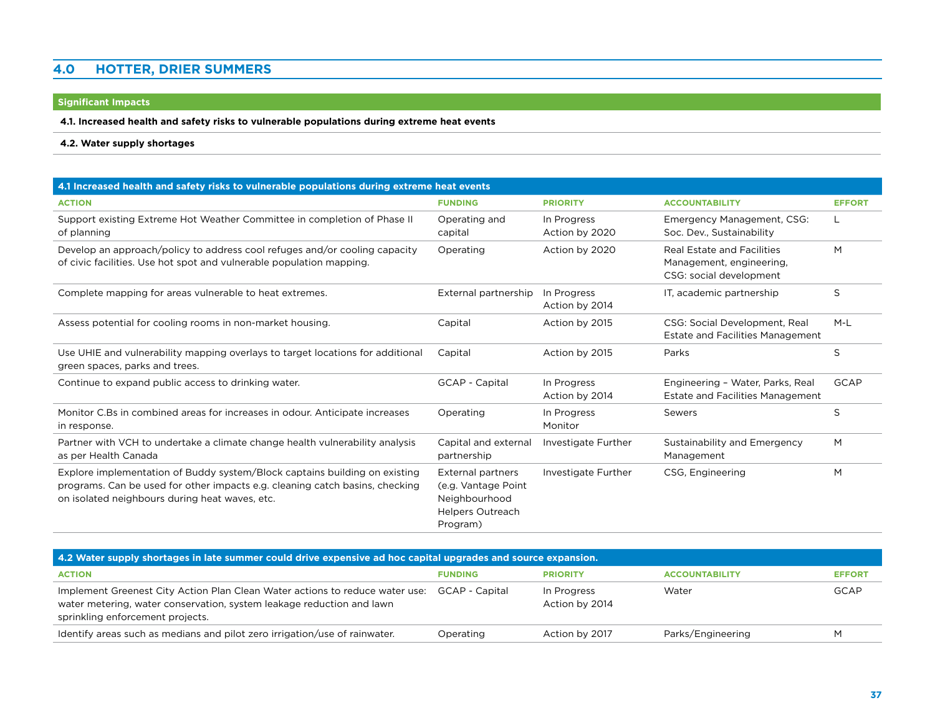#### **4.0 Hotter, drier summers**

#### **Significant Impacts**

#### **4.1. Increased health and safety risks to vulnerable populations during extreme heat events**

#### **4.2. Water supply shortages**

| 4.1 Increased health and safety risks to vulnerable populations during extreme heat events                                                                                                                   |                                                                                                         |                               |                                                                                          |               |  |
|--------------------------------------------------------------------------------------------------------------------------------------------------------------------------------------------------------------|---------------------------------------------------------------------------------------------------------|-------------------------------|------------------------------------------------------------------------------------------|---------------|--|
| <b>ACTION</b>                                                                                                                                                                                                | <b>FUNDING</b>                                                                                          | <b>PRIORITY</b>               | <b>ACCOUNTABILITY</b>                                                                    | <b>EFFORT</b> |  |
| Support existing Extreme Hot Weather Committee in completion of Phase II<br>of planning                                                                                                                      | Operating and<br>capital                                                                                | In Progress<br>Action by 2020 | Emergency Management, CSG:<br>Soc. Dev., Sustainability                                  | L             |  |
| Develop an approach/policy to address cool refuges and/or cooling capacity<br>of civic facilities. Use hot spot and vulnerable population mapping.                                                           | Operating                                                                                               | Action by 2020                | <b>Real Estate and Facilities</b><br>Management, engineering,<br>CSG: social development | M             |  |
| Complete mapping for areas vulnerable to heat extremes.                                                                                                                                                      | External partnership                                                                                    | In Progress<br>Action by 2014 | IT, academic partnership                                                                 | S             |  |
| Assess potential for cooling rooms in non-market housing.                                                                                                                                                    | Capital                                                                                                 | Action by 2015                | CSG: Social Development, Real<br><b>Estate and Facilities Management</b>                 | $M-L$         |  |
| Use UHIE and vulnerability mapping overlays to target locations for additional<br>green spaces, parks and trees.                                                                                             | Capital                                                                                                 | Action by 2015                | Parks                                                                                    | S             |  |
| Continue to expand public access to drinking water.                                                                                                                                                          | GCAP - Capital                                                                                          | In Progress<br>Action by 2014 | Engineering - Water, Parks, Real<br><b>Estate and Facilities Management</b>              | <b>GCAP</b>   |  |
| Monitor C.Bs in combined areas for increases in odour. Anticipate increases<br>in response.                                                                                                                  | Operating                                                                                               | In Progress<br>Monitor        | Sewers                                                                                   | S             |  |
| Partner with VCH to undertake a climate change health vulnerability analysis<br>as per Health Canada                                                                                                         | Capital and external<br>partnership                                                                     | Investigate Further           | Sustainability and Emergency<br>Management                                               | M             |  |
| Explore implementation of Buddy system/Block captains building on existing<br>programs. Can be used for other impacts e.g. cleaning catch basins, checking<br>on isolated neighbours during heat waves, etc. | <b>External partners</b><br>(e.g. Vantage Point<br>Neighbourhood<br><b>Helpers Outreach</b><br>Program) | Investigate Further           | CSG, Engineering                                                                         | M             |  |

| 4.2 Water supply shortages in late summer could drive expensive ad hoc capital upgrades and source expansion.                                                                             |                |                               |                       |               |  |
|-------------------------------------------------------------------------------------------------------------------------------------------------------------------------------------------|----------------|-------------------------------|-----------------------|---------------|--|
| <b>ACTION</b>                                                                                                                                                                             | <b>FUNDING</b> | <b>PRIORITY</b>               | <b>ACCOUNTABILITY</b> | <b>EFFORT</b> |  |
| Implement Greenest City Action Plan Clean Water actions to reduce water use:<br>water metering, water conservation, system leakage reduction and lawn<br>sprinkling enforcement projects. | GCAP - Capital | In Progress<br>Action by 2014 | Water                 | <b>GCAP</b>   |  |
| Identify areas such as medians and pilot zero irrigation/use of rainwater.                                                                                                                | Operating      | Action by 2017                | Parks/Engineering     | м             |  |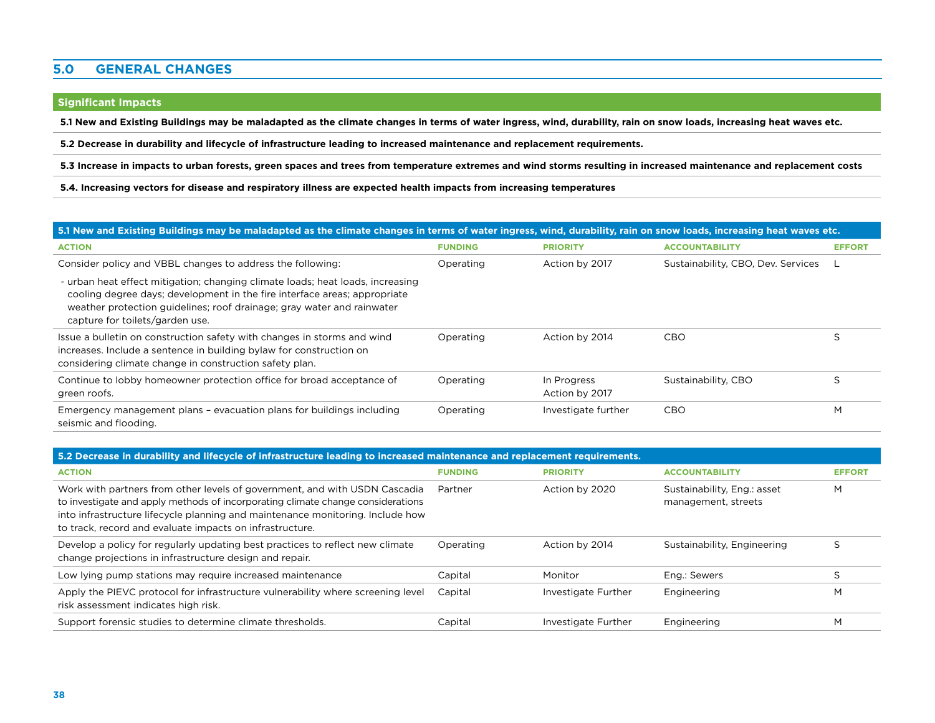#### **5.0 General Changes**

#### **Significant Impacts**

**5.1 New and Existing Buildings may be maladapted as the climate changes in terms of water ingress, wind, durability, rain on snow loads, increasing heat waves etc.** 

**5.2 Decrease in durability and lifecycle of infrastructure leading to increased maintenance and replacement requirements.**

**5.3 Increase in impacts to urban forests, green spaces and trees from temperature extremes and wind storms resulting in increased maintenance and replacement costs**

**5.4. Increasing vectors for disease and respiratory illness are expected health impacts from increasing temperatures** 

#### **5.1 New and Existing Buildings may be maladapted as the climate changes in terms of water ingress, wind, durability, rain on snow loads, increasing heat waves etc.**

| <b>ACTION</b>                                                                                                                                                                                                                                                            | <b>FUNDING</b> | <b>PRIORITY</b>               | <b>ACCOUNTABILITY</b>              | <b>EFFORT</b> |
|--------------------------------------------------------------------------------------------------------------------------------------------------------------------------------------------------------------------------------------------------------------------------|----------------|-------------------------------|------------------------------------|---------------|
| Consider policy and VBBL changes to address the following:                                                                                                                                                                                                               | Operating      | Action by 2017                | Sustainability, CBO, Dev. Services |               |
| - urban heat effect mitigation; changing climate loads; heat loads, increasing<br>cooling degree days; development in the fire interface areas; appropriate<br>weather protection guidelines; roof drainage; gray water and rainwater<br>capture for toilets/garden use. |                |                               |                                    |               |
| Issue a bulletin on construction safety with changes in storms and wind<br>increases. Include a sentence in building bylaw for construction on<br>considering climate change in construction safety plan.                                                                | Operating      | Action by 2014                | CBO                                |               |
| Continue to lobby homeowner protection office for broad acceptance of<br>green roofs.                                                                                                                                                                                    | Operating      | In Progress<br>Action by 2017 | Sustainability, CBO                |               |
| Emergency management plans - evacuation plans for buildings including<br>seismic and flooding.                                                                                                                                                                           | Operating      | Investigate further           | CBO                                | M             |

| 5.2 Decrease in durability and lifecycle of infrastructure leading to increased maintenance and replacement requirements.                                                                                                                                                                                   |                |                     |                                                    |               |  |
|-------------------------------------------------------------------------------------------------------------------------------------------------------------------------------------------------------------------------------------------------------------------------------------------------------------|----------------|---------------------|----------------------------------------------------|---------------|--|
| <b>ACTION</b>                                                                                                                                                                                                                                                                                               | <b>FUNDING</b> | <b>PRIORITY</b>     | <b>ACCOUNTABILITY</b>                              | <b>EFFORT</b> |  |
| Work with partners from other levels of government, and with USDN Cascadia<br>to investigate and apply methods of incorporating climate change considerations<br>into infrastructure lifecycle planning and maintenance monitoring. Include how<br>to track, record and evaluate impacts on infrastructure. | Partner        | Action by 2020      | Sustainability, Eng.: asset<br>management, streets | M             |  |
| Develop a policy for regularly updating best practices to reflect new climate<br>change projections in infrastructure design and repair.                                                                                                                                                                    | Operating      | Action by 2014      | Sustainability, Engineering                        |               |  |
| Low lying pump stations may require increased maintenance                                                                                                                                                                                                                                                   | Capital        | Monitor             | Eng.: Sewers                                       |               |  |
| Apply the PIEVC protocol for infrastructure vulnerability where screening level<br>risk assessment indicates high risk.                                                                                                                                                                                     | Capital        | Investigate Further | Engineering                                        | M             |  |
| Support forensic studies to determine climate thresholds.                                                                                                                                                                                                                                                   | Capital        | Investigate Further | Engineering                                        | M             |  |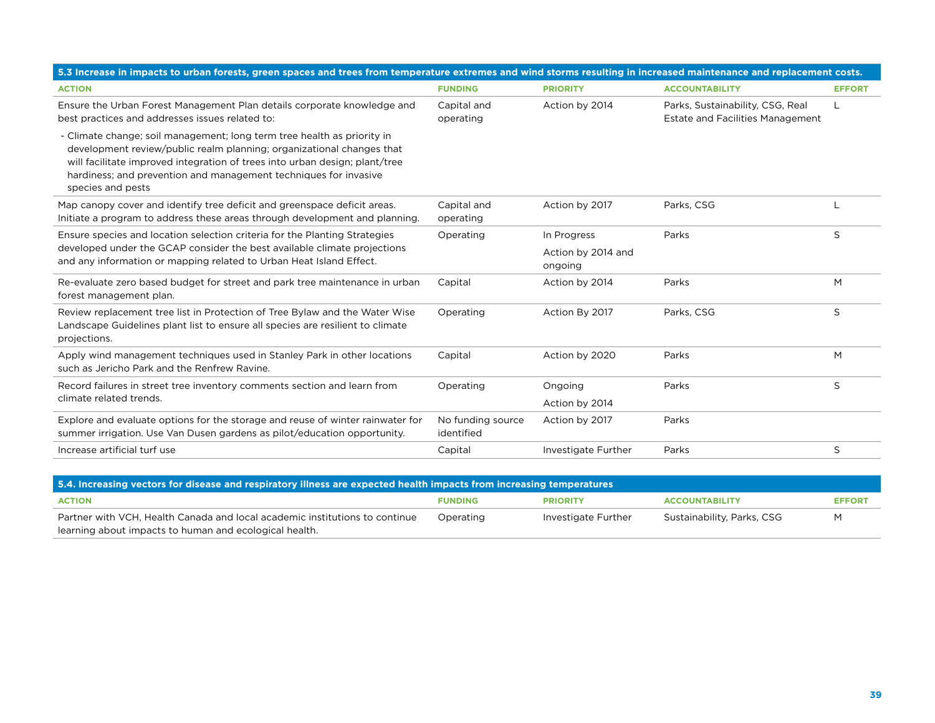| 5.3 Increase in impacts to urban forests, green spaces and trees from temperature extremes and wind storms resulting in increased maintenance and replacement costs.                                                                                                                                                     |                                 |                               |                                                                             |               |  |
|--------------------------------------------------------------------------------------------------------------------------------------------------------------------------------------------------------------------------------------------------------------------------------------------------------------------------|---------------------------------|-------------------------------|-----------------------------------------------------------------------------|---------------|--|
| <b>ACTION</b>                                                                                                                                                                                                                                                                                                            | <b>FUNDING</b>                  | <b>PRIORITY</b>               | <b>ACCOUNTABILITY</b>                                                       | <b>EFFORT</b> |  |
| Ensure the Urban Forest Management Plan details corporate knowledge and<br>best practices and addresses issues related to:                                                                                                                                                                                               | Capital and<br>operating        | Action by 2014                | Parks, Sustainability, CSG, Real<br><b>Estate and Facilities Management</b> |               |  |
| - Climate change; soil management; long term tree health as priority in<br>development review/public realm planning; organizational changes that<br>will facilitate improved integration of trees into urban design; plant/tree<br>hardiness; and prevention and management techniques for invasive<br>species and pests |                                 |                               |                                                                             |               |  |
| Map canopy cover and identify tree deficit and greenspace deficit areas.<br>Initiate a program to address these areas through development and planning.                                                                                                                                                                  | Capital and<br>operating        | Action by 2017                | Parks, CSG                                                                  |               |  |
| Ensure species and location selection criteria for the Planting Strategies                                                                                                                                                                                                                                               | Operating                       | In Progress                   | Parks                                                                       | S             |  |
| developed under the GCAP consider the best available climate projections<br>and any information or mapping related to Urban Heat Island Effect.                                                                                                                                                                          |                                 | Action by 2014 and<br>ongoing |                                                                             |               |  |
| Re-evaluate zero based budget for street and park tree maintenance in urban<br>forest management plan.                                                                                                                                                                                                                   | Capital                         | Action by 2014                | Parks                                                                       | M             |  |
| Review replacement tree list in Protection of Tree Bylaw and the Water Wise<br>Landscape Guidelines plant list to ensure all species are resilient to climate<br>projections.                                                                                                                                            | Operating                       | Action By 2017                | Parks, CSG                                                                  | S             |  |
| Apply wind management techniques used in Stanley Park in other locations<br>such as Jericho Park and the Renfrew Ravine.                                                                                                                                                                                                 | Capital                         | Action by 2020                | Parks                                                                       | M             |  |
| Record failures in street tree inventory comments section and learn from                                                                                                                                                                                                                                                 | Operating                       | Ongoing                       | Parks                                                                       | S             |  |
| climate related trends.                                                                                                                                                                                                                                                                                                  |                                 | Action by 2014                |                                                                             |               |  |
| Explore and evaluate options for the storage and reuse of winter rainwater for<br>summer irrigation. Use Van Dusen gardens as pilot/education opportunity.                                                                                                                                                               | No funding source<br>identified | Action by 2017                | Parks                                                                       |               |  |
| Increase artificial turf use                                                                                                                                                                                                                                                                                             | Capital                         | Investigate Further           | Parks                                                                       | S             |  |

| 5.4. Increasing vectors for disease and respiratory illness are expected health impacts from increasing temperatures                  |                |                     |                            |               |  |
|---------------------------------------------------------------------------------------------------------------------------------------|----------------|---------------------|----------------------------|---------------|--|
| <b>ACTION</b>                                                                                                                         | <b>FUNDING</b> | <b>PRIORITY</b>     | <b>ACCOUNTABILITY</b>      | <b>EFFORT</b> |  |
| Partner with VCH, Health Canada and local academic institutions to continue<br>learning about impacts to human and ecological health. | Operating      | Investigate Further | Sustainability, Parks, CSG | м             |  |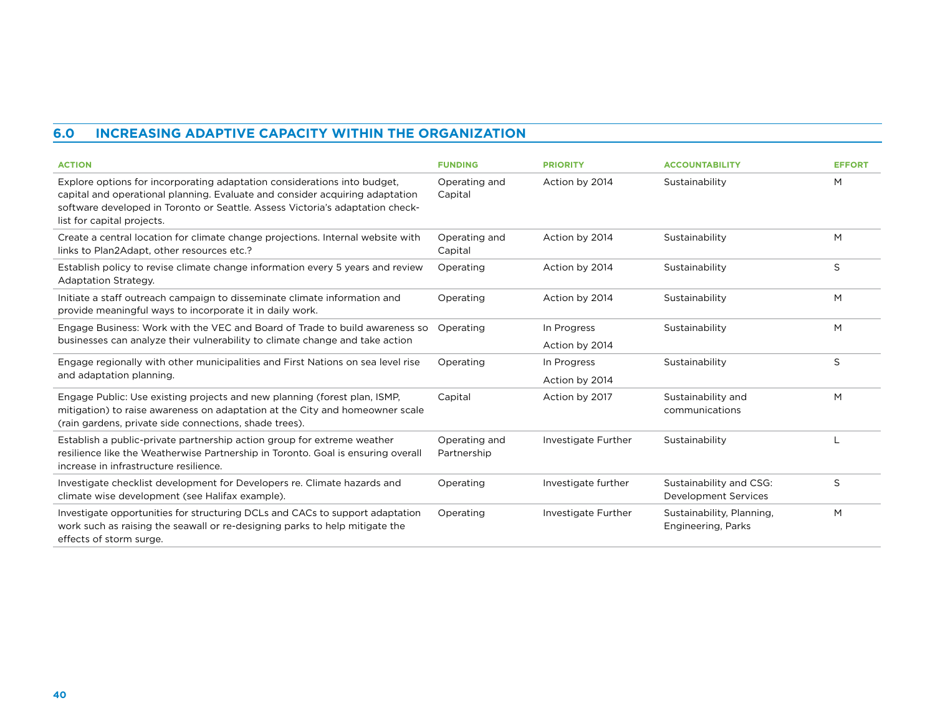### **6.0 Increasing Adaptive Capacity within the Organization**

| <b>ACTION</b>                                                                                                                                                                                                                                                           | <b>FUNDING</b>               | <b>PRIORITY</b>               | <b>ACCOUNTABILITY</b>                           | <b>EFFORT</b> |
|-------------------------------------------------------------------------------------------------------------------------------------------------------------------------------------------------------------------------------------------------------------------------|------------------------------|-------------------------------|-------------------------------------------------|---------------|
| Explore options for incorporating adaptation considerations into budget,<br>capital and operational planning. Evaluate and consider acquiring adaptation<br>software developed in Toronto or Seattle. Assess Victoria's adaptation check-<br>list for capital projects. | Operating and<br>Capital     | Action by 2014                | Sustainability                                  | М             |
| Create a central location for climate change projections. Internal website with<br>links to Plan2Adapt, other resources etc.?                                                                                                                                           | Operating and<br>Capital     | Action by 2014                | Sustainability                                  | M             |
| Establish policy to revise climate change information every 5 years and review<br><b>Adaptation Strategy.</b>                                                                                                                                                           | Operating                    | Action by 2014                | Sustainability                                  | S             |
| Initiate a staff outreach campaign to disseminate climate information and<br>provide meaningful ways to incorporate it in daily work.                                                                                                                                   | Operating                    | Action by 2014                | Sustainability                                  | M             |
| Engage Business: Work with the VEC and Board of Trade to build awareness so<br>businesses can analyze their vulnerability to climate change and take action                                                                                                             | Operating                    | In Progress<br>Action by 2014 | Sustainability                                  | M             |
| Engage regionally with other municipalities and First Nations on sea level rise<br>and adaptation planning.                                                                                                                                                             | Operating                    | In Progress<br>Action by 2014 | Sustainability                                  | S             |
| Engage Public: Use existing projects and new planning (forest plan, ISMP,<br>mitigation) to raise awareness on adaptation at the City and homeowner scale<br>(rain gardens, private side connections, shade trees).                                                     | Capital                      | Action by 2017                | Sustainability and<br>communications            | M             |
| Establish a public-private partnership action group for extreme weather<br>resilience like the Weatherwise Partnership in Toronto. Goal is ensuring overall<br>increase in infrastructure resilience.                                                                   | Operating and<br>Partnership | Investigate Further           | Sustainability                                  |               |
| Investigate checklist development for Developers re. Climate hazards and<br>climate wise development (see Halifax example).                                                                                                                                             | Operating                    | Investigate further           | Sustainability and CSG:<br>Development Services | S             |
| Investigate opportunities for structuring DCLs and CACs to support adaptation<br>work such as raising the seawall or re-designing parks to help mitigate the<br>effects of storm surge.                                                                                 | Operating                    | Investigate Further           | Sustainability, Planning,<br>Engineering, Parks | M             |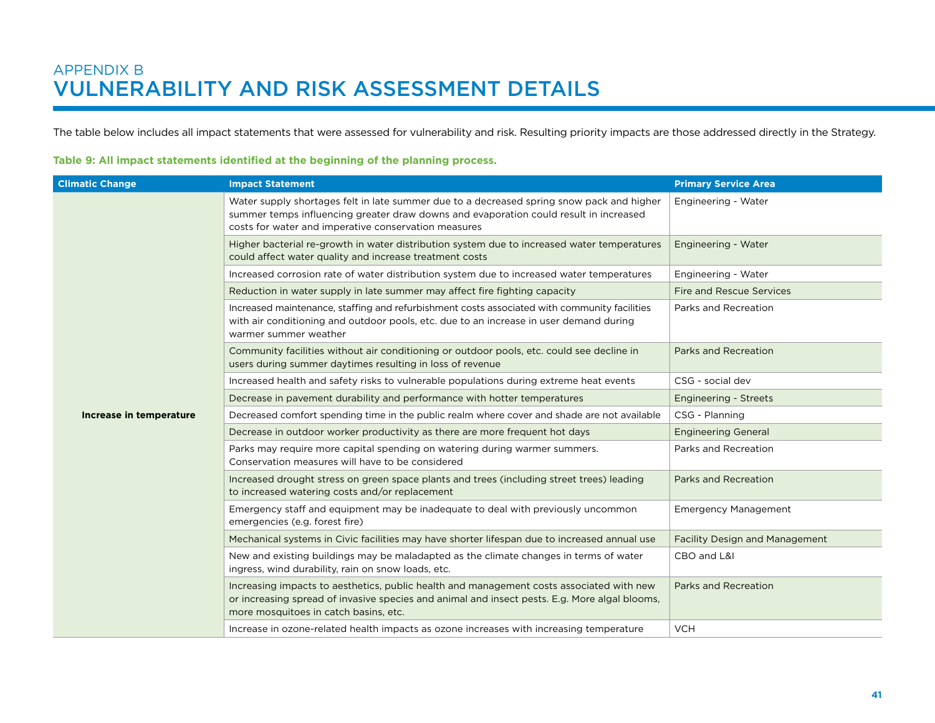The table below includes all impact statements that were assessed for vulnerability and risk. Resulting priority impacts are those addressed directly in the Strategy.

#### **Table 9: All impact statements identified at the beginning of the planning process.**

| <b>Climatic Change</b>  | <b>Impact Statement</b>                                                                                                                                                                                                                    | <b>Primary Service Area</b>           |
|-------------------------|--------------------------------------------------------------------------------------------------------------------------------------------------------------------------------------------------------------------------------------------|---------------------------------------|
|                         | Water supply shortages felt in late summer due to a decreased spring snow pack and higher<br>summer temps influencing greater draw downs and evaporation could result in increased<br>costs for water and imperative conservation measures | Engineering - Water                   |
|                         | Higher bacterial re-growth in water distribution system due to increased water temperatures<br>could affect water quality and increase treatment costs                                                                                     | Engineering - Water                   |
|                         | Increased corrosion rate of water distribution system due to increased water temperatures                                                                                                                                                  | Engineering - Water                   |
|                         | Reduction in water supply in late summer may affect fire fighting capacity                                                                                                                                                                 | <b>Fire and Rescue Services</b>       |
|                         | Increased maintenance, staffing and refurbishment costs associated with community facilities<br>with air conditioning and outdoor pools, etc. due to an increase in user demand during<br>warmer summer weather                            | Parks and Recreation                  |
|                         | Community facilities without air conditioning or outdoor pools, etc. could see decline in<br>users during summer daytimes resulting in loss of revenue                                                                                     | Parks and Recreation                  |
|                         | Increased health and safety risks to vulnerable populations during extreme heat events                                                                                                                                                     | CSG - social dev                      |
|                         | Decrease in pavement durability and performance with hotter temperatures                                                                                                                                                                   | <b>Engineering - Streets</b>          |
| Increase in temperature | Decreased comfort spending time in the public realm where cover and shade are not available                                                                                                                                                | CSG - Planning                        |
|                         | Decrease in outdoor worker productivity as there are more frequent hot days                                                                                                                                                                | <b>Engineering General</b>            |
|                         | Parks may require more capital spending on watering during warmer summers.<br>Conservation measures will have to be considered                                                                                                             | Parks and Recreation                  |
|                         | Increased drought stress on green space plants and trees (including street trees) leading<br>to increased watering costs and/or replacement                                                                                                | <b>Parks and Recreation</b>           |
|                         | Emergency staff and equipment may be inadequate to deal with previously uncommon<br>emergencies (e.g. forest fire)                                                                                                                         | <b>Emergency Management</b>           |
|                         | Mechanical systems in Civic facilities may have shorter lifespan due to increased annual use                                                                                                                                               | <b>Facility Design and Management</b> |
|                         | New and existing buildings may be maladapted as the climate changes in terms of water<br>ingress, wind durability, rain on snow loads, etc.                                                                                                | CBO and L&I                           |
|                         | Increasing impacts to aesthetics, public health and management costs associated with new<br>or increasing spread of invasive species and animal and insect pests. E.g. More algal blooms,<br>more mosquitoes in catch basins, etc.         | Parks and Recreation                  |
|                         | Increase in ozone-related health impacts as ozone increases with increasing temperature                                                                                                                                                    | <b>VCH</b>                            |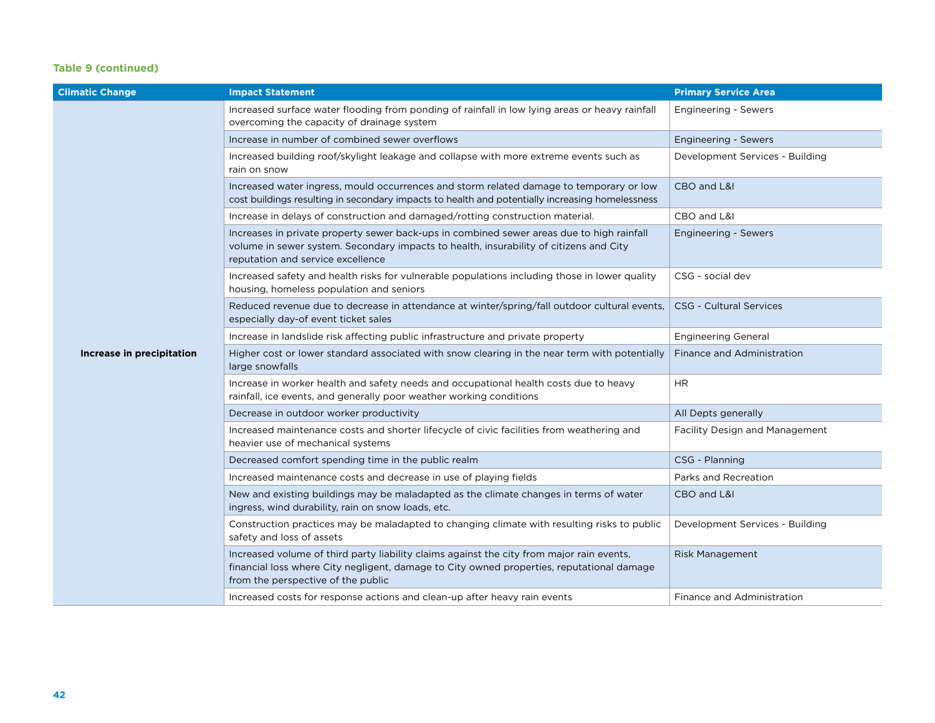#### **Table 9 (continued)**

| <b>Climatic Change</b>    | <b>Impact Statement</b>                                                                                                                                                                                                      | <b>Primary Service Area</b>           |
|---------------------------|------------------------------------------------------------------------------------------------------------------------------------------------------------------------------------------------------------------------------|---------------------------------------|
|                           | Increased surface water flooding from ponding of rainfall in low lying areas or heavy rainfall<br>overcoming the capacity of drainage system                                                                                 | <b>Engineering - Sewers</b>           |
|                           | Increase in number of combined sewer overflows                                                                                                                                                                               | <b>Engineering - Sewers</b>           |
|                           | Increased building roof/skylight leakage and collapse with more extreme events such as<br>rain on snow                                                                                                                       | Development Services - Building       |
|                           | Increased water ingress, mould occurrences and storm related damage to temporary or low<br>cost buildings resulting in secondary impacts to health and potentially increasing homelessness                                   | CBO and L&I                           |
|                           | Increase in delays of construction and damaged/rotting construction material.                                                                                                                                                | CBO and L&I                           |
|                           | Increases in private property sewer back-ups in combined sewer areas due to high rainfall<br>volume in sewer system. Secondary impacts to health, insurability of citizens and City<br>reputation and service excellence     | <b>Engineering - Sewers</b>           |
|                           | Increased safety and health risks for vulnerable populations including those in lower quality<br>housing, homeless population and seniors                                                                                    | CSG - social dev                      |
|                           | Reduced revenue due to decrease in attendance at winter/spring/fall outdoor cultural events,<br>especially day-of event ticket sales                                                                                         | <b>CSG - Cultural Services</b>        |
|                           | Increase in landslide risk affecting public infrastructure and private property                                                                                                                                              | <b>Engineering General</b>            |
| Increase in precipitation | Higher cost or lower standard associated with snow clearing in the near term with potentially<br>large snowfalls                                                                                                             | Finance and Administration            |
|                           | Increase in worker health and safety needs and occupational health costs due to heavy<br>rainfall, ice events, and generally poor weather working conditions                                                                 | <b>HR</b>                             |
|                           | Decrease in outdoor worker productivity                                                                                                                                                                                      | All Depts generally                   |
|                           | Increased maintenance costs and shorter lifecycle of civic facilities from weathering and<br>heavier use of mechanical systems                                                                                               | <b>Facility Design and Management</b> |
|                           | Decreased comfort spending time in the public realm                                                                                                                                                                          | CSG - Planning                        |
|                           | Increased maintenance costs and decrease in use of playing fields                                                                                                                                                            | Parks and Recreation                  |
|                           | New and existing buildings may be maladapted as the climate changes in terms of water<br>ingress, wind durability, rain on snow loads, etc.                                                                                  | CBO and L&I                           |
|                           | Construction practices may be maladapted to changing climate with resulting risks to public<br>safety and loss of assets                                                                                                     | Development Services - Building       |
|                           | Increased volume of third party liability claims against the city from major rain events,<br>financial loss where City negligent, damage to City owned properties, reputational damage<br>from the perspective of the public | <b>Risk Management</b>                |
|                           | Increased costs for response actions and clean-up after heavy rain events                                                                                                                                                    | Finance and Administration            |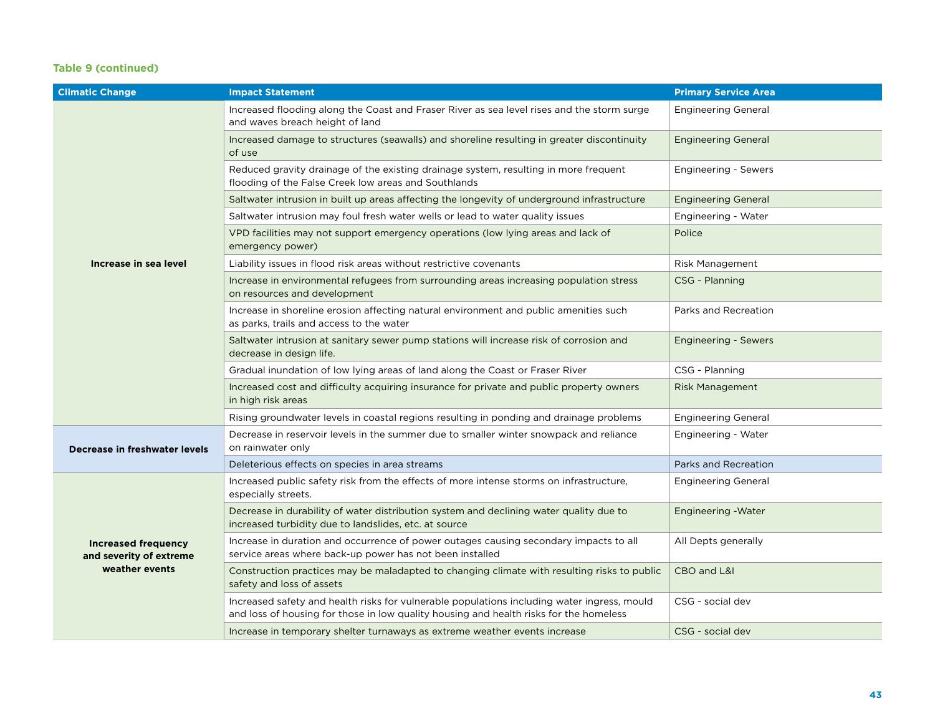#### **Table 9 (continued)**

| <b>Climatic Change</b>                                                  | <b>Impact Statement</b>                                                                                                                                                               | <b>Primary Service Area</b> |
|-------------------------------------------------------------------------|---------------------------------------------------------------------------------------------------------------------------------------------------------------------------------------|-----------------------------|
|                                                                         | Increased flooding along the Coast and Fraser River as sea level rises and the storm surge<br>and waves breach height of land                                                         | <b>Engineering General</b>  |
|                                                                         | Increased damage to structures (seawalls) and shoreline resulting in greater discontinuity<br>of use                                                                                  | <b>Engineering General</b>  |
|                                                                         | Reduced gravity drainage of the existing drainage system, resulting in more frequent<br>flooding of the False Creek low areas and Southlands                                          | Engineering - Sewers        |
|                                                                         | Saltwater intrusion in built up areas affecting the longevity of underground infrastructure                                                                                           | <b>Engineering General</b>  |
|                                                                         | Saltwater intrusion may foul fresh water wells or lead to water quality issues                                                                                                        | <b>Engineering - Water</b>  |
|                                                                         | VPD facilities may not support emergency operations (low lying areas and lack of<br>emergency power)                                                                                  | Police                      |
| Increase in sea level                                                   | Liability issues in flood risk areas without restrictive covenants                                                                                                                    | Risk Management             |
|                                                                         | Increase in environmental refugees from surrounding areas increasing population stress<br>on resources and development                                                                | CSG - Planning              |
|                                                                         | Increase in shoreline erosion affecting natural environment and public amenities such<br>as parks, trails and access to the water                                                     | Parks and Recreation        |
|                                                                         | Saltwater intrusion at sanitary sewer pump stations will increase risk of corrosion and<br>decrease in design life.                                                                   | Engineering - Sewers        |
|                                                                         | Gradual inundation of low lying areas of land along the Coast or Fraser River                                                                                                         | CSG - Planning              |
|                                                                         | Increased cost and difficulty acquiring insurance for private and public property owners<br>in high risk areas                                                                        | <b>Risk Management</b>      |
|                                                                         | Rising groundwater levels in coastal regions resulting in ponding and drainage problems                                                                                               | <b>Engineering General</b>  |
| Decrease in freshwater levels                                           | Decrease in reservoir levels in the summer due to smaller winter snowpack and reliance<br>on rainwater only                                                                           | <b>Engineering - Water</b>  |
|                                                                         | Deleterious effects on species in area streams                                                                                                                                        | Parks and Recreation        |
|                                                                         | Increased public safety risk from the effects of more intense storms on infrastructure,<br>especially streets.                                                                        | <b>Engineering General</b>  |
| <b>Increased frequency</b><br>and severity of extreme<br>weather events | Decrease in durability of water distribution system and declining water quality due to<br>increased turbidity due to landslides, etc. at source                                       | <b>Engineering - Water</b>  |
|                                                                         | Increase in duration and occurrence of power outages causing secondary impacts to all<br>service areas where back-up power has not been installed                                     | All Depts generally         |
|                                                                         | Construction practices may be maladapted to changing climate with resulting risks to public<br>safety and loss of assets                                                              | CBO and L&I                 |
|                                                                         | Increased safety and health risks for vulnerable populations including water ingress, mould<br>and loss of housing for those in low quality housing and health risks for the homeless | CSG - social dev            |
|                                                                         | Increase in temporary shelter turnaways as extreme weather events increase                                                                                                            | CSG - social dev            |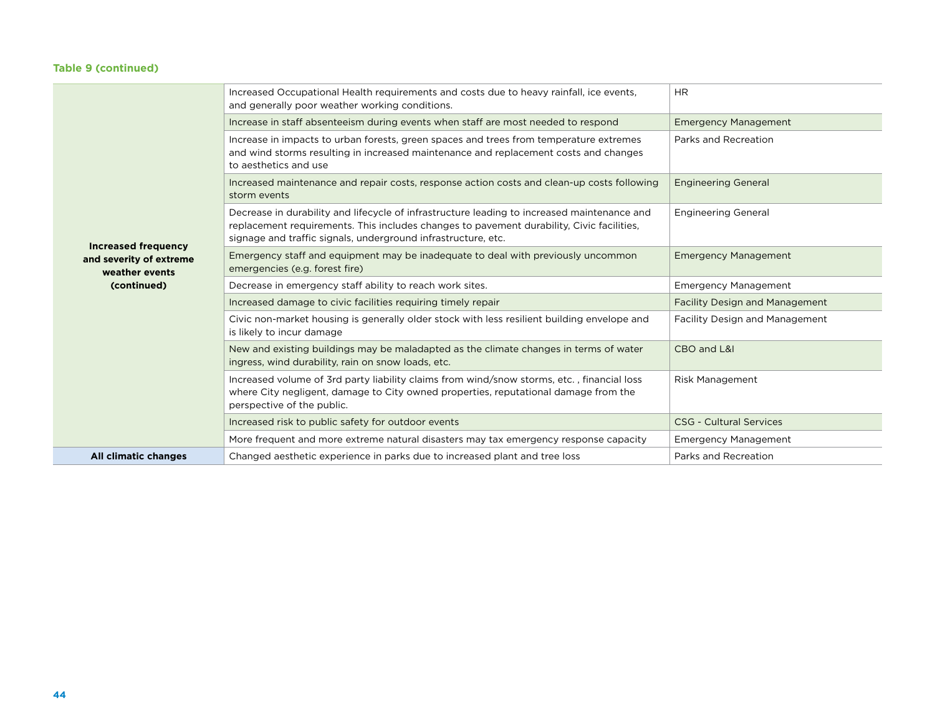#### **Table 9 (continued)**

|                                           | Increased Occupational Health requirements and costs due to heavy rainfall, ice events,<br>and generally poor weather working conditions.                                                                                                                 | <b>HR</b>                             |
|-------------------------------------------|-----------------------------------------------------------------------------------------------------------------------------------------------------------------------------------------------------------------------------------------------------------|---------------------------------------|
|                                           | Increase in staff absenteeism during events when staff are most needed to respond                                                                                                                                                                         | <b>Emergency Management</b>           |
|                                           | Increase in impacts to urban forests, green spaces and trees from temperature extremes<br>and wind storms resulting in increased maintenance and replacement costs and changes<br>to aesthetics and use                                                   | Parks and Recreation                  |
|                                           | Increased maintenance and repair costs, response action costs and clean-up costs following<br>storm events                                                                                                                                                | <b>Engineering General</b>            |
| <b>Increased frequency</b>                | Decrease in durability and lifecycle of infrastructure leading to increased maintenance and<br>replacement requirements. This includes changes to pavement durability, Civic facilities,<br>signage and traffic signals, underground infrastructure, etc. | <b>Engineering General</b>            |
| and severity of extreme<br>weather events | Emergency staff and equipment may be inadequate to deal with previously uncommon<br>emergencies (e.g. forest fire)                                                                                                                                        | <b>Emergency Management</b>           |
| (continued)                               | Decrease in emergency staff ability to reach work sites.                                                                                                                                                                                                  | <b>Emergency Management</b>           |
|                                           | Increased damage to civic facilities requiring timely repair                                                                                                                                                                                              | <b>Facility Design and Management</b> |
|                                           | Civic non-market housing is generally older stock with less resilient building envelope and<br>is likely to incur damage                                                                                                                                  | <b>Facility Design and Management</b> |
|                                           | New and existing buildings may be maladapted as the climate changes in terms of water<br>ingress, wind durability, rain on snow loads, etc.                                                                                                               | CBO and L&I                           |
|                                           | Increased volume of 3rd party liability claims from wind/snow storms, etc., financial loss<br>where City negligent, damage to City owned properties, reputational damage from the<br>perspective of the public.                                           | <b>Risk Management</b>                |
|                                           | Increased risk to public safety for outdoor events                                                                                                                                                                                                        | <b>CSG - Cultural Services</b>        |
|                                           | More frequent and more extreme natural disasters may tax emergency response capacity                                                                                                                                                                      | <b>Emergency Management</b>           |
| All climatic changes                      | Changed aesthetic experience in parks due to increased plant and tree loss                                                                                                                                                                                | Parks and Recreation                  |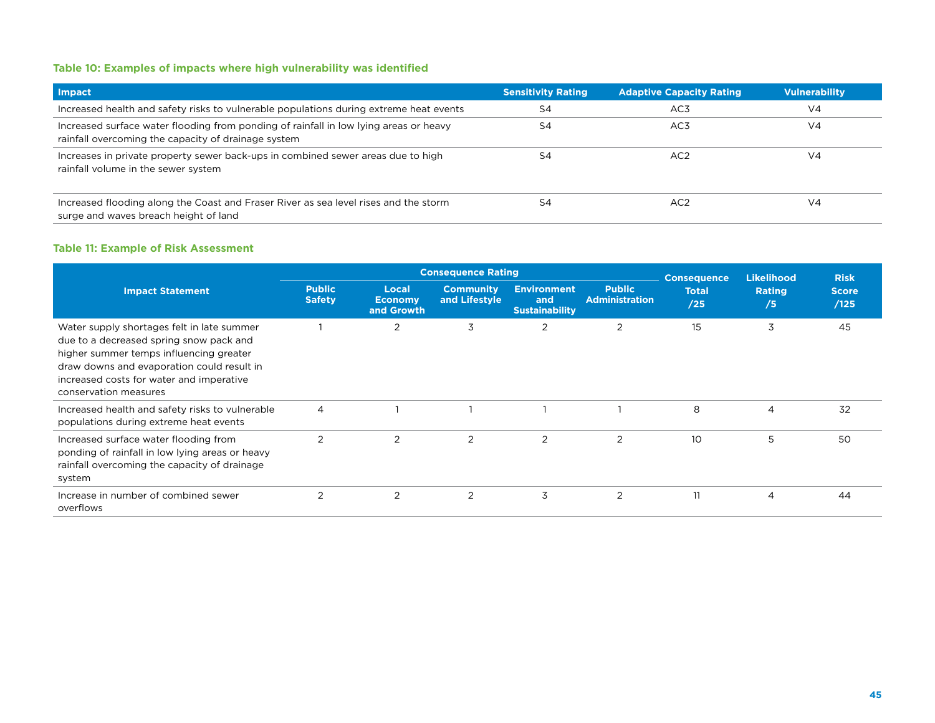#### **Table 10: Examples of impacts where high vulnerability was identified**

| <b>Impact</b>                                                                                                                                | <b>Sensitivity Rating</b> | <b>Adaptive Capacity Rating</b> | <b>Vulnerability</b> |
|----------------------------------------------------------------------------------------------------------------------------------------------|---------------------------|---------------------------------|----------------------|
| Increased health and safety risks to vulnerable populations during extreme heat events                                                       | S4                        | AC <sub>3</sub>                 | V <sub>4</sub>       |
| Increased surface water flooding from ponding of rainfall in low Iving areas or heavy<br>rainfall overcoming the capacity of drainage system | S4                        | AC3                             | V <sub>4</sub>       |
| Increases in private property sewer back-ups in combined sewer areas due to high<br>rainfall volume in the sewer system                      | S4                        | AC <sub>2</sub>                 | V <sub>4</sub>       |
| Increased flooding along the Coast and Fraser River as sea level rises and the storm<br>surge and waves breach height of land                | S4                        | AC <sub>2</sub>                 | V <sub>4</sub>       |

#### **Table 11: Example of Risk Assessment**

|                                                                                                                                                                                                                                                     |                                |                                       | <b>Consequence Rating</b>         |                                                    | <b>Consequence</b>                     | <b>Likelihood</b>   | <b>Risk</b>         |                      |
|-----------------------------------------------------------------------------------------------------------------------------------------------------------------------------------------------------------------------------------------------------|--------------------------------|---------------------------------------|-----------------------------------|----------------------------------------------------|----------------------------------------|---------------------|---------------------|----------------------|
| <b>Impact Statement</b>                                                                                                                                                                                                                             | <b>Public</b><br><b>Safety</b> | Local<br><b>Economy</b><br>and Growth | <b>Community</b><br>and Lifestyle | <b>Environment</b><br>and<br><b>Sustainability</b> | <b>Public</b><br><b>Administration</b> | <b>Total</b><br>/25 | <b>Rating</b><br>/5 | <b>Score</b><br>/125 |
| Water supply shortages felt in late summer<br>due to a decreased spring snow pack and<br>higher summer temps influencing greater<br>draw downs and evaporation could result in<br>increased costs for water and imperative<br>conservation measures |                                | $\overline{2}$                        | 3                                 | $\overline{2}$                                     | $\overline{2}$                         | 15                  | 3                   | 45                   |
| Increased health and safety risks to vulnerable<br>populations during extreme heat events                                                                                                                                                           | $\overline{4}$                 |                                       |                                   |                                                    |                                        | 8                   | 4                   | 32                   |
| Increased surface water flooding from<br>ponding of rainfall in low lying areas or heavy<br>rainfall overcoming the capacity of drainage<br>system                                                                                                  | 2                              | 2                                     | $\overline{2}$                    | 2                                                  | $\overline{2}$                         | 10                  | 5                   | 50                   |
| Increase in number of combined sewer<br>overflows                                                                                                                                                                                                   | $\overline{2}$                 | $\overline{2}$                        | 2                                 | 3                                                  | 2                                      | 11                  | $\overline{4}$      | 44                   |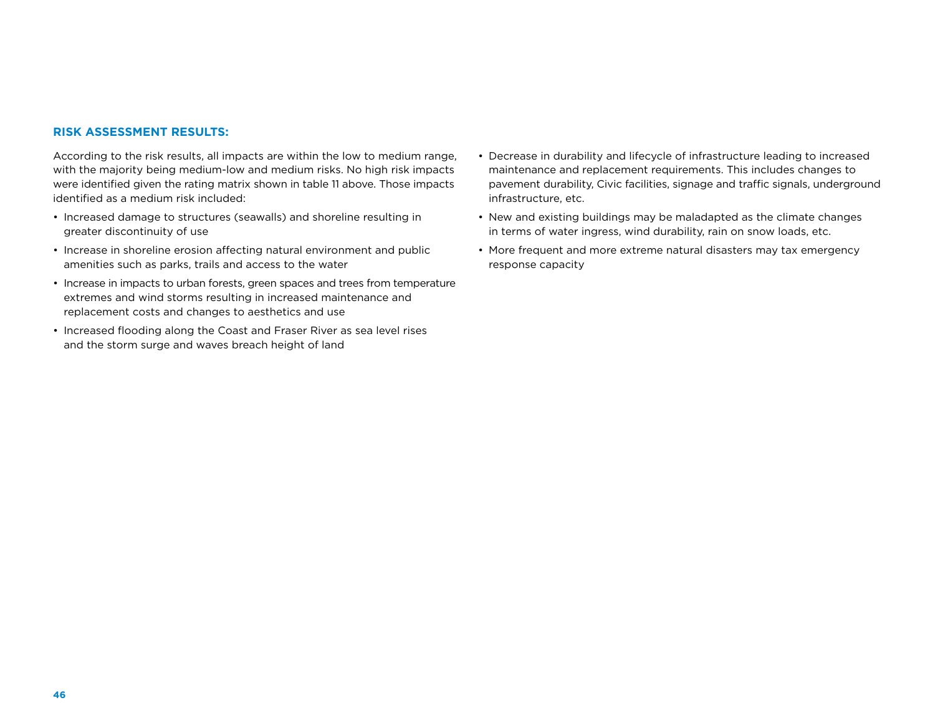#### **Risk Assessment Results:**

According to the risk results, all impacts are within the low to medium range, with the majority being medium-low and medium risks. No high risk impacts were identified given the rating matrix shown in table 11 above. Those impacts identified as a medium risk included:

- Increased damage to structures (seawalls) and shoreline resulting in greater discontinuity of use
- Increase in shoreline erosion affecting natural environment and public amenities such as parks, trails and access to the water
- Increase in impacts to urban forests, green spaces and trees from temperature extremes and wind storms resulting in increased maintenance and replacement costs and changes to aesthetics and use
- Increased flooding along the Coast and Fraser River as sea level rises and the storm surge and waves breach height of land
- Decrease in durability and lifecycle of infrastructure leading to increased maintenance and replacement requirements. This includes changes to pavement durability, Civic facilities, signage and traffic signals, underground infrastructure, etc.
- New and existing buildings may be maladapted as the climate changes in terms of water ingress, wind durability, rain on snow loads, etc.
- More frequent and more extreme natural disasters may tax emergency response capacity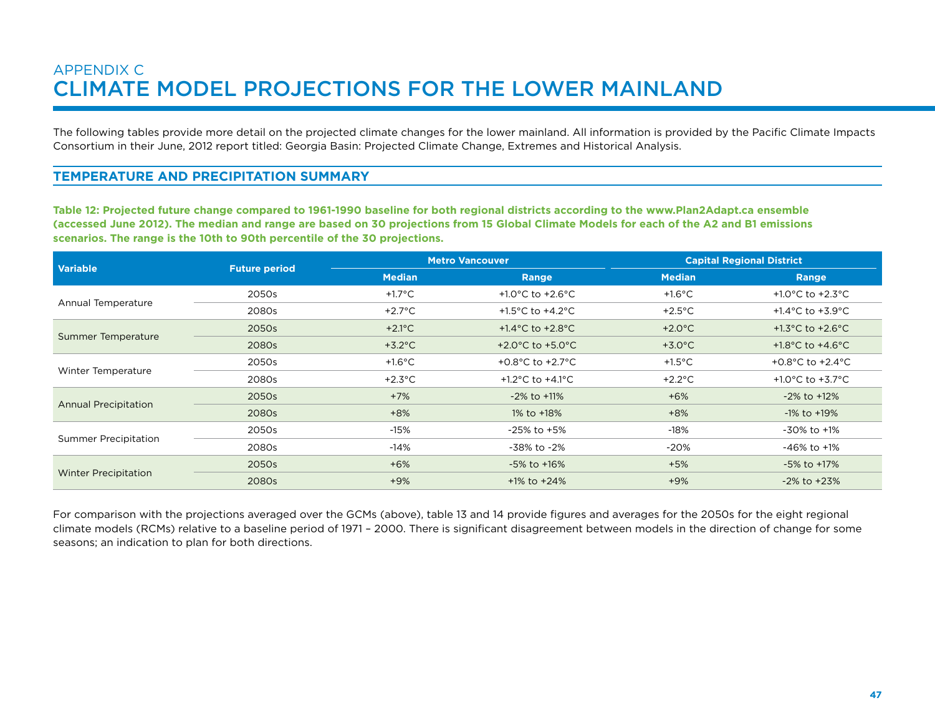### APPENDIX C CLIMATE MODEL PROJECTIONS FOR THE LOWER MAINLAND

The following tables provide more detail on the projected climate changes for the lower mainland. All information is provided by the Pacific Climate Impacts Consortium in their June, 2012 report titled: Georgia Basin: Projected Climate Change, Extremes and Historical Analysis.

#### **Temperature and Precipitation Summary**

**Table 12: Projected future change compared to 1961-1990 baseline for both regional districts according to the www.Plan2Adapt.ca ensemble (accessed June 2012). The median and range are based on 30 projections from 15 Global Climate Models for each of the A2 and B1 emissions scenarios. The range is the 10th to 90th percentile of the 30 projections.**

| <b>Variable</b>             | <b>Future period</b> |                           | <b>Metro Vancouver</b>                 | <b>Capital Regional District</b> |                                        |  |
|-----------------------------|----------------------|---------------------------|----------------------------------------|----------------------------------|----------------------------------------|--|
|                             |                      | <b>Median</b>             | Range                                  | <b>Median</b>                    | Range                                  |  |
| Annual Temperature          | 2050s                | +1.7°C                    | +1.0 $^{\circ}$ C to +2.6 $^{\circ}$ C | $+1.6^{\circ}$ C                 | +1.0 $^{\circ}$ C to +2.3 $^{\circ}$ C |  |
|                             | 2080s                | +2.7 $\mathrm{^{\circ}C}$ | +1.5 $^{\circ}$ C to +4.2 $^{\circ}$ C | $+2.5^{\circ}$ C                 | +1.4 $^{\circ}$ C to +3.9 $^{\circ}$ C |  |
|                             | 2050s                | $+2.1^{\circ}$ C          | +1.4 $^{\circ}$ C to +2.8 $^{\circ}$ C | $+2.0^{\circ}$ C                 | +1.3 $^{\circ}$ C to +2.6 $^{\circ}$ C |  |
| Summer Temperature          | 2080s                | $+3.2^{\circ}$ C          | +2.0 $^{\circ}$ C to +5.0 $^{\circ}$ C | $+3.0^{\circ}$ C                 | +1.8 $^{\circ}$ C to +4.6 $^{\circ}$ C |  |
| Winter Temperature          | 2050s                | +1.6 $^{\circ}$ C         | +0.8 $^{\circ}$ C to +2.7 $^{\circ}$ C | $+1.5^{\circ}$ C                 | +0.8 $^{\circ}$ C to +2.4 $^{\circ}$ C |  |
|                             | 2080s                | $+2.3^{\circ}$ C          | +1.2 $^{\circ}$ C to +4.1 $^{\circ}$ C | $+2.2^{\circ}$ C                 | +1.0 $^{\circ}$ C to +3.7 $^{\circ}$ C |  |
| <b>Annual Precipitation</b> | 2050s                | $+7%$                     | $-2\%$ to $+11\%$                      | $+6%$                            | $-2\%$ to $+12\%$                      |  |
|                             | 2080s                | $+8%$                     | 1% to +18%                             | $+8%$                            | $-1\%$ to $+19\%$                      |  |
| <b>Summer Precipitation</b> | 2050s                | $-15%$                    | $-25\%$ to $+5\%$                      | -18%                             | -30% to +1%                            |  |
|                             | 2080s                | $-14%$                    | -38% to -2%                            | $-20%$                           | $-46\%$ to $+1\%$                      |  |
|                             | 2050s                | $+6%$                     | $-5\%$ to $+16\%$                      | $+5%$                            | -5% to +17%                            |  |
| Winter Precipitation        | 2080s                | $+9%$                     | $+1\%$ to $+24\%$                      | $+9%$                            | $-2\%$ to $+23\%$                      |  |

For comparison with the projections averaged over the GCMs (above), table 13 and 14 provide figures and averages for the 2050s for the eight regional climate models (RCMs) relative to a baseline period of 1971 – 2000. There is significant disagreement between models in the direction of change for some seasons; an indication to plan for both directions.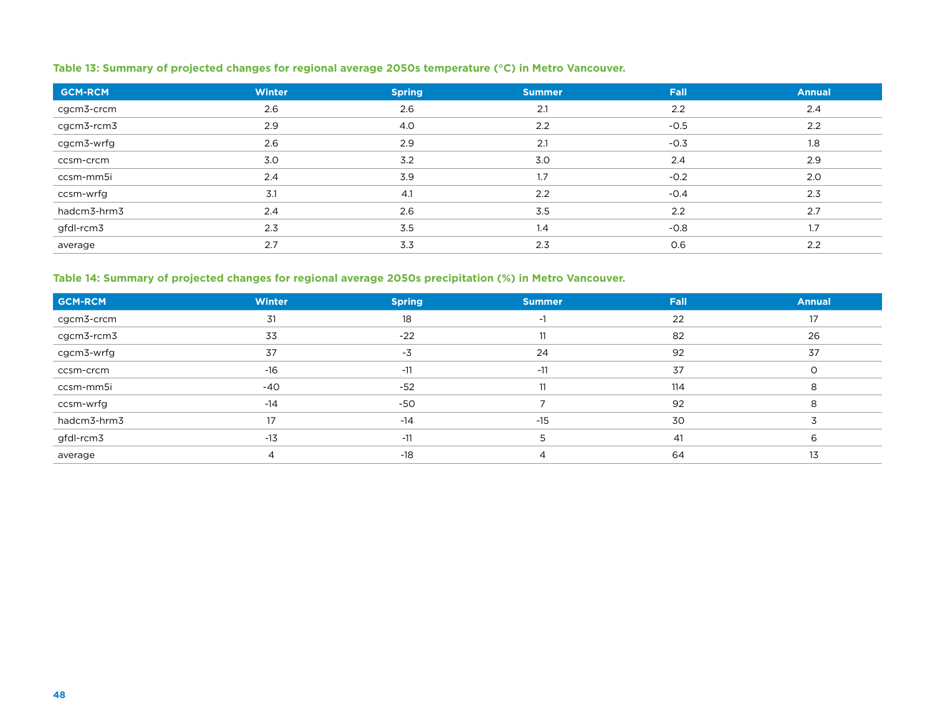#### **Table 13: Summary of projected changes for regional average 2050s temperature (°C) in Metro Vancouver.**

| <b>GCM-RCM</b> | <b>Winter</b> | <b>Spring</b> | <b>Summer</b> | Fall   | <b>Annual</b> |
|----------------|---------------|---------------|---------------|--------|---------------|
| cgcm3-crcm     | 2.6           | 2.6           | 2.1           | 2.2    | 2.4           |
| cgcm3-rcm3     | 2.9           | 4.0           | 2.2           | $-0.5$ | 2.2           |
| cgcm3-wrfg     | 2.6           | 2.9           | 2.1           | $-0.3$ | 1.8           |
| ccsm-crcm      | 3.0           | 3.2           | 3.0           | 2.4    | 2.9           |
| ccsm-mm5i      | 2.4           | 3.9           | 1.7           | $-0.2$ | 2.0           |
| ccsm-wrfg      | 3.1           | 4.1           | 2.2           | $-0.4$ | 2.3           |
| hadcm3-hrm3    | 2.4           | 2.6           | 3.5           | 2.2    | 2.7           |
| gfdl-rcm3      | 2.3           | 3.5           | 1.4           | $-0.8$ | 1.7           |
| average        | 2.7           | 3.3           | 2.3           | 0.6    | 2.2           |

#### **Table 14: Summary of projected changes for regional average 2050s precipitation (%) in Metro Vancouver.**

| GCM-RCM     | <b>Winter</b> | <b>Spring</b> | <b>Summer</b> | Fall | <b>Annual</b> |
|-------------|---------------|---------------|---------------|------|---------------|
| cgcm3-crcm  | 31            | 18            |               | 22   | 17            |
| cgcm3-rcm3  | 33            | $-22$         | 11            | 82   | 26            |
| cgcm3-wrfg  | 37            | -3            | 24            | 92   | 37            |
| ccsm-crcm   | $-16$         | $-11$         | $-11$         | 37   |               |
| ccsm-mm5i   | -40           | $-52$         | 11            | 114  |               |
| ccsm-wrfg   | $-14$         | -50           |               | 92   |               |
| hadcm3-hrm3 | 17            | $-14$         | $-15$         | 30   |               |
| gfdl-rcm3   | $-13$         | $-11$         |               | 41   |               |
| average     |               | -18           |               | 64   |               |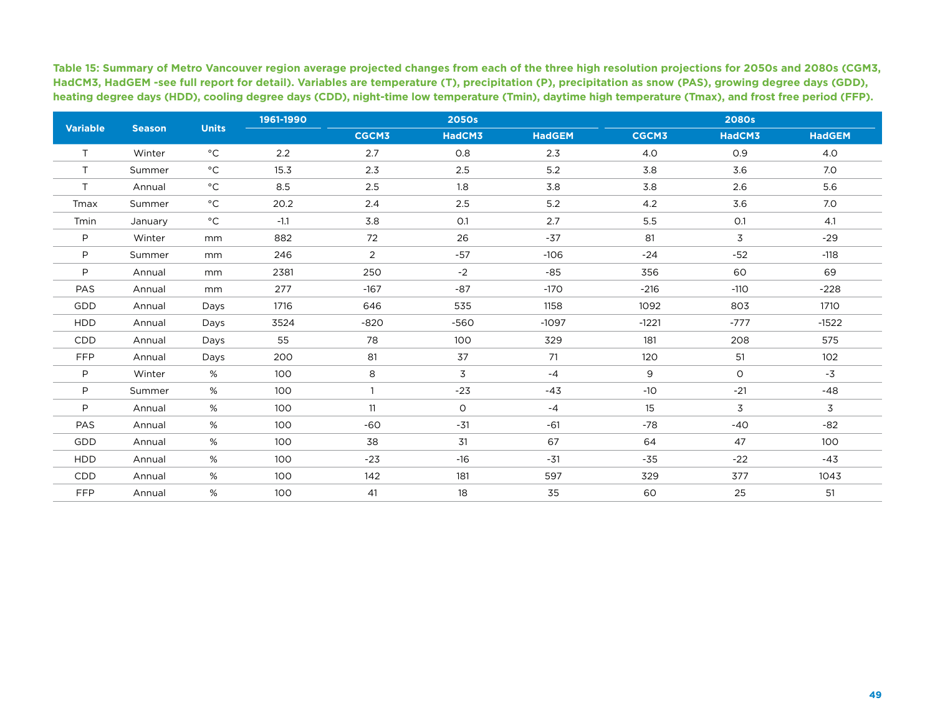**Table 15: Summary of Metro Vancouver region average projected changes from each of the three high resolution projections for 2050s and 2080s (CGM3, HadCM3, HadGEM -see full report for detail). Variables are temperature (T), precipitation (P), precipitation as snow (PAS), growing degree days (GDD), heating degree days (HDD), cooling degree days (CDD), night-time low temperature (Tmin), daytime high temperature (Tmax), and frost free period (FFP).**

|                 |               |                   | 1961-1990     |                | <b>2050s</b> |               |              | <b>2080s</b> |               |
|-----------------|---------------|-------------------|---------------|----------------|--------------|---------------|--------------|--------------|---------------|
| <b>Variable</b> | <b>Season</b> | <b>Units</b>      |               | <b>CGCM3</b>   | HadCM3       | <b>HadGEM</b> | <b>CGCM3</b> | HadCM3       | <b>HadGEM</b> |
| T.              | Winter        | $^{\circ}$ C      | $2.2^{\circ}$ | 2.7            | 0.8          | 2.3           | 4.0          | O.9          | 4.0           |
| T.              | Summer        | $^{\circ}$ C      | 15.3          | 2.3            | 2.5          | 5.2           | 3.8          | 3.6          | 7.0           |
| T.              | Annual        | $^{\circ}{\rm C}$ | 8.5           | 2.5            | 1.8          | 3.8           | 3.8          | 2.6          | 5.6           |
| Tmax            | Summer        | $^{\circ}$ C      | 20.2          | 2.4            | 2.5          | 5.2           | 4.2          | 3.6          | 7.0           |
| Tmin            | January       | $^{\circ}$ C      | $-1.1$        | 3.8            | O.1          | 2.7           | 5.5          | O.1          | 4.1           |
| P               | Winter        | mm                | 882           | 72             | 26           | $-37$         | 81           | 3            | $-29$         |
| P               | Summer        | mm                | 246           | $\overline{2}$ | $-57$        | $-106$        | $-24$        | $-52$        | $-118$        |
| P               | Annual        | mm                | 2381          | 250            | $-2$         | $-85$         | 356          | 60           | 69            |
| PAS             | Annual        | mm                | 277           | $-167$         | $-87$        | $-170$        | $-216$       | $-110$       | $-228$        |
| GDD             | Annual        | Days              | 1716          | 646            | 535          | 1158          | 1092         | 803          | 1710          |
| <b>HDD</b>      | Annual        | Days              | 3524          | $-820$         | $-560$       | $-1097$       | $-1221$      | $-777$       | $-1522$       |
| <b>CDD</b>      | Annual        | Days              | 55            | 78             | 100          | 329           | 181          | 208          | 575           |
| <b>FFP</b>      | Annual        | Days              | 200           | 81             | 37           | 71            | 120          | 51           | 102           |
| P               | Winter        | %                 | 100           | 8              | 3            | $-4$          | 9            | $\circ$      | $-3$          |
| P               | Summer        | %                 | 100           |                | $-23$        | $-43$         | $-10$        | $-21$        | $-48$         |
| P               | Annual        | %                 | 100           | 11             | $\circ$      | $-4$          | 15           | 3            | 3             |
| PAS             | Annual        | %                 | 100           | $-60$          | $-31$        | -61           | $-78$        | $-40$        | $-82$         |
| GDD             | Annual        | %                 | 100           | 38             | 31           | 67            | 64           | 47           | 100           |
| <b>HDD</b>      | Annual        | %                 | 100           | $-23$          | $-16$        | $-31$         | $-35$        | $-22$        | $-43$         |
| <b>CDD</b>      | Annual        | %                 | 100           | 142            | 181          | 597           | 329          | 377          | 1043          |
| <b>FFP</b>      | Annual        | %                 | 100           | 41             | 18           | 35            | 60           | 25           | 51            |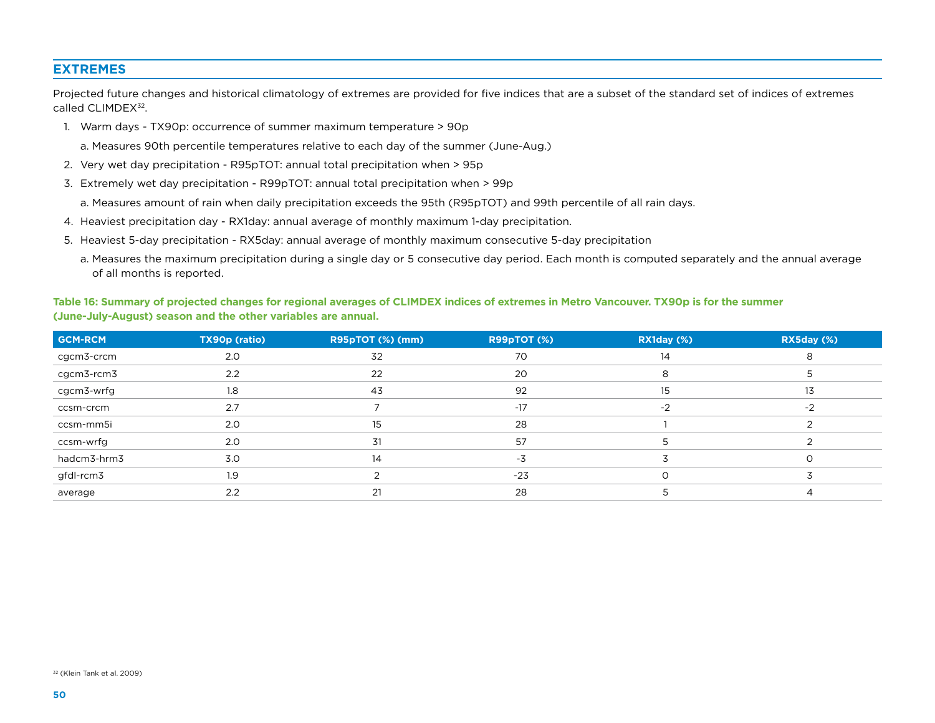#### **Extremes**

Projected future changes and historical climatology of extremes are provided for five indices that are a subset of the standard set of indices of extremes called CLIMDEX<sup>32</sup>.

- 1. Warm days TX90p: occurrence of summer maximum temperature > 90p
	- a. Measures 90th percentile temperatures relative to each day of the summer (June-Aug.)
- 2. Very wet day precipitation R95pTOT: annual total precipitation when > 95p
- 3. Extremely wet day precipitation R99pTOT : annual total precipitation when > 99p

a. Measures amount of rain when daily precipitation exceeds the 95th (R95pTOT ) and 99th percentile of all rain days.

- 4. Heaviest precipitation day RX1day: annual average of monthly maximum 1-day precipitation.
- 5. Heaviest 5-day precipitation RX5day: annual average of monthly maximum consecutive 5-day precipitation
	- a. Measures the maximum precipitation during a single day or 5 consecutive day period. Each month is computed separately and the annual average of all months is reported.

#### **Table 16: Summary of projected changes for regional averages of CLIMDEX indices of extremes in Metro Vancouver. TX90p is for the summer (June-July-August) season and the other variables are annual.**

| <b>GCM-RCM</b> | TX90p (ratio) | R95pTOT (%) (mm) | R99pTOT (%) | RX1day (%) | RX5day (%) |
|----------------|---------------|------------------|-------------|------------|------------|
| cgcm3-crcm     | 2.0           | 32               | 70          | 14         |            |
| cgcm3-rcm3     | 2.2           | 22               | 20          |            |            |
| cgcm3-wrfg     | 1.8           | 43               | 92          | 15         | 13         |
| ccsm-crcm      | 2.7           |                  | $-17$       | $-2$       | -2         |
| ccsm-mm5i      | 2.0           |                  | 28          |            |            |
| ccsm-wrfg      | 2.0           | 31               | 57          |            |            |
| hadcm3-hrm3    | 3.0           | 14               | -3          |            |            |
| gfdl-rcm3      | 1.9           |                  | $-23$       |            |            |
| average        | 2.2           |                  | 28          |            |            |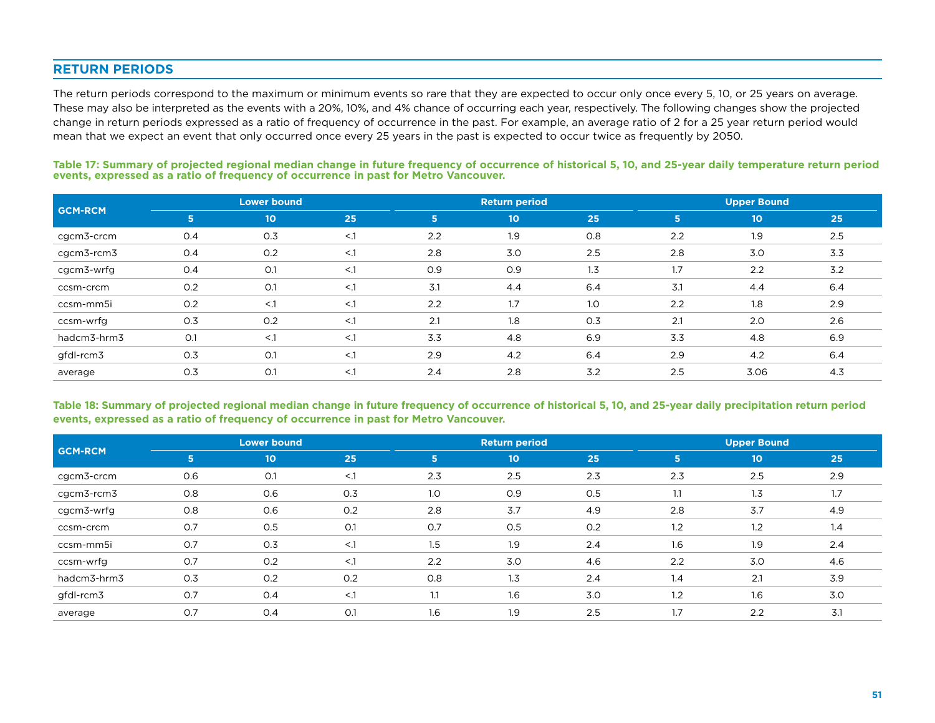#### **Return Periods**

The return periods correspond to the maximum or minimum events so rare that they are expected to occur only once every 5, 10, or 25 years on average. These may also be interpreted as the events with a 20%, 10%, and 4% chance of occurring each year, respectively. The following changes show the projected change in return periods expressed as a ratio of frequency of occurrence in the past. For example, an average ratio of 2 for a 25 year return period would mean that we expect an event that only occurred once every 25 years in the past is expected to occur twice as frequently by 2050.

|                |     | <b>Lower bound</b> |        |              | <b>Return period</b> |     |     | <b>Upper Bound</b> |     |  |
|----------------|-----|--------------------|--------|--------------|----------------------|-----|-----|--------------------|-----|--|
| <b>GCM-RCM</b> | 5   | 10 <sub>o</sub>    | 25     | $\mathsf{S}$ | 10 <sub>o</sub>      | 25  | 5   | 10                 | 25  |  |
| cgcm3-crcm     | 0.4 | O.3                | $<$ .1 | 2.2          | 1.9                  | 0.8 | 2.2 | 1.9                | 2.5 |  |
| cgcm3-rcm3     | 0.4 | 0.2                | $<$ .1 | 2.8          | 3.0                  | 2.5 | 2.8 | 3.0                | 3.3 |  |
| cgcm3-wrfg     | 0.4 | O.1                | $<$ .1 | O.9          | 0.9                  | 1.3 | 1.7 | 2.2                | 3.2 |  |
| ccsm-crcm      | 0.2 | O.1                | $<$ .1 | 3.1          | 4.4                  | 6.4 | 3.1 | 4.4                | 6.4 |  |
| ccsm-mm5i      | 0.2 | $<$ .1             | $<$ .1 | 2.2          | 1.7                  | 1.0 | 2.2 | 1.8                | 2.9 |  |
| ccsm-wrfg      | 0.3 | O.2                | $<$ .1 | 2.1          | 1.8                  | 0.3 | 2.1 | 2.0                | 2.6 |  |
| hadcm3-hrm3    | O.1 | $<$ .1             | $<$ .1 | 3.3          | 4.8                  | 6.9 | 3.3 | 4.8                | 6.9 |  |
| gfdl-rcm3      | 0.3 | O.1                | $<$ .1 | 2.9          | 4.2                  | 6.4 | 2.9 | 4.2                | 6.4 |  |
| average        | 0.3 | O.1                | $<$ .1 | 2.4          | 2.8                  | 3.2 | 2.5 | 3.06               | 4.3 |  |

**Table 17: Summary of projected regional median change in future frequency of occurrence of historical 5, 10, and 25-year daily temperature return period events, expressed as a ratio of frequency of occurrence in past for Metro Vancouver.**

**Table 18: Summary of projected regional median change in future frequency of occurrence of historical 5, 10, and 25-year daily precipitation return period events, expressed as a ratio of frequency of occurrence in past for Metro Vancouver.**

| <b>GCM-RCM</b> |     | <b>Lower bound</b> |        |                | <b>Return period</b> |     | <b>Upper Bound</b> |                 |     |
|----------------|-----|--------------------|--------|----------------|----------------------|-----|--------------------|-----------------|-----|
|                | 5   | $10^{\circ}$       | 25     | 5 <sup>1</sup> | $10^{\circ}$         | 25  | 5                  | 10 <sub>o</sub> | 25  |
| cgcm3-crcm     | 0.6 | O.1                | $<$ .1 | 2.3            | 2.5                  | 2.3 | 2.3                | 2.5             | 2.9 |
| cgcm3-rcm3     | 0.8 | 0.6                | 0.3    | 1.0            | 0.9                  | 0.5 | 1.1                | 1.3             | 1.7 |
| cgcm3-wrfg     | 0.8 | O.6                | O.2    | 2.8            | 3.7                  | 4.9 | 2.8                | 3.7             | 4.9 |
| ccsm-crcm      | O.7 | 0.5                | O.1    | 0.7            | 0.5                  | 0.2 | 1.2                | 1.2             | 1.4 |
| ccsm-mm5i      | O.7 | O.3                | $<$ .1 | 1.5            | 1.9                  | 2.4 | 1.6                | 1.9             | 2.4 |
| ccsm-wrfg      | O.7 | O.2                | $<$ .1 | 2.2            | 3.0                  | 4.6 | 2.2                | 3.0             | 4.6 |
| hadcm3-hrm3    | 0.3 | O.2                | O.2    | 0.8            | 1.3                  | 2.4 | 1.4                | 2.1             | 3.9 |
| gfdl-rcm3      | O.7 | O.4                | $<$ .1 | 1.1            | 1.6                  | 3.0 | 1.2                | 1.6             | 3.0 |
| average        | O.7 | O.4                | O.1    | 1.6            | 1.9                  | 2.5 | 1.7                | 2.2             | 3.1 |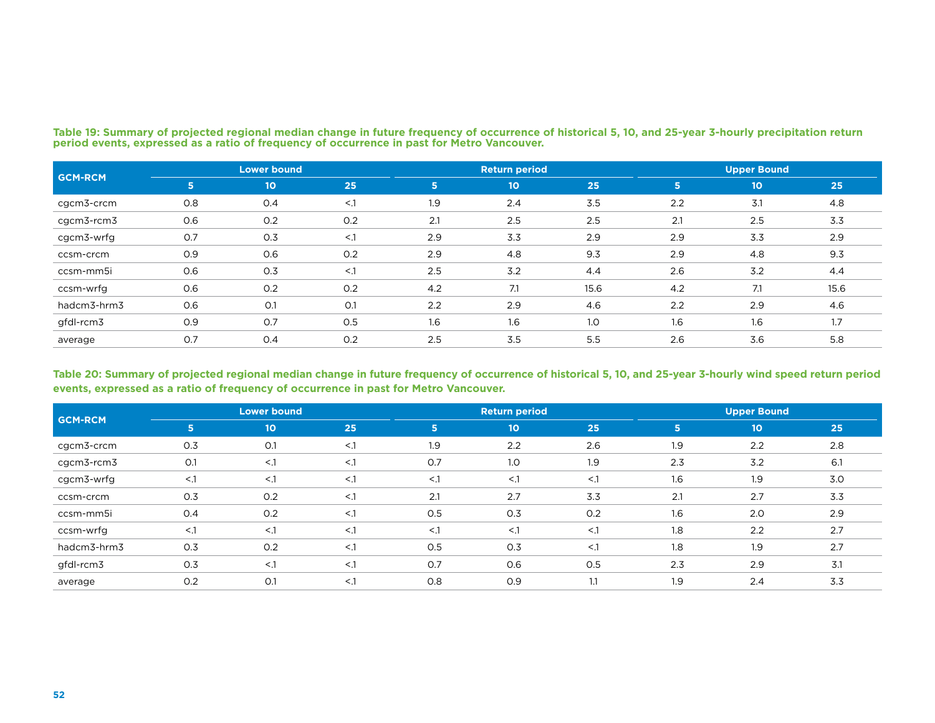|                | <b>Lower bound</b> |              |        |     | <b>Return period</b> |      | <b>Upper Bound</b> |              |      |
|----------------|--------------------|--------------|--------|-----|----------------------|------|--------------------|--------------|------|
| <b>GCM-RCM</b> | 5                  | $10^{\circ}$ | 25     | 5   | 10 <sub>o</sub>      | 25   | 5                  | $10^{\circ}$ | 25   |
| cgcm3-crcm     | 0.8                | O.4          | $<$ .1 | 1.9 | 2.4                  | 3.5  | 2.2                | 3.1          | 4.8  |
| cgcm3-rcm3     | 0.6                | 0.2          | O.2    | 2.1 | 2.5                  | 2.5  | 2.1                | 2.5          | 3.3  |
| cgcm3-wrfg     | O.7                | 0.3          | $<$ .1 | 2.9 | 3.3                  | 2.9  | 2.9                | 3.3          | 2.9  |
| ccsm-crcm      | 0.9                | 0.6          | 0.2    | 2.9 | 4.8                  | 9.3  | 2.9                | 4.8          | 9.3  |
| ccsm-mm5i      | 0.6                | 0.3          | $<$ .1 | 2.5 | 3.2                  | 4.4  | 2.6                | 3.2          | 4.4  |
| ccsm-wrfg      | 0.6                | 0.2          | 0.2    | 4.2 | 7.1                  | 15.6 | 4.2                | 7.1          | 15.6 |
| hadcm3-hrm3    | 0.6                | O.1          | O.1    | 2.2 | 2.9                  | 4.6  | 2.2                | 2.9          | 4.6  |
| gfdl-rcm3      | 0.9                | 0.7          | 0.5    | 1.6 | 1.6                  | 1.0  | 1.6                | 1.6          | 1.7  |
| average        | O.7                | O.4          | O.2    | 2.5 | 3.5                  | 5.5  | 2.6                | 3.6          | 5.8  |

**Table 19: Summary of projected regional median change in future frequency of occurrence of historical 5, 10, and 25-year 3-hourly precipitation return period events, expressed as a ratio of frequency of occurrence in past for Metro Vancouver.**

#### **Table 20: Summary of projected regional median change in future frequency of occurrence of historical 5, 10, and 25-year 3-hourly wind speed return period events, expressed as a ratio of frequency of occurrence in past for Metro Vancouver.**

|                |        | <b>Lower bound</b> |        |                | <b>Return period</b> |        | <b>Upper Bound</b> |                 |     |
|----------------|--------|--------------------|--------|----------------|----------------------|--------|--------------------|-----------------|-----|
| <b>GCM-RCM</b> | 5      | 10 <sub>o</sub>    | 25     | 5 <sup>1</sup> | 10 <sub>10</sub>     | 25     | 5                  | 10 <sub>o</sub> | 25  |
| cgcm3-crcm     | 0.3    | O.1                | $<$ .1 | 1.9            | 2.2                  | 2.6    | 1.9                | 2.2             | 2.8 |
| cgcm3-rcm3     | O.1    | $<$ .1             | $<$ .1 | 0.7            | 1.0                  | 1.9    | 2.3                | 3.2             | 6.1 |
| cgcm3-wrfg     | $<$ .1 | $\leq$ .1          | $<$ .1 | $<$ .1         | $<$ .1               | $<$ .1 | 1.6                | 1.9             | 3.0 |
| ccsm-crcm      | 0.3    | 0.2                | $<$ .1 | 2.1            | 2.7                  | 3.3    | 2.1                | 2.7             | 3.3 |
| ccsm-mm5i      | 0.4    | 0.2                | $<$ .1 | 0.5            | 0.3                  | 0.2    | 1.6                | 2.0             | 2.9 |
| ccsm-wrfg      | $<$ .1 | $<$ .1             | $<$ .1 | $<$ .1         | $<$ .1               | $<$ .1 | 1.8                | 2.2             | 2.7 |
| hadcm3-hrm3    | 0.3    | 0.2                | $<$ .1 | 0.5            | 0.3                  | $<$ .1 | 1.8                | 1.9             | 2.7 |
| gfdl-rcm3      | 0.3    | $\leq$ .1          | $<$ .1 | 0.7            | 0.6                  | 0.5    | 2.3                | 2.9             | 3.1 |
| average        | 0.2    | O.1                | $<$ .1 | 0.8            | 0.9                  | 1.1    | 1.9                | 2.4             | 3.3 |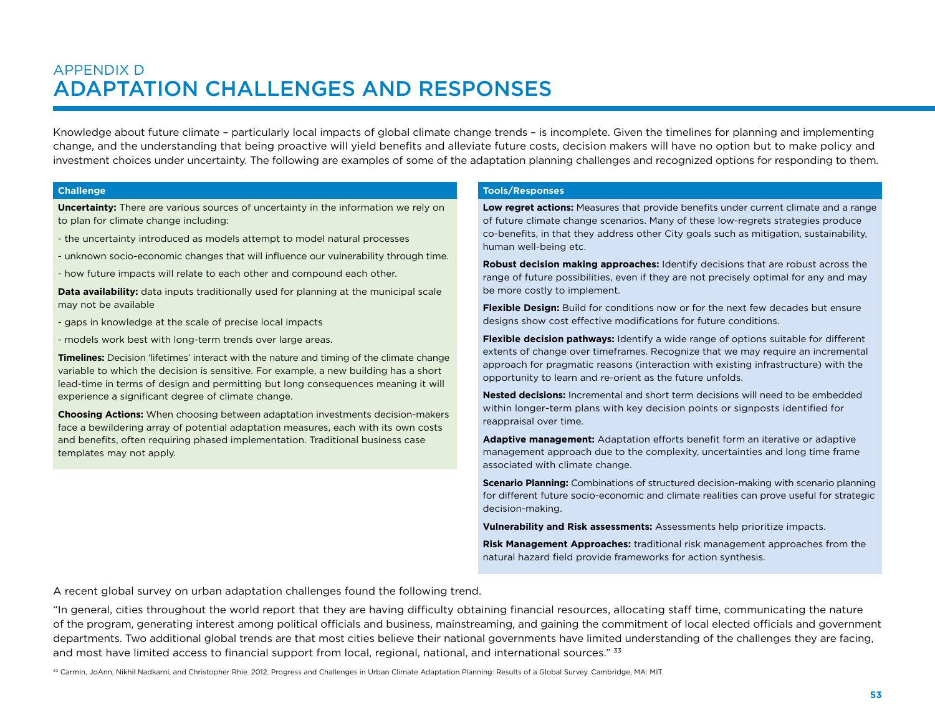### APPENDIX D Adaptation Challenges and Responses

Knowledge about future climate – particularly local impacts of global climate change trends – is incomplete. Given the timelines for planning and implementing change, and the understanding that being proactive will yield benefits and alleviate future costs, decision makers will have no option but to make policy and investment choices under uncertainty. The following are examples of some of the adaptation planning challenges and recognized options for responding to them.

#### **Challenge**

**Uncertainty:** There are various sources of uncertainty in the information we rely on to plan for climate change including:

- the uncertainty introduced as models attempt to model natural processes
- unknown socio-economic changes that will influence our vulnerability through time.
- how future impacts will relate to each other and compound each other.

**Data availability:** data inputs traditionally used for planning at the municipal scale may not be available

- gaps in knowledge at the scale of precise local impacts
- models work best with long-term trends over large areas.

**Timelines:** Decision 'lifetimes' interact with the nature and timing of the climate change variable to which the decision is sensitive. For example, a new building has a short lead-time in terms of design and permitting but long consequences meaning it will experience a significant degree of climate change.

**Choosing Actions:** When choosing between adaptation investments decision-makers face a bewildering array of potential adaptation measures, each with its own costs and benefits, often requiring phased implementation. Traditional business case templates may not apply.

#### **Tools/Responses**

**Low regret actions:** Measures that provide benefits under current climate and a range of future climate change scenarios. Many of these low-regrets strategies produce co-benefits, in that they address other City goals such as mitigation, sustainability, human well-being etc.

**Robust decision making approaches:** Identify decisions that are robust across the range of future possibilities, even if they are not precisely optimal for any and may be more costly to implement.

**Flexible Design:** Build for conditions now or for the next few decades but ensure designs show cost effective modifications for future conditions.

**Flexible decision pathways:** Identify a wide range of options suitable for different extents of change over timeframes. Recognize that we may require an incremental approach for pragmatic reasons (interaction with existing infrastructure) with the opportunity to learn and re-orient as the future unfolds.

**Nested decisions:** Incremental and short term decisions will need to be embedded within longer-term plans with key decision points or signposts identified for reappraisal over time.

**Adaptive management:** Adaptation efforts benefit form an iterative or adaptive management approach due to the complexity, uncertainties and long time frame associated with climate change.

**Scenario Planning:** Combinations of structured decision-making with scenario planning for different future socio-economic and climate realities can prove useful for strategic decision-making.

**Vulnerability and Risk assessments:** Assessments help prioritize impacts.

**Risk Management Approaches:** traditional risk management approaches from the natural hazard field provide frameworks for action synthesis.

A recent global survey on urban adaptation challenges found the following trend.

"In general, cities throughout the world report that they are having difficulty obtaining financial resources, allocating staff time, communicating the nature of the program, generating interest among political officials and business, mainstreaming, and gaining the commitment of local elected officials and government departments. Two additional global trends are that most cities believe their national governments have limited understanding of the challenges they are facing, and most have limited access to financial support from local, regional, national, and international sources." <sup>33</sup>

33 Carmin, JoAnn, Nikhil Nadkarni, and Christopher Rhie. 2012. Progress and Challenges in Urban Climate Adaptation Planning: Results of a Global Survey. Cambridge, MA: MIT.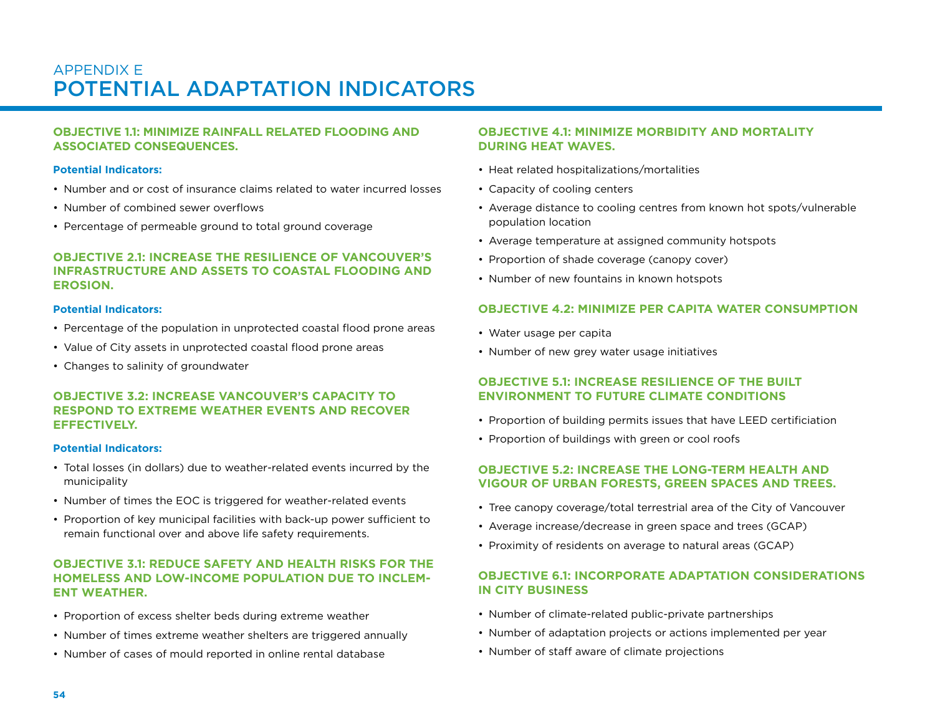### APPENDIX E Potential Adaptation Indicators

#### **Objective 1.1: Minimize rainfall related flooding and associated consequences.**

#### **Potential Indicators:**

- Number and or cost of insurance claims related to water incurred losses
- Number of combined sewer overflows
- Percentage of permeable ground to total ground coverage

#### **Objective 2.1: Increase the resilience of Vancouver's infrastructure and assets to coastal flooding and erosion.**

#### **Potential Indicators:**

- Percentage of the population in unprotected coastal flood prone areas
- Value of City assets in unprotected coastal flood prone areas
- Changes to salinity of groundwater

#### **Objective 3.2: Increase Vancouver's capacity to respond to extreme weather events and recover effectively.**

#### **Potential Indicators:**

- Total losses (in dollars) due to weather-related events incurred by the municipality
- Number of times the EOC is triggered for weather-related events
- Proportion of key municipal facilities with back-up power sufficient to remain functional over and above life safety requirements.

#### **Objective 3.1: Reduce safety and health risks for the homeless and low-income population due to inclement weather.**

- Proportion of excess shelter beds during extreme weather
- Number of times extreme weather shelters are triggered annually
- Number of cases of mould reported in online rental database

#### **Objective 4.1: Minimize morbidity and mortality during heat waves.**

- Heat related hospitalizations/mortalities
- Capacity of cooling centers
- Average distance to cooling centres from known hot spots/vulnerable population location
- Average temperature at assigned community hotspots
- Proportion of shade coverage (canopy cover)
- Number of new fountains in known hotspots

#### **Objective 4.2: Minimize per capita water consumption**

- Water usage per capita
- Number of new grey water usage initiatives

#### **Objective 5.1: Increase resilience of the built environment to future climate conditions**

- Proportion of building permits issues that have LEED certificiation
- Proportion of buildings with green or cool roofs

#### **Objective 5.2: Increase the long-term health and vigour of urban forests, green spaces and trees.**

- Tree canopy coverage/total terrestrial area of the City of Vancouver
- Average increase/decrease in green space and trees (GCAP)
- Proximity of residents on average to natural areas (GCAP)

#### **Objective 6.1: Incorporate adaptation considerations in City business**

- Number of climate-related public-private partnerships
- Number of adaptation projects or actions implemented per year
- Number of staff aware of climate projections